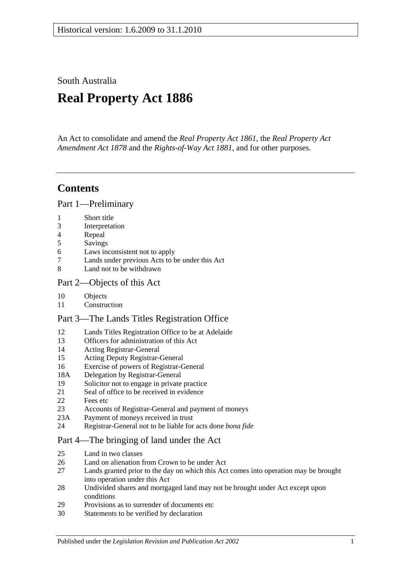South Australia

# **Real Property Act 1886**

An Act to consolidate and amend the *[Real Property Act](http://www.legislation.sa.gov.au/index.aspx?action=legref&type=act&legtitle=Real%20Property%20Act%201861) 1861*, the *[Real Property Act](http://www.legislation.sa.gov.au/index.aspx?action=legref&type=act&legtitle=Real%20Property%20Act%20Amendment%20Act%201878)  [Amendment Act](http://www.legislation.sa.gov.au/index.aspx?action=legref&type=act&legtitle=Real%20Property%20Act%20Amendment%20Act%201878) 1878* and the *[Rights-of-Way Act](http://www.legislation.sa.gov.au/index.aspx?action=legref&type=act&legtitle=Rights-of-Way%20Act%201881) 1881*, and for other purposes.

## **Contents**

[Part 1—Preliminary](#page-10-0)

- 1 [Short title](#page-10-1)
- 3 [Interpretation](#page-10-2)
- 4 [Repeal](#page-11-0)
- 5 [Savings](#page-12-0)
- 6 [Laws inconsistent not to apply](#page-12-1)
- 7 [Lands under previous Acts to be under this Act](#page-12-2)
- 8 [Land not to be withdrawn](#page-12-3)

## [Part 2—Objects of this Act](#page-14-0)

- 10 [Objects](#page-14-1)
- 11 [Construction](#page-14-2)

## [Part 3—The Lands Titles Registration Office](#page-16-0)

- 12 [Lands Titles Registration Office to be at Adelaide](#page-16-1)
- 13 [Officers for administration of this Act](#page-16-2)
- 14 [Acting Registrar-General](#page-16-3)
- 15 [Acting Deputy Registrar-General](#page-16-4)
- 16 [Exercise of powers of Registrar-General](#page-16-5)
- 18A [Delegation by Registrar-General](#page-17-0)
- 19 [Solicitor not to engage in private practice](#page-17-1)
- 21 [Seal of office to be received in evidence](#page-17-2)
- 22 [Fees etc](#page-17-3)
- 23 [Accounts of Registrar-General and payment of moneys](#page-17-4)
- 23A [Payment of moneys received in trust](#page-17-5)
- 24 [Registrar-General not to be liable for acts done](#page-18-0) *bona fide*

## [Part 4—The bringing of land under the Act](#page-20-0)

- 25 [Land in two classes](#page-20-1)
- 26 [Land on alienation from Crown to be under Act](#page-20-2)<br>27 Lands granted prior to the day on which this Act
- Lands granted prior to the day on which this Act comes into operation may be brought [into operation under this Act](#page-20-3)
- 28 [Undivided shares and mortgaged land may not be brought under Act except upon](#page-21-0)  [conditions](#page-21-0)
- 29 [Provisions as to surrender of documents etc](#page-21-1)
- 30 [Statements to be verified by declaration](#page-21-2)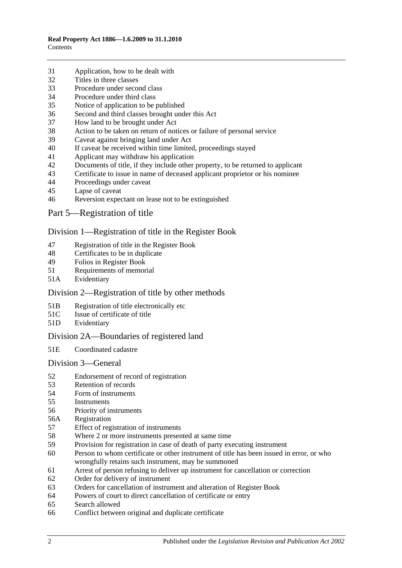- [Application, how to be dealt with](#page-21-3)
- [Titles in three classes](#page-22-0)
- [Procedure under second class](#page-22-1)
- [Procedure under third class](#page-23-0)
- [Notice of application to be published](#page-23-1)
- [Second and third classes brought under this Act](#page-23-2)
- [How land to be brought under Act](#page-23-3)
- [Action to be taken on return of notices or failure of personal service](#page-24-0)
- [Caveat against bringing land under Act](#page-24-1)
- [If caveat be received within time limited, proceedings stayed](#page-24-2)
- [Applicant may withdraw his application](#page-24-3)
- [Documents of title, if they include other property, to be returned to applicant](#page-24-4)<br>43 Certificate to issue in name of deceased applicant proprietor or his nominee
- [Certificate to issue in name of deceased applicant proprietor or his nominee](#page-25-0)
- [Proceedings under caveat](#page-25-1)
- [Lapse of caveat](#page-25-2)
- [Reversion expectant on lease not to be extinguished](#page-25-3)
- [Part 5—Registration of title](#page-26-0)

#### [Division 1—Registration of title in the Register Book](#page-26-1)

- [Registration of title in the Register Book](#page-26-2)
- [Certificates to be in duplicate](#page-26-3)
- [Folios in Register Book](#page-26-4)
- [Requirements of memorial](#page-26-5)
- 51A [Evidentiary](#page-26-6)

## [Division 2—Registration of title by other methods](#page-26-7)

- 51B [Registration of title electronically etc](#page-26-8)
- 51C [Issue of certificate of title](#page-27-0)
- 51D [Evidentiary](#page-28-0)

## [Division 2A—Boundaries of registered land](#page-28-1)

51E [Coordinated cadastre](#page-28-2)

#### [Division 3—General](#page-28-3)

- [Endorsement of record of registration](#page-28-4)
- [Retention of records](#page-29-0)
- [Form of instruments](#page-29-1)<br>55 Instruments
- **[Instruments](#page-29-2)**
- [Priority of instruments](#page-29-3)
- 56A [Registration](#page-30-0)
- [Effect of registration of instruments](#page-30-1)
- [Where 2 or more instruments presented at same time](#page-30-2)
- [Provision for registration in case of death of party executing instrument](#page-30-3)
- [Person to whom certificate or other instrument of title has been issued in error,](#page-30-4) or who [wrongfully retains such instrument, may be summoned](#page-30-4)
- [Arrest of person refusing to deliver up instrument for cancellation or correction](#page-31-0)
- [Order for delivery of instrument](#page-31-1)
- [Orders for cancellation of instrument and alteration of Register Book](#page-31-2)
- [Powers of court to direct cancellation of certificate or entry](#page-31-3)
- [Search allowed](#page-31-4)
- [Conflict between original and duplicate certificate](#page-31-5)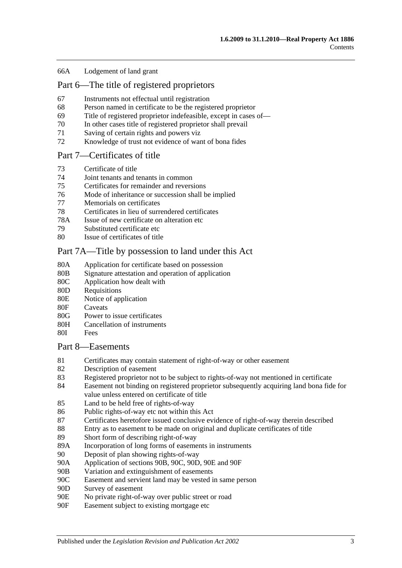#### 66A [Lodgement of land grant](#page-32-0)

## [Part 6—The title of registered proprietors](#page-34-0)

- 67 [Instruments not effectual until registration](#page-34-1)
- 68 [Person named in certificate to be the registered proprietor](#page-34-2)
- 69 [Title of registered proprietor indefeasible, except in cases of—](#page-34-3)
- 70 [In other cases title of registered proprietor shall prevail](#page-35-0)
- 71 [Saving of certain rights and powers viz](#page-36-0)
- 72 [Knowledge of trust not evidence of want of bona fides](#page-36-1)

#### [Part 7—Certificates of title](#page-38-0)

- 73 [Certificate of title](#page-38-1)
- 74 [Joint tenants and tenants in common](#page-38-2)
- 75 [Certificates for remainder and reversions](#page-38-3)
- 76 [Mode of inheritance or succession shall be implied](#page-38-4)
- 77 [Memorials on certificates](#page-38-5)
- 78 [Certificates in lieu of surrendered certificates](#page-38-6)
- 78A [Issue of new certificate on alteration etc](#page-39-0)
- 79 [Substituted certificate etc](#page-39-1)
- 80 [Issue of certificates of title](#page-39-2)

#### [Part 7A—Title by possession to land under this Act](#page-40-0)

- 80A [Application for certificate based on possession](#page-40-1)
- 80B [Signature attestation and operation of application](#page-40-2)
- 80C [Application how dealt with](#page-40-3)
- 80D [Requisitions](#page-40-4)
- 80E [Notice of application](#page-40-5)
- 80F [Caveats](#page-41-0)
- 80G [Power to issue certificates](#page-41-1)
- 80H [Cancellation of instruments](#page-42-0)
- 80I [Fees](#page-42-1)

#### [Part 8—Easements](#page-44-0)

- 81 [Certificates may contain statement of right-of-way or other easement](#page-44-1)
- 82 [Description of easement](#page-44-2)
- 83 [Registered proprietor not to be subject to rights-of-way not mentioned in certificate](#page-44-3)
- 84 [Easement not binding on registered proprietor subsequently acquiring land bona fide for](#page-44-4)  [value unless entered on certificate of title](#page-44-4)
- 85 [Land to be held free of rights-of-way](#page-44-5)
- 86 [Public rights-of-way etc not within this Act](#page-44-6)
- 87 [Certificates heretofore issued conclusive evidence of right-of-way therein described](#page-45-0)
- 88 [Entry as to easement to be made on original and duplicate certificates of title](#page-45-1)
- 89 [Short form of describing right-of-way](#page-45-2)
- 89A [Incorporation of long forms of easements in instruments](#page-45-3)
- 90 [Deposit of plan showing rights-of-way](#page-45-4)
- 90A [Application of sections](#page-45-5) 90B, [90C, 90D, 90E](#page-45-5) and [90F](#page-45-5)
- 90B [Variation and extinguishment of easements](#page-46-0)
- 90C [Easement and servient land may be vested in same person](#page-48-0)
- 90D [Survey of easement](#page-49-0)
- 90E [No private right-of-way over public street or road](#page-49-1)
- 90F [Easement subject to existing mortgage etc](#page-49-2)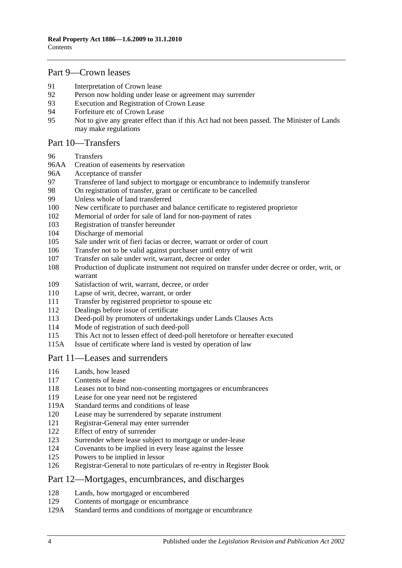## [Part 9—Crown leases](#page-50-0)

- [Interpretation of Crown lease](#page-50-1)<br>92 Person now holding under lea
- [Person now holding under lease or agreement may surrender](#page-50-2)
- [Execution and Registration of Crown Lease](#page-50-3)
- [Forfeiture etc of Crown Lease](#page-50-4)
- [Not to give any greater effect than if this Act had not been passed. The Minister of Lands](#page-50-5)  [may make regulations](#page-50-5)

#### [Part 10—Transfers](#page-52-0)

- [Transfers](#page-52-1)
- 96AA [Creation of easements by reservation](#page-52-2)
- 96A [Acceptance of transfer](#page-52-3)
- [Transferee of land subject to mortgage or encumbrance to indemnify transferor](#page-52-4)<br>98 On registration of transfer, grant or certificate to be cancelled
- [On registration of transfer, grant or certificate to be cancelled](#page-53-0)
- [Unless whole of land transferred](#page-53-1)
- [New certificate to purchaser and balance certificate to registered proprietor](#page-53-2)
- [Memorial of order for sale of land for non-payment of rates](#page-53-3)
- [Registration of transfer hereunder](#page-53-4)
- [Discharge of memorial](#page-54-0)
- [Sale under writ of fieri facias or decree, warrant or order of court](#page-54-1)
- [Transfer not to be valid against purchaser until entry of writ](#page-54-2)
- [Transfer on sale under writ, warrant, decree or order](#page-54-3)
- [Production of duplicate instrument not required on transfer under decree or order, writ, or](#page-54-4)  [warrant](#page-54-4)
- [Satisfaction of writ, warrant, decree, or order](#page-55-0)
- [Lapse of writ, decree, warrant, or order](#page-55-1)
- [Transfer by registered proprietor to spouse etc](#page-55-2)
- [Dealings before issue of certificate](#page-55-3)
- [Deed-poll by promoters of undertakings under Lands Clauses Acts](#page-55-4)
- [Mode of registration of such deed-poll](#page-56-0)
- [This Act not to lessen effect of deed-poll heretofore or hereafter executed](#page-56-1)
- 115A [Issue of certificate where land is vested by operation of](#page-56-2) law

## [Part 11—Leases and surrenders](#page-58-0)

- [Lands, how leased](#page-58-1)
- [Contents of lease](#page-58-2)
- [Leases not to bind non-consenting mortgagees or encumbrancees](#page-58-3)
- [Lease for one year need not be registered](#page-58-4)
- 119A [Standard terms and conditions of lease](#page-58-5)
- [Lease may be surrendered by separate instrument](#page-59-0)
- [Registrar-General may enter surrender](#page-59-1)
- [Effect of entry of surrender](#page-59-2)<br>123 Surrender where lease subject
- [Surrender where lease subject to mortgage or under-lease](#page-59-3)
- [Covenants to be implied in every lease against the lessee](#page-59-4)
- [Powers to be implied in lessor](#page-59-5)
- [Registrar-General to note particulars of re-entry in Register Book](#page-60-0)

#### [Part 12—Mortgages, encumbrances, and discharges](#page-62-0)

- [Lands, how mortgaged or encumbered](#page-62-1)
- [Contents of mortgage or encumbrance](#page-62-2)
- 129A [Standard terms and conditions of mortgage or encumbrance](#page-62-3)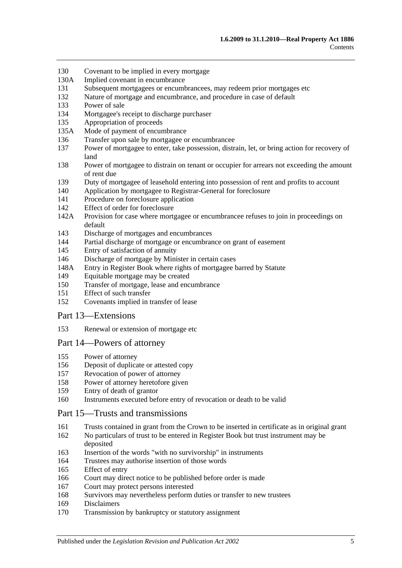- [Covenant to be implied in every mortgage](#page-63-0)
- 130A [Implied covenant in encumbrance](#page-63-1)
- [Subsequent mortgagees or encumbrancees, may redeem prior mortgages etc](#page-63-2)
- [Nature of mortgage and encumbrance, and procedure in case of default](#page-63-3)
- [Power of sale](#page-64-0)
- [Mortgagee's receipt to discharge purchaser](#page-64-1)
- [Appropriation of proceeds](#page-64-2)
- 135A [Mode of payment of encumbrance](#page-64-3)
- [Transfer upon sale by mortgagee or encumbrancee](#page-64-4)
- [Power of mortgagee to enter, take possession, distrain, let, or bring action for recovery of](#page-65-0)  [land](#page-65-0)
- [Power of mortgagee to distrain on tenant or occupier for arrears not exceeding the amount](#page-65-1)  [of rent due](#page-65-1)
- [Duty of mortgagee of leasehold entering into possession of rent and profits to account](#page-66-0)
- [Application by mortgagee to Registrar-General for foreclosure](#page-66-1)
- [Procedure on foreclosure application](#page-66-2)
- [Effect of order for foreclosure](#page-67-0)
- 142A [Provision for case where mortgagee or encumbrancee refuses to join in proceedings on](#page-67-1)  [default](#page-67-1)
- [Discharge of mortgages and encumbrances](#page-67-2)
- [Partial discharge of mortgage or encumbrance on grant of easement](#page-67-3)
- [Entry of satisfaction of annuity](#page-68-0)
- [Discharge of mortgage by Minister in certain cases](#page-68-1)
- 148A [Entry in Register Book where rights of mortgagee barred by Statute](#page-69-0)
- [Equitable mortgage may be created](#page-69-1)
- [Transfer of mortgage, lease and encumbrance](#page-69-2)
- [Effect of such transfer](#page-69-3)
- [Covenants implied in transfer of lease](#page-70-0)

#### [Part 13—Extensions](#page-72-0)

[Renewal or extension of mortgage etc](#page-72-1)

#### [Part 14—Powers of attorney](#page-74-0)

- [Power of attorney](#page-74-1)
- [Deposit of duplicate or attested copy](#page-74-2)
- [Revocation of power of attorney](#page-74-3)
- [Power of attorney heretofore given](#page-74-4)
- [Entry of death of grantor](#page-74-5)
- [Instruments executed before entry of revocation or death to be valid](#page-74-6)

### [Part 15—Trusts and transmissions](#page-76-0)

- [Trusts contained in grant from the Crown to be inserted in certificate as in original grant](#page-76-1)
- [No particulars of trust to be entered in Register Book but trust instrument may be](#page-76-2)  [deposited](#page-76-2)
- [Insertion of the words "with no survivorship" in instruments](#page-76-3)
- [Trustees may authorise insertion of those words](#page-76-4)
- [Effect of entry](#page-77-0)
- [Court may direct notice to be published before order is made](#page-77-1)
- [Court may protect persons interested](#page-77-2)
- [Survivors may nevertheless perform duties or transfer to new trustees](#page-77-3)
- [Disclaimers](#page-77-4)
- [Transmission by bankruptcy or statutory assignment](#page-78-0)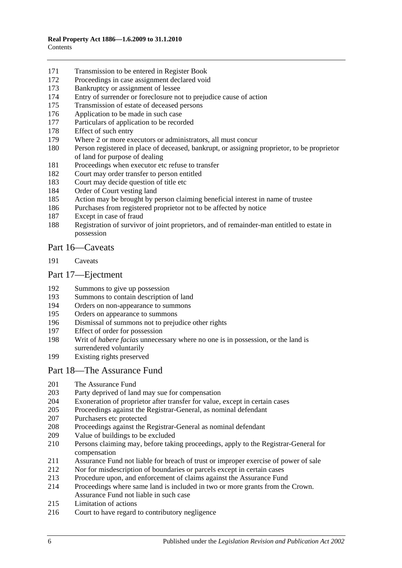- [Transmission to be entered in Register Book](#page-79-0)
- [Proceedings in case assignment declared void](#page-79-1)
- [Bankruptcy or assignment of lessee](#page-79-2)
- [Entry of surrender or foreclosure not to prejudice cause of action](#page-81-0)
- [Transmission of estate of deceased persons](#page-81-1)
- [Application to be made in such case](#page-81-2)
- [Particulars of application to be recorded](#page-81-3)
- [Effect of such entry](#page-81-4)<br>179 Where 2 or more ex
- [Where 2 or more executors or administrators, all must concur](#page-81-5)
- [Person registered in place of deceased, bankrupt, or assigning proprietor, to be proprietor](#page-81-6)  [of land for purpose of dealing](#page-81-6)
- [Proceedings when executor etc refuse to transfer](#page-82-0)
- [Court may order transfer to person entitled](#page-82-1)
- [Court may decide question of title etc](#page-82-2)
- [Order of Court vesting land](#page-82-3)
- [Action may be brought by person claiming beneficial interest in name of trustee](#page-82-4)
- [Purchases from registered proprietor not to be affected by notice](#page-82-5)
- [Except in case of fraud](#page-83-0)
- [Registration of survivor of joint proprietors, and of remainder-man entitled to estate in](#page-83-1)  [possession](#page-83-1)

### [Part 16—Caveats](#page-84-0)

[Caveats](#page-84-1)

#### [Part 17—Ejectment](#page-88-0)

- [Summons to give up possession](#page-88-1)
- [Summons to contain description of land](#page-88-2)
- [Orders on non-appearance to summons](#page-88-3)
- [Orders on appearance to summons](#page-88-4)
- [Dismissal of summons not to prejudice other rights](#page-88-5)
- [Effect of order for possession](#page-88-6)
- Writ of *habere facias* [unnecessary where no one is in possession, or the land is](#page-89-0)  [surrendered voluntarily](#page-89-0)
- [Existing rights preserved](#page-89-1)

#### [Part 18—The Assurance Fund](#page-90-0)

- [The Assurance Fund](#page-90-1)
- [Party deprived of land may sue for compensation](#page-91-0)<br>204 Exoneration of proprietor after transfer for value,
- [Exoneration of proprietor after transfer for value, except in certain cases](#page-91-1)
- [Proceedings against the Registrar-General, as nominal defendant](#page-91-2)
- [Purchasers etc protected](#page-91-3)
- [Proceedings against the Registrar-General as nominal defendant](#page-92-0)
- [Value of buildings to be excluded](#page-92-1)
- [Persons claiming may, before taking proceedings, apply to the Registrar-General for](#page-92-2)  [compensation](#page-92-2)
- [Assurance Fund not liable for breach of trust or improper exercise of power of sale](#page-92-3)
- [Nor for misdescription of boundaries or parcels except in certain cases](#page-93-0)
- [Procedure upon, and enforcement of claims against the Assurance Fund](#page-93-1)
- [Proceedings where same land is included in two or more grants from the Crown.](#page-94-0)  [Assurance Fund not liable in such case](#page-94-0)
- [Limitation of actions](#page-94-1)
- [Court to have regard to contributory negligence](#page-95-0)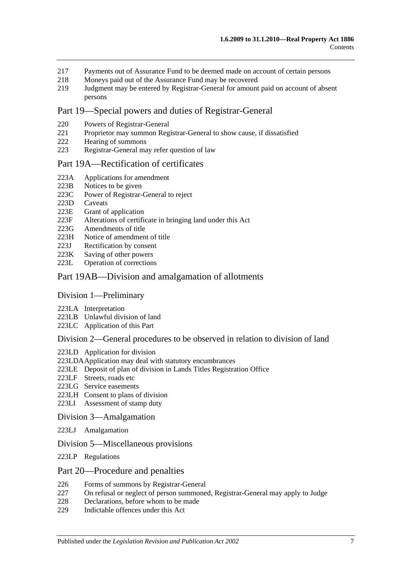- 217 [Payments out of Assurance Fund to be deemed made on account of certain persons](#page-95-1)
- 218 [Moneys paid out of the Assurance Fund may be recovered](#page-95-2)<br>219 Judgment may be entered by Registrar-General for amount
- 219 [Judgment may be entered by Registrar-General for amount paid on account of absent](#page-95-3)  [persons](#page-95-3)

## [Part 19—Special powers and duties of Registrar-General](#page-96-0)

- 220 [Powers of Registrar-General](#page-96-1)
- 221 [Proprietor may summon Registrar-General to show cause, if dissatisfied](#page-98-0)
- 222 [Hearing of summons](#page-99-0)
- 223 [Registrar-General may refer question of law](#page-99-1)

#### [Part 19A—Rectification of certificates](#page-100-0)

- 223A [Applications for amendment](#page-100-1)
- 
- 223B [Notices to be given](#page-100-2)<br>223C Power of Registrar-[Power of Registrar-General to reject](#page-100-3)
- 223D [Caveats](#page-100-4)<br>223E Grant of
- [Grant of application](#page-101-0)
- 223F [Alterations of certificate in bringing land under this Act](#page-101-1)
- 223G [Amendments of title](#page-101-2)
- 223H [Notice of amendment of title](#page-101-3)
- 223J [Rectification by consent](#page-102-0)
- 223K [Saving of other powers](#page-102-1)<br>223L Operation of correction
- [Operation of corrections](#page-102-2)

#### [Part 19AB—Division and amalgamation of allotments](#page-104-0)

#### [Division 1—Preliminary](#page-104-1)

- 223LA [Interpretation](#page-104-2)
- 223LB [Unlawful division of land](#page-107-0)
- 223LC [Application of this Part](#page-108-0)

#### [Division 2—General procedures to be observed in relation to division of land](#page-108-1)

- 223LD [Application for division](#page-108-2)
- [223LDAApplication may deal with statutory encumbrances](#page-110-0)
- 223LE [Deposit of plan of division in Lands Titles Registration Office](#page-110-1)
- 223LF [Streets, roads etc](#page-111-0)
- 223LG [Service easements](#page-112-0)
- 223LH [Consent to plans of division](#page-113-0)
- 223LI [Assessment of stamp duty](#page-114-0)

#### [Division 3—Amalgamation](#page-114-1)

- 223LJ [Amalgamation](#page-114-2)
- [Division 5—Miscellaneous provisions](#page-115-0)
- 223LP [Regulations](#page-115-1)

#### [Part 20—Procedure and penalties](#page-116-0)

- 226 [Forms of summons by Registrar-General](#page-116-1)
- 227 [On refusal or neglect of person summoned, Registrar-General may apply to Judge](#page-116-2)
- 228 [Declarations, before whom to be made](#page-116-3)
- 229 [Indictable offences under this Act](#page-116-4)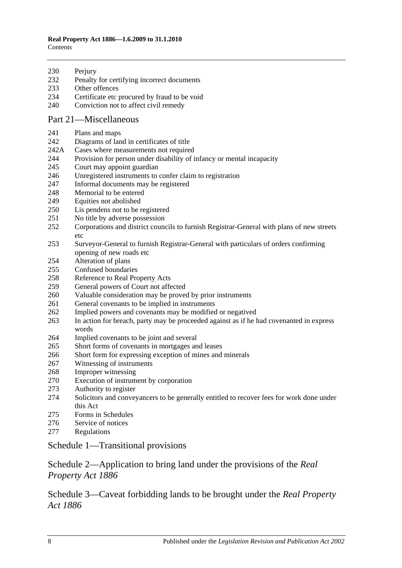#### **Real Property Act 1886—1.6.2009 to 31.1.2010 Contents**

230 Periury

- [Penalty for certifying incorrect documents](#page-117-1)
- [Other offences](#page-117-2)
- [Certificate etc procured by fraud to be void](#page-118-0)
- [Conviction not to affect civil remedy](#page-118-1)

## [Part 21—Miscellaneous](#page-120-0)

- [Plans and maps](#page-120-1)
- [Diagrams of land in certificates of title](#page-120-2)
- 242A [Cases where measurements not required](#page-120-3)
- [Provision for person under disability of infancy or mental incapacity](#page-120-4)
- [Court may appoint guardian](#page-121-0)
- [Unregistered instruments to confer claim to registration](#page-121-1)
- [Informal documents may be registered](#page-121-2)
- [Memorial to be entered](#page-121-3)
- [Equities not abolished](#page-121-4)
- [Lis pendens not to be registered](#page-122-0)
- [No title by adverse possession](#page-122-1)
- [Corporations and district councils to furnish Registrar-General with plans of new streets](#page-122-2)  [etc](#page-122-2)
- [Surveyor-General to furnish Registrar-General with particulars of orders confirming](#page-122-3)  [opening of new roads etc](#page-122-3)
- [Alteration of plans](#page-122-4)
- [Confused boundaries](#page-123-0)
- [Reference to Real Property Acts](#page-123-1)
- [General powers of Court not affected](#page-123-2)
- [Valuable consideration may be proved by prior instruments](#page-123-3)
- [General covenants to be implied in instruments](#page-124-0)
- [Implied powers and covenants may be modified or negatived](#page-124-1)
- [In action for breach, party may be proceeded against as if he had covenanted in express](#page-124-2)  [words](#page-124-2)
- [Implied covenants to](#page-124-3) be joint and several
- [Short forms of covenants in mortgages and leases](#page-124-4)
- [Short form for expressing exception of mines and minerals](#page-124-5)
- [Witnessing of instruments](#page-125-0)
- [Improper witnessing](#page-125-1)
- [Execution of instrument by corporation](#page-125-2)
- [Authority to register](#page-125-3)
- [Solicitors and conveyancers to be generally entitled to recover fees for work done under](#page-126-0)  [this Act](#page-126-0)
- [Forms in Schedules](#page-126-1)
- [Service of notices](#page-126-2)
- [Regulations](#page-126-3)

## [Schedule 1—Transitional provisions](#page-128-0)

## [Schedule 2—Application to bring land under the provisions of the](#page-131-0) *Real [Property Act](#page-131-0) 1886*

[Schedule 3—Caveat forbidding lands to be brought under the](#page-132-0) *Real Property Act [1886](#page-132-0)*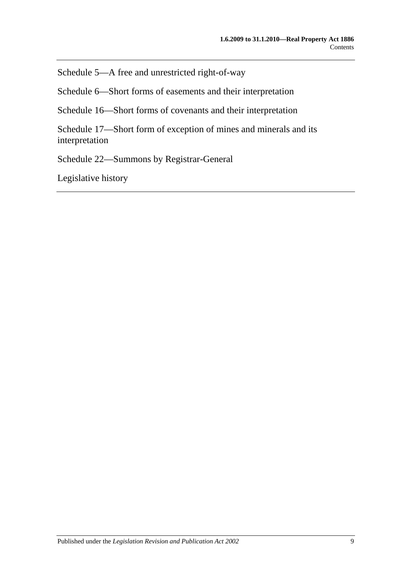[Schedule 5—A free and unrestricted right-of-way](#page-132-1)

[Schedule 6—Short forms of easements and their interpretation](#page-132-2)

[Schedule 16—Short forms of covenants and their interpretation](#page-135-0)

[Schedule 17—Short form of exception of mines and minerals and its](#page-137-0)  [interpretation](#page-137-0)

[Schedule 22—Summons by Registrar-General](#page-137-1)

[Legislative history](#page-138-0)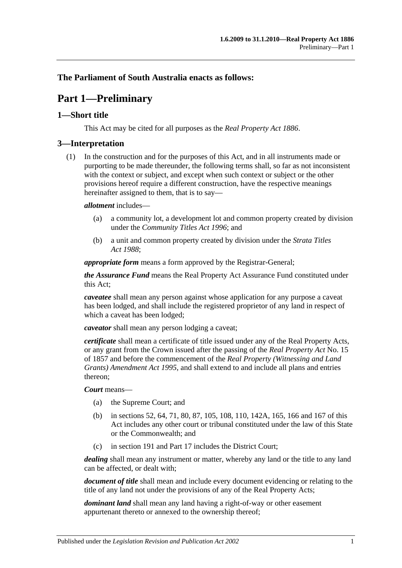## <span id="page-10-0"></span>**The Parliament of South Australia enacts as follows:**

## **Part 1—Preliminary**

## <span id="page-10-1"></span>**1—Short title**

This Act may be cited for all purposes as the *[Real Property Act](http://www.legislation.sa.gov.au/index.aspx?action=legref&type=act&legtitle=Real%20Property%20Act%201886) 1886*.

### <span id="page-10-2"></span>**3—Interpretation**

(1) In the construction and for the purposes of this Act, and in all instruments made or purporting to be made thereunder, the following terms shall, so far as not inconsistent with the context or subject, and except when such context or subject or the other provisions hereof require a different construction, have the respective meanings hereinafter assigned to them, that is to say—

#### *allotment* includes—

- (a) a community lot, a development lot and common property created by division under the *[Community Titles Act](http://www.legislation.sa.gov.au/index.aspx?action=legref&type=act&legtitle=Community%20Titles%20Act%201996) 1996*; and
- (b) a unit and common property created by division under the *[Strata Titles](http://www.legislation.sa.gov.au/index.aspx?action=legref&type=act&legtitle=Strata%20Titles%20Act%201988)  Act [1988](http://www.legislation.sa.gov.au/index.aspx?action=legref&type=act&legtitle=Strata%20Titles%20Act%201988)*;

*appropriate form* means a form approved by the Registrar-General;

*the Assurance Fund* means the Real Property Act Assurance Fund constituted under this Act;

*caveatee* shall mean any person against whose application for any purpose a caveat has been lodged, and shall include the registered proprietor of any land in respect of which a caveat has been lodged;

*caveator* shall mean any person lodging a caveat;

*certificate* shall mean a certificate of title issued under any of the Real Property Acts, or any grant from the Crown issued after the passing of the *[Real Property Act](http://www.legislation.sa.gov.au/index.aspx?action=legref&type=act&legtitle=Real%20Property%20Act)* No. 15 of 1857 and before the commencement of the *[Real Property \(Witnessing and Land](http://www.legislation.sa.gov.au/index.aspx?action=legref&type=act&legtitle=Real%20Property%20(Witnessing%20and%20Land%20Grants)%20Amendment%20Act%201995)  [Grants\) Amendment Act](http://www.legislation.sa.gov.au/index.aspx?action=legref&type=act&legtitle=Real%20Property%20(Witnessing%20and%20Land%20Grants)%20Amendment%20Act%201995) 1995*, and shall extend to and include all plans and entries thereon;

#### *Court* means—

- (a) the Supreme Court; and
- (b) in [sections](#page-28-4) 52, [64,](#page-31-3) [71,](#page-36-0) [80,](#page-39-2) [87,](#page-45-0) [105,](#page-54-1) [108,](#page-54-4) [110,](#page-55-1) [142A,](#page-67-1) [165,](#page-77-0) [166](#page-77-1) and [167](#page-77-2) of this Act includes any other court or tribunal constituted under the law of this State or the Commonwealth; and
- (c) in [section](#page-84-1) 191 and [Part 17](#page-88-0) includes the District Court;

*dealing* shall mean any instrument or matter, whereby any land or the title to any land can be affected, or dealt with;

*document of title* shall mean and include every document evidencing or relating to the title of any land not under the provisions of any of the Real Property Acts;

*dominant land* shall mean any land having a right-of-way or other easement appurtenant thereto or annexed to the ownership thereof;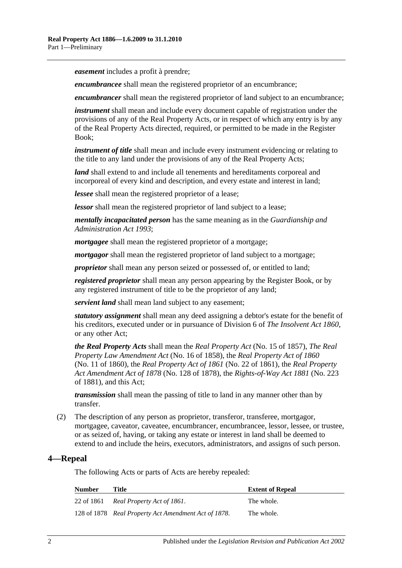*easement* includes a profit à prendre;

*encumbrancee* shall mean the registered proprietor of an encumbrance;

*encumbrancer* shall mean the registered proprietor of land subject to an encumbrance;

*instrument* shall mean and include every document capable of registration under the provisions of any of the Real Property Acts, or in respect of which any entry is by any of the Real Property Acts directed, required, or permitted to be made in the Register Book;

*instrument of title* shall mean and include every instrument evidencing or relating to the title to any land under the provisions of any of the Real Property Acts;

*land* shall extend to and include all tenements and hereditaments corporeal and incorporeal of every kind and description, and every estate and interest in land;

*lessee* shall mean the registered proprietor of a lease;

*lessor* shall mean the registered proprietor of land subject to a lease;

*mentally incapacitated person* has the same meaning as in the *[Guardianship and](http://www.legislation.sa.gov.au/index.aspx?action=legref&type=act&legtitle=Guardianship%20and%20Administration%20Act%201993)  [Administration Act](http://www.legislation.sa.gov.au/index.aspx?action=legref&type=act&legtitle=Guardianship%20and%20Administration%20Act%201993) 1993*;

*mortgagee* shall mean the registered proprietor of a mortgage;

*mortgagor* shall mean the registered proprietor of land subject to a mortgage;

*proprietor* shall mean any person seized or possessed of, or entitled to land;

*registered proprietor* shall mean any person appearing by the Register Book, or by any registered instrument of title to be the proprietor of any land;

*servient land* shall mean land subject to any easement;

*statutory assignment* shall mean any deed assigning a debtor's estate for the benefit of his creditors, executed under or in pursuance of Division 6 of *[The Insolvent Act](http://www.legislation.sa.gov.au/index.aspx?action=legref&type=act&legtitle=The%20Insolvent%20Act%201860) 1860*, or any other Act;

*the Real Property Acts* shall mean the *[Real Property Act](http://www.legislation.sa.gov.au/index.aspx?action=legref&type=act&legtitle=Real%20Property%20Act)* (No. 15 of 1857), *[The Real](http://www.legislation.sa.gov.au/index.aspx?action=legref&type=act&legtitle=The%20Real%20Property%20Law%20Amendment%20Act)  [Property Law Amendment Act](http://www.legislation.sa.gov.au/index.aspx?action=legref&type=act&legtitle=The%20Real%20Property%20Law%20Amendment%20Act)* (No. 16 of 1858), the *Real [Property Act of](http://www.legislation.sa.gov.au/index.aspx?action=legref&type=act&legtitle=Real%20Property%20Act%20of%201860) 1860* (No. 11 of 1860), the *[Real Property Act of](http://www.legislation.sa.gov.au/index.aspx?action=legref&type=act&legtitle=Real%20Property%20Act%20of%201861) 1861* (No. 22 of 1861), the *[Real Property](http://www.legislation.sa.gov.au/index.aspx?action=legref&type=act&legtitle=Real%20Property%20Act%20Amendment%20Act%20of%201878)  [Act Amendment Act of](http://www.legislation.sa.gov.au/index.aspx?action=legref&type=act&legtitle=Real%20Property%20Act%20Amendment%20Act%20of%201878) 1878* (No. 128 of 1878), the *[Rights-of-Way Act](http://www.legislation.sa.gov.au/index.aspx?action=legref&type=act&legtitle=Rights-of-Way%20Act%201881) 1881* (No. 223 of 1881), and this Act;

*transmission* shall mean the passing of title to land in any manner other than by transfer.

(2) The description of any person as proprietor, transferor, transferee, mortgagor, mortgagee, caveator, caveatee, encumbrancer, encumbrancee, lessor, lessee, or trustee, or as seized of, having, or taking any estate or interest in land shall be deemed to extend to and include the heirs, executors, administrators, and assigns of such person.

## <span id="page-11-0"></span>**4—Repeal**

The following Acts or parts of Acts are hereby repealed:

| <b>Number</b> | Title                                                | <b>Extent of Repeal</b> |
|---------------|------------------------------------------------------|-------------------------|
|               | 22 of 1861 Real Property Act of 1861.                | The whole.              |
|               | 128 of 1878 Real Property Act Amendment Act of 1878. | The whole.              |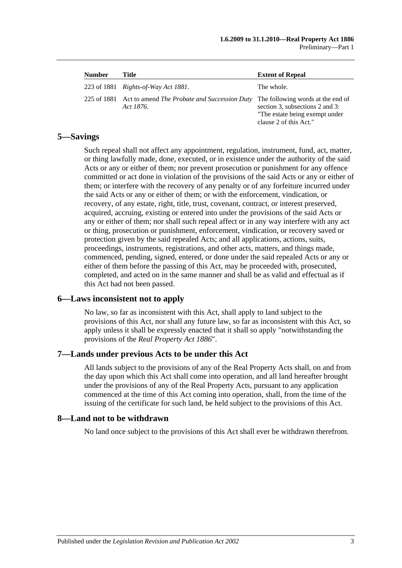| <b>Number</b> | Title                                                                 | <b>Extent of Repeal</b>                                                                                                          |
|---------------|-----------------------------------------------------------------------|----------------------------------------------------------------------------------------------------------------------------------|
|               | 223 of 1881 Rights-of-Way Act 1881.                                   | The whole.                                                                                                                       |
|               | 225 of 1881 Act to amend The Probate and Succession Duty<br>Act 1876. | The following words at the end of<br>section 3, subsections 2 and 3:<br>"The estate being exempt under<br>clause 2 of this Act." |

## <span id="page-12-0"></span>**5—Savings**

Such repeal shall not affect any appointment, regulation, instrument, fund, act, matter, or thing lawfully made, done, executed, or in existence under the authority of the said Acts or any or either of them; nor prevent prosecution or punishment for any offence committed or act done in violation of the provisions of the said Acts or any or either of them; or interfere with the recovery of any penalty or of any forfeiture incurred under the said Acts or any or either of them; or with the enforcement, vindication, or recovery, of any estate, right, title, trust, covenant, contract, or interest preserved, acquired, accruing, existing or entered into under the provisions of the said Acts or any or either of them; nor shall such repeal affect or in any way interfere with any act or thing, prosecution or punishment, enforcement, vindication, or recovery saved or protection given by the said repealed Acts; and all applications, actions, suits, proceedings, instruments, registrations, and other acts, matters, and things made, commenced, pending, signed, entered, or done under the said repealed Acts or any or either of them before the passing of this Act, may be proceeded with, prosecuted, completed, and acted on in the same manner and shall be as valid and effectual as if this Act had not been passed.

## <span id="page-12-1"></span>**6—Laws inconsistent not to apply**

No law, so far as inconsistent with this Act, shall apply to land subject to the provisions of this Act, nor shall any future law, so far as inconsistent with this Act, so apply unless it shall be expressly enacted that it shall so apply "notwithstanding the provisions of the *[Real Property Act](http://www.legislation.sa.gov.au/index.aspx?action=legref&type=act&legtitle=Real%20Property%20Act%201886) 1886*".

## <span id="page-12-2"></span>**7—Lands under previous Acts to be under this Act**

All lands subject to the provisions of any of the Real Property Acts shall, on and from the day upon which this Act shall come into operation, and all land hereafter brought under the provisions of any of the Real Property Acts, pursuant to any application commenced at the time of this Act coming into operation, shall, from the time of the issuing of the certificate for such land, be held subject to the provisions of this Act.

#### <span id="page-12-3"></span>**8—Land not to be withdrawn**

No land once subject to the provisions of this Act shall ever be withdrawn therefrom.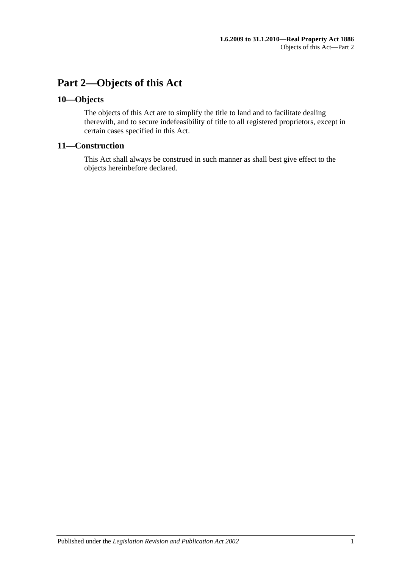## <span id="page-14-0"></span>**Part 2—Objects of this Act**

## <span id="page-14-1"></span>**10—Objects**

The objects of this Act are to simplify the title to land and to facilitate dealing therewith, and to secure indefeasibility of title to all registered proprietors, except in certain cases specified in this Act.

## <span id="page-14-2"></span>**11—Construction**

This Act shall always be construed in such manner as shall best give effect to the objects hereinbefore declared.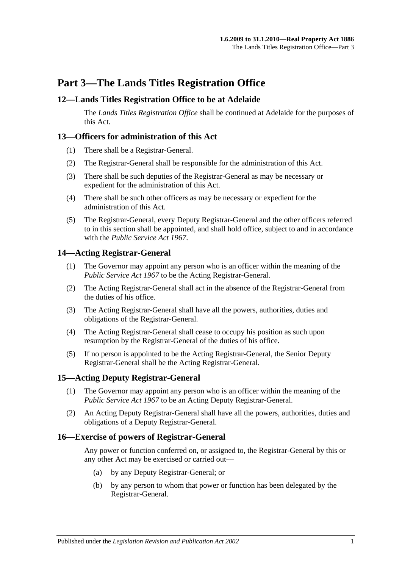## <span id="page-16-0"></span>**Part 3—The Lands Titles Registration Office**

## <span id="page-16-1"></span>**12—Lands Titles Registration Office to be at Adelaide**

The *Lands Titles Registration Office* shall be continued at Adelaide for the purposes of this Act.

## <span id="page-16-2"></span>**13—Officers for administration of this Act**

- (1) There shall be a Registrar-General.
- (2) The Registrar-General shall be responsible for the administration of this Act.
- (3) There shall be such deputies of the Registrar-General as may be necessary or expedient for the administration of this Act.
- (4) There shall be such other officers as may be necessary or expedient for the administration of this Act.
- (5) The Registrar-General, every Deputy Registrar-General and the other officers referred to in this section shall be appointed, and shall hold office, subject to and in accordance with the *[Public Service Act](http://www.legislation.sa.gov.au/index.aspx?action=legref&type=act&legtitle=Public%20Service%20Act%201967) 1967*.

## <span id="page-16-3"></span>**14—Acting Registrar-General**

- (1) The Governor may appoint any person who is an officer within the meaning of the *[Public Service Act](http://www.legislation.sa.gov.au/index.aspx?action=legref&type=act&legtitle=Public%20Service%20Act%201967) 1967* to be the Acting Registrar-General.
- (2) The Acting Registrar-General shall act in the absence of the Registrar-General from the duties of his office.
- (3) The Acting Registrar-General shall have all the powers, authorities, duties and obligations of the Registrar-General.
- (4) The Acting Registrar-General shall cease to occupy his position as such upon resumption by the Registrar-General of the duties of his office.
- (5) If no person is appointed to be the Acting Registrar-General, the Senior Deputy Registrar-General shall be the Acting Registrar-General.

## <span id="page-16-4"></span>**15—Acting Deputy Registrar-General**

- (1) The Governor may appoint any person who is an officer within the meaning of the *[Public Service Act](http://www.legislation.sa.gov.au/index.aspx?action=legref&type=act&legtitle=Public%20Service%20Act%201967) 1967* to be an Acting Deputy Registrar-General.
- (2) An Acting Deputy Registrar-General shall have all the powers, authorities, duties and obligations of a Deputy Registrar-General.

#### <span id="page-16-5"></span>**16—Exercise of powers of Registrar-General**

Any power or function conferred on, or assigned to, the Registrar-General by this or any other Act may be exercised or carried out—

- (a) by any Deputy Registrar-General; or
- (b) by any person to whom that power or function has been delegated by the Registrar-General.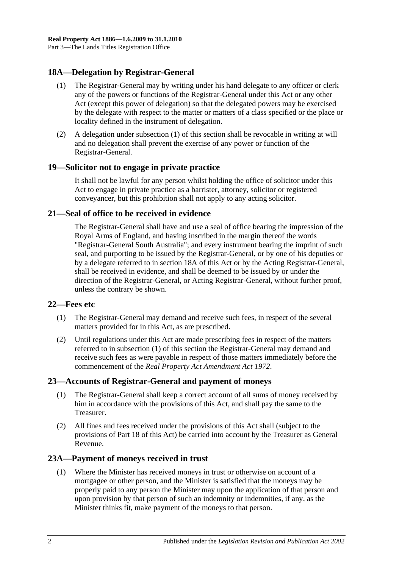## <span id="page-17-6"></span><span id="page-17-0"></span>**18A—Delegation by Registrar-General**

- (1) The Registrar-General may by writing under his hand delegate to any officer or clerk any of the powers or functions of the Registrar-General under this Act or any other Act (except this power of delegation) so that the delegated powers may be exercised by the delegate with respect to the matter or matters of a class specified or the place or locality defined in the instrument of delegation.
- (2) A delegation under [subsection](#page-17-6) (1) of this section shall be revocable in writing at will and no delegation shall prevent the exercise of any power or function of the Registrar-General.

## <span id="page-17-1"></span>**19—Solicitor not to engage in private practice**

It shall not be lawful for any person whilst holding the office of solicitor under this Act to engage in private practice as a barrister, attorney, solicitor or registered conveyancer, but this prohibition shall not apply to any acting solicitor.

## <span id="page-17-2"></span>**21—Seal of office to be received in evidence**

The Registrar-General shall have and use a seal of office bearing the impression of the Royal Arms of England, and having inscribed in the margin thereof the words "Registrar-General South Australia"; and every instrument bearing the imprint of such seal, and purporting to be issued by the Registrar-General, or by one of his deputies or by a delegate referred to in [section](#page-17-0) 18A of this Act or by the Acting Registrar-General, shall be received in evidence, and shall be deemed to be issued by or under the direction of the Registrar-General, or Acting Registrar-General, without further proof, unless the contrary be shown.

## <span id="page-17-7"></span><span id="page-17-3"></span>**22—Fees etc**

- (1) The Registrar-General may demand and receive such fees, in respect of the several matters provided for in this Act, as are prescribed.
- (2) Until regulations under this Act are made prescribing fees in respect of the matters referred to in [subsection](#page-17-7) (1) of this section the Registrar-General may demand and receive such fees as were payable in respect of those matters immediately before the commencement of the *[Real Property Act Amendment Act](http://www.legislation.sa.gov.au/index.aspx?action=legref&type=act&legtitle=Real%20Property%20Act%20Amendment%20Act%201972) 1972*.

## <span id="page-17-4"></span>**23—Accounts of Registrar-General and payment of moneys**

- (1) The Registrar-General shall keep a correct account of all sums of money received by him in accordance with the provisions of this Act, and shall pay the same to the Treasurer.
- (2) All fines and fees received under the provisions of this Act shall (subject to the provisions of [Part 18](#page-90-0) of this Act) be carried into account by the Treasurer as General Revenue.

## <span id="page-17-8"></span><span id="page-17-5"></span>**23A—Payment of moneys received in trust**

(1) Where the Minister has received moneys in trust or otherwise on account of a mortgagee or other person, and the Minister is satisfied that the moneys may be properly paid to any person the Minister may upon the application of that person and upon provision by that person of such an indemnity or indemnities, if any, as the Minister thinks fit, make payment of the moneys to that person.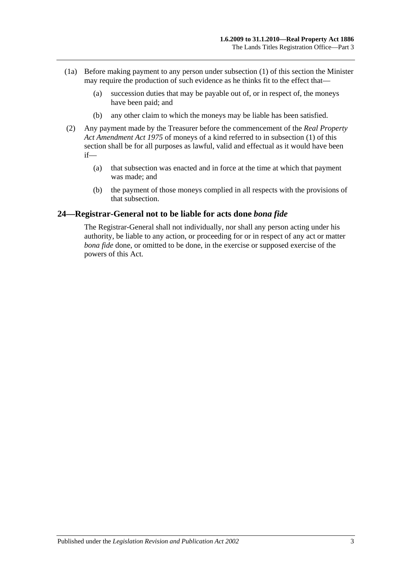- (1a) Before making payment to any person under [subsection](#page-17-8) (1) of this section the Minister may require the production of such evidence as he thinks fit to the effect that—
	- (a) succession duties that may be payable out of, or in respect of, the moneys have been paid; and
	- (b) any other claim to which the moneys may be liable has been satisfied.
- (2) Any payment made by the Treasurer before the commencement of the *[Real Property](http://www.legislation.sa.gov.au/index.aspx?action=legref&type=act&legtitle=Real%20Property%20Act%20Amendment%20Act%201975)  [Act Amendment Act](http://www.legislation.sa.gov.au/index.aspx?action=legref&type=act&legtitle=Real%20Property%20Act%20Amendment%20Act%201975) 1975* of moneys of a kind referred to in [subsection](#page-17-8) (1) of this section shall be for all purposes as lawful, valid and effectual as it would have been if—
	- (a) that subsection was enacted and in force at the time at which that payment was made; and
	- (b) the payment of those moneys complied in all respects with the provisions of that subsection.

#### <span id="page-18-0"></span>**24—Registrar-General not to be liable for acts done** *bona fide*

The Registrar-General shall not individually, nor shall any person acting under his authority, be liable to any action, or proceeding for or in respect of any act or matter *bona fide* done, or omitted to be done, in the exercise or supposed exercise of the powers of this Act.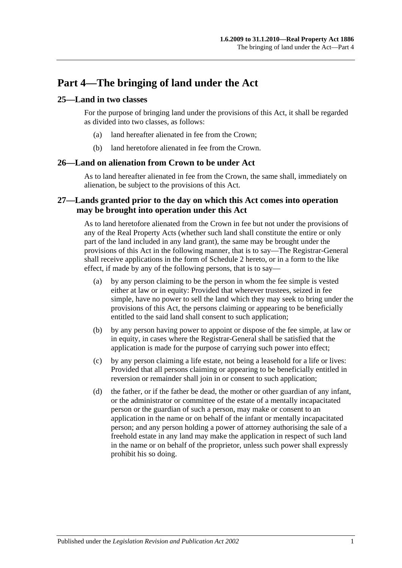## <span id="page-20-0"></span>**Part 4—The bringing of land under the Act**

## <span id="page-20-1"></span>**25—Land in two classes**

For the purpose of bringing land under the provisions of this Act, it shall be regarded as divided into two classes, as follows:

- (a) land hereafter alienated in fee from the Crown;
- (b) land heretofore alienated in fee from the Crown.

#### <span id="page-20-2"></span>**26—Land on alienation from Crown to be under Act**

As to land hereafter alienated in fee from the Crown, the same shall, immediately on alienation, be subject to the provisions of this Act.

## <span id="page-20-3"></span>**27—Lands granted prior to the day on which this Act comes into operation may be brought into operation under this Act**

As to land heretofore alienated from the Crown in fee but not under the provisions of any of the Real Property Acts (whether such land shall constitute the entire or only part of the land included in any land grant), the same may be brought under the provisions of this Act in the following manner, that is to say—The Registrar-General shall receive applications in the form of [Schedule 2](#page-131-0) hereto, or in a form to the like effect, if made by any of the following persons, that is to say—

- (a) by any person claiming to be the person in whom the fee simple is vested either at law or in equity: Provided that wherever trustees, seized in fee simple, have no power to sell the land which they may seek to bring under the provisions of this Act, the persons claiming or appearing to be beneficially entitled to the said land shall consent to such application;
- (b) by any person having power to appoint or dispose of the fee simple, at law or in equity, in cases where the Registrar-General shall be satisfied that the application is made for the purpose of carrying such power into effect;
- (c) by any person claiming a life estate, not being a leasehold for a life or lives: Provided that all persons claiming or appearing to be beneficially entitled in reversion or remainder shall join in or consent to such application;
- (d) the father, or if the father be dead, the mother or other guardian of any infant, or the administrator or committee of the estate of a mentally incapacitated person or the guardian of such a person, may make or consent to an application in the name or on behalf of the infant or mentally incapacitated person; and any person holding a power of attorney authorising the sale of a freehold estate in any land may make the application in respect of such land in the name or on behalf of the proprietor, unless such power shall expressly prohibit his so doing.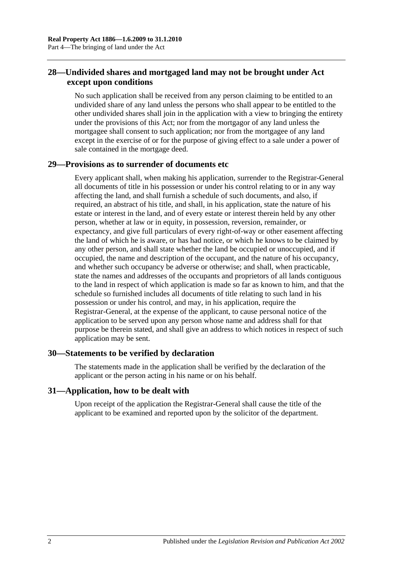## <span id="page-21-0"></span>**28—Undivided shares and mortgaged land may not be brought under Act except upon conditions**

No such application shall be received from any person claiming to be entitled to an undivided share of any land unless the persons who shall appear to be entitled to the other undivided shares shall join in the application with a view to bringing the entirety under the provisions of this Act; nor from the mortgagor of any land unless the mortgagee shall consent to such application; nor from the mortgagee of any land except in the exercise of or for the purpose of giving effect to a sale under a power of sale contained in the mortgage deed.

## <span id="page-21-1"></span>**29—Provisions as to surrender of documents etc**

Every applicant shall, when making his application, surrender to the Registrar-General all documents of title in his possession or under his control relating to or in any way affecting the land, and shall furnish a schedule of such documents, and also, if required, an abstract of his title, and shall, in his application, state the nature of his estate or interest in the land, and of every estate or interest therein held by any other person, whether at law or in equity, in possession, reversion, remainder, or expectancy, and give full particulars of every right-of-way or other easement affecting the land of which he is aware, or has had notice, or which he knows to be claimed by any other person, and shall state whether the land be occupied or unoccupied, and if occupied, the name and description of the occupant, and the nature of his occupancy, and whether such occupancy be adverse or otherwise; and shall, when practicable, state the names and addresses of the occupants and proprietors of all lands contiguous to the land in respect of which application is made so far as known to him, and that the schedule so furnished includes all documents of title relating to such land in his possession or under his control, and may, in his application, require the Registrar-General, at the expense of the applicant, to cause personal notice of the application to be served upon any person whose name and address shall for that purpose be therein stated, and shall give an address to which notices in respect of such application may be sent.

## <span id="page-21-2"></span>**30—Statements to be verified by declaration**

The statements made in the application shall be verified by the declaration of the applicant or the person acting in his name or on his behalf.

#### <span id="page-21-3"></span>**31—Application, how to be dealt with**

Upon receipt of the application the Registrar-General shall cause the title of the applicant to be examined and reported upon by the solicitor of the department.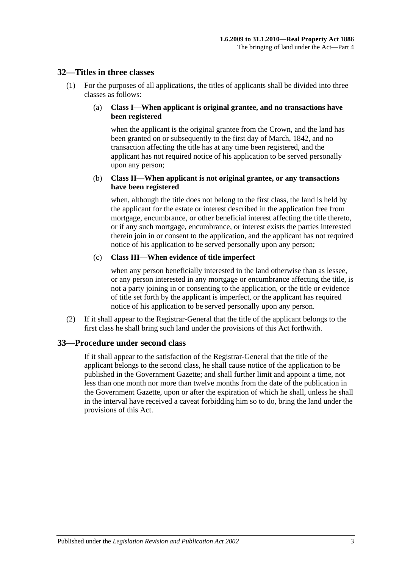#### <span id="page-22-0"></span>**32—Titles in three classes**

(1) For the purposes of all applications, the titles of applicants shall be divided into three classes as follows:

#### (a) **Class I—When applicant is original grantee, and no transactions have been registered**

when the applicant is the original grantee from the Crown, and the land has been granted on or subsequently to the first day of March, 1842, and no transaction affecting the title has at any time been registered, and the applicant has not required notice of his application to be served personally upon any person;

#### (b) **Class II—When applicant is not original grantee, or any transactions have been registered**

when, although the title does not belong to the first class, the land is held by the applicant for the estate or interest described in the application free from mortgage, encumbrance, or other beneficial interest affecting the title thereto, or if any such mortgage, encumbrance, or interest exists the parties interested therein join in or consent to the application, and the applicant has not required notice of his application to be served personally upon any person;

#### (c) **Class III—When evidence of title imperfect**

when any person beneficially interested in the land otherwise than as lessee, or any person interested in any mortgage or encumbrance affecting the title, is not a party joining in or consenting to the application, or the title or evidence of title set forth by the applicant is imperfect, or the applicant has required notice of his application to be served personally upon any person.

(2) If it shall appear to the Registrar-General that the title of the applicant belongs to the first class he shall bring such land under the provisions of this Act forthwith.

## <span id="page-22-1"></span>**33—Procedure under second class**

If it shall appear to the satisfaction of the Registrar-General that the title of the applicant belongs to the second class, he shall cause notice of the application to be published in the Government Gazette; and shall further limit and appoint a time, not less than one month nor more than twelve months from the date of the publication in the Government Gazette, upon or after the expiration of which he shall, unless he shall in the interval have received a caveat forbidding him so to do, bring the land under the provisions of this Act.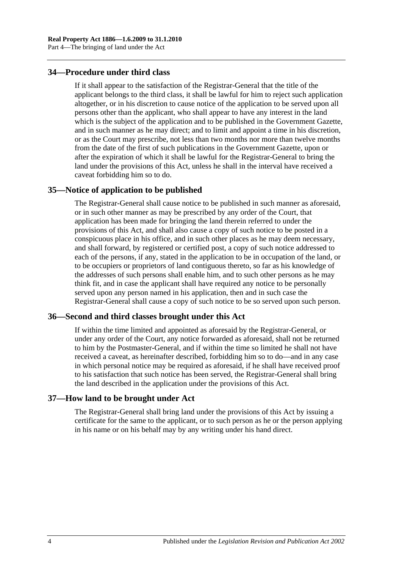## <span id="page-23-0"></span>**34—Procedure under third class**

If it shall appear to the satisfaction of the Registrar-General that the title of the applicant belongs to the third class, it shall be lawful for him to reject such application altogether, or in his discretion to cause notice of the application to be served upon all persons other than the applicant, who shall appear to have any interest in the land which is the subject of the application and to be published in the Government Gazette, and in such manner as he may direct; and to limit and appoint a time in his discretion, or as the Court may prescribe, not less than two months nor more than twelve months from the date of the first of such publications in the Government Gazette, upon or after the expiration of which it shall be lawful for the Registrar-General to bring the land under the provisions of this Act, unless he shall in the interval have received a caveat forbidding him so to do.

#### <span id="page-23-1"></span>**35—Notice of application to be published**

The Registrar-General shall cause notice to be published in such manner as aforesaid, or in such other manner as may be prescribed by any order of the Court, that application has been made for bringing the land therein referred to under the provisions of this Act, and shall also cause a copy of such notice to be posted in a conspicuous place in his office, and in such other places as he may deem necessary, and shall forward, by registered or certified post, a copy of such notice addressed to each of the persons, if any, stated in the application to be in occupation of the land, or to be occupiers or proprietors of land contiguous thereto, so far as his knowledge of the addresses of such persons shall enable him, and to such other persons as he may think fit, and in case the applicant shall have required any notice to be personally served upon any person named in his application, then and in such case the Registrar-General shall cause a copy of such notice to be so served upon such person.

#### <span id="page-23-2"></span>**36—Second and third classes brought under this Act**

If within the time limited and appointed as aforesaid by the Registrar-General, or under any order of the Court, any notice forwarded as aforesaid, shall not be returned to him by the Postmaster-General, and if within the time so limited he shall not have received a caveat, as hereinafter described, forbidding him so to do—and in any case in which personal notice may be required as aforesaid, if he shall have received proof to his satisfaction that such notice has been served, the Registrar-General shall bring the land described in the application under the provisions of this Act.

#### <span id="page-23-3"></span>**37—How land to be brought under Act**

The Registrar-General shall bring land under the provisions of this Act by issuing a certificate for the same to the applicant, or to such person as he or the person applying in his name or on his behalf may by any writing under his hand direct.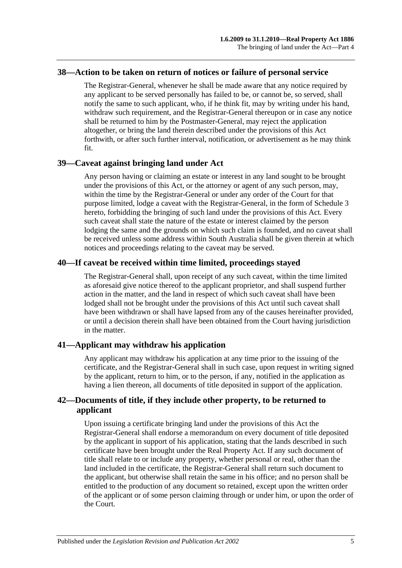#### <span id="page-24-0"></span>**38—Action to be taken on return of notices or failure of personal service**

The Registrar-General, whenever he shall be made aware that any notice required by any applicant to be served personally has failed to be, or cannot be, so served, shall notify the same to such applicant, who, if he think fit, may by writing under his hand, withdraw such requirement, and the Registrar-General thereupon or in case any notice shall be returned to him by the Postmaster-General, may reject the application altogether, or bring the land therein described under the provisions of this Act forthwith, or after such further interval, notification, or advertisement as he may think fit.

#### <span id="page-24-1"></span>**39—Caveat against bringing land under Act**

Any person having or claiming an estate or interest in any land sought to be brought under the provisions of this Act, or the attorney or agent of any such person, may, within the time by the Registrar-General or under any order of the Court for that purpose limited, lodge a caveat with the Registrar-General, in the form of [Schedule 3](#page-132-0) hereto, forbidding the bringing of such land under the provisions of this Act. Every such caveat shall state the nature of the estate or interest claimed by the person lodging the same and the grounds on which such claim is founded, and no caveat shall be received unless some address within South Australia shall be given therein at which notices and proceedings relating to the caveat may be served.

## <span id="page-24-2"></span>**40—If caveat be received within time limited, proceedings stayed**

The Registrar-General shall, upon receipt of any such caveat, within the time limited as aforesaid give notice thereof to the applicant proprietor, and shall suspend further action in the matter, and the land in respect of which such caveat shall have been lodged shall not be brought under the provisions of this Act until such caveat shall have been withdrawn or shall have lapsed from any of the causes hereinafter provided, or until a decision therein shall have been obtained from the Court having jurisdiction in the matter.

## <span id="page-24-3"></span>**41—Applicant may withdraw his application**

Any applicant may withdraw his application at any time prior to the issuing of the certificate, and the Registrar-General shall in such case, upon request in writing signed by the applicant, return to him, or to the person, if any, notified in the application as having a lien thereon, all documents of title deposited in support of the application.

## <span id="page-24-4"></span>**42—Documents of title, if they include other property, to be returned to applicant**

Upon issuing a certificate bringing land under the provisions of this Act the Registrar-General shall endorse a memorandum on every document of title deposited by the applicant in support of his application, stating that the lands described in such certificate have been brought under the Real Property Act. If any such document of title shall relate to or include any property, whether personal or real, other than the land included in the certificate, the Registrar-General shall return such document to the applicant, but otherwise shall retain the same in his office; and no person shall be entitled to the production of any document so retained, except upon the written order of the applicant or of some person claiming through or under him, or upon the order of the Court.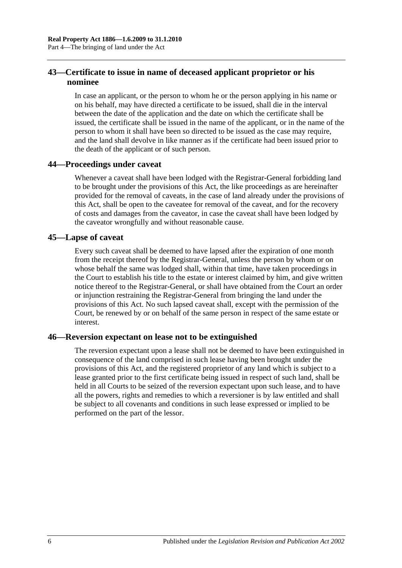## <span id="page-25-0"></span>**43—Certificate to issue in name of deceased applicant proprietor or his nominee**

In case an applicant, or the person to whom he or the person applying in his name or on his behalf, may have directed a certificate to be issued, shall die in the interval between the date of the application and the date on which the certificate shall be issued, the certificate shall be issued in the name of the applicant, or in the name of the person to whom it shall have been so directed to be issued as the case may require, and the land shall devolve in like manner as if the certificate had been issued prior to the death of the applicant or of such person.

## <span id="page-25-1"></span>**44—Proceedings under caveat**

Whenever a caveat shall have been lodged with the Registrar-General forbidding land to be brought under the provisions of this Act, the like proceedings as are hereinafter provided for the removal of caveats, in the case of land already under the provisions of this Act, shall be open to the caveatee for removal of the caveat, and for the recovery of costs and damages from the caveator, in case the caveat shall have been lodged by the caveator wrongfully and without reasonable cause.

#### <span id="page-25-2"></span>**45—Lapse of caveat**

Every such caveat shall be deemed to have lapsed after the expiration of one month from the receipt thereof by the Registrar-General, unless the person by whom or on whose behalf the same was lodged shall, within that time, have taken proceedings in the Court to establish his title to the estate or interest claimed by him, and give written notice thereof to the Registrar-General, or shall have obtained from the Court an order or injunction restraining the Registrar-General from bringing the land under the provisions of this Act. No such lapsed caveat shall, except with the permission of the Court, be renewed by or on behalf of the same person in respect of the same estate or interest.

## <span id="page-25-3"></span>**46—Reversion expectant on lease not to be extinguished**

The reversion expectant upon a lease shall not be deemed to have been extinguished in consequence of the land comprised in such lease having been brought under the provisions of this Act, and the registered proprietor of any land which is subject to a lease granted prior to the first certificate being issued in respect of such land, shall be held in all Courts to be seized of the reversion expectant upon such lease, and to have all the powers, rights and remedies to which a reversioner is by law entitled and shall be subject to all covenants and conditions in such lease expressed or implied to be performed on the part of the lessor.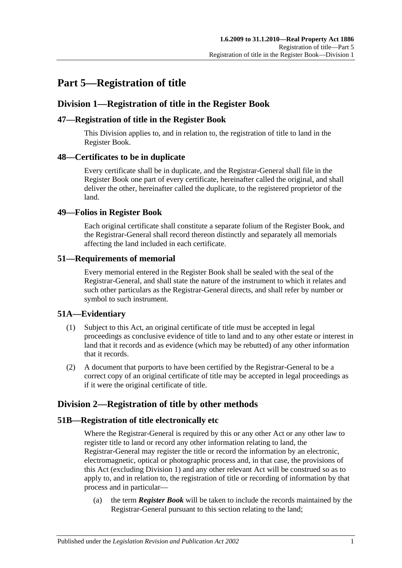## <span id="page-26-0"></span>**Part 5—Registration of title**

## <span id="page-26-1"></span>**Division 1—Registration of title in the Register Book**

## <span id="page-26-2"></span>**47—Registration of title in the Register Book**

This Division applies to, and in relation to, the registration of title to land in the Register Book.

## <span id="page-26-3"></span>**48—Certificates to be in duplicate**

Every certificate shall be in duplicate, and the Registrar-General shall file in the Register Book one part of every certificate, hereinafter called the original, and shall deliver the other, hereinafter called the duplicate, to the registered proprietor of the land.

## <span id="page-26-4"></span>**49—Folios in Register Book**

Each original certificate shall constitute a separate folium of the Register Book, and the Registrar-General shall record thereon distinctly and separately all memorials affecting the land included in each certificate.

## <span id="page-26-5"></span>**51—Requirements of memorial**

Every memorial entered in the Register Book shall be sealed with the seal of the Registrar-General, and shall state the nature of the instrument to which it relates and such other particulars as the Registrar-General directs, and shall refer by number or symbol to such instrument.

## <span id="page-26-6"></span>**51A—Evidentiary**

- (1) Subject to this Act, an original certificate of title must be accepted in legal proceedings as conclusive evidence of title to land and to any other estate or interest in land that it records and as evidence (which may be rebutted) of any other information that it records.
- (2) A document that purports to have been certified by the Registrar-General to be a correct copy of an original certificate of title may be accepted in legal proceedings as if it were the original certificate of title.

## <span id="page-26-7"></span>**Division 2—Registration of title by other methods**

## <span id="page-26-8"></span>**51B—Registration of title electronically etc**

Where the Registrar-General is required by this or any other Act or any other law to register title to land or record any other information relating to land, the Registrar-General may register the title or record the information by an electronic, electromagnetic, optical or photographic process and, in that case, the provisions of this Act (excluding [Division 1\)](#page-26-1) and any other relevant Act will be construed so as to apply to, and in relation to, the registration of title or recording of information by that process and in particular—

(a) the term *Register Book* will be taken to include the records maintained by the Registrar-General pursuant to this section relating to the land;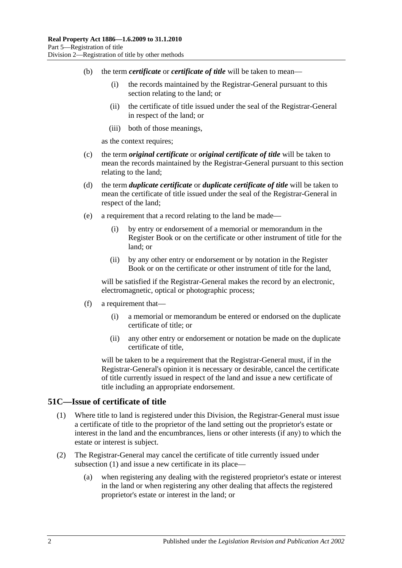- (b) the term *certificate* or *certificate of title* will be taken to mean—
	- (i) the records maintained by the Registrar-General pursuant to this section relating to the land; or
	- (ii) the certificate of title issued under the seal of the Registrar-General in respect of the land; or
	- (iii) both of those meanings,

as the context requires;

- (c) the term *original certificate* or *original certificate of title* will be taken to mean the records maintained by the Registrar-General pursuant to this section relating to the land;
- (d) the term *duplicate certificate* or *duplicate certificate of title* will be taken to mean the certificate of title issued under the seal of the Registrar-General in respect of the land;
- (e) a requirement that a record relating to the land be made—
	- (i) by entry or endorsement of a memorial or memorandum in the Register Book or on the certificate or other instrument of title for the land; or
	- (ii) by any other entry or endorsement or by notation in the Register Book or on the certificate or other instrument of title for the land,

will be satisfied if the Registrar-General makes the record by an electronic, electromagnetic, optical or photographic process;

- (f) a requirement that—
	- (i) a memorial or memorandum be entered or endorsed on the duplicate certificate of title; or
	- (ii) any other entry or endorsement or notation be made on the duplicate certificate of title,

will be taken to be a requirement that the Registrar-General must, if in the Registrar-General's opinion it is necessary or desirable, cancel the certificate of title currently issued in respect of the land and issue a new certificate of title including an appropriate endorsement.

#### <span id="page-27-1"></span><span id="page-27-0"></span>**51C—Issue of certificate of title**

- (1) Where title to land is registered under this Division, the Registrar-General must issue a certificate of title to the proprietor of the land setting out the proprietor's estate or interest in the land and the encumbrances, liens or other interests (if any) to which the estate or interest is subject.
- (2) The Registrar-General may cancel the certificate of title currently issued under [subsection](#page-27-1) (1) and issue a new certificate in its place—
	- (a) when registering any dealing with the registered proprietor's estate or interest in the land or when registering any other dealing that affects the registered proprietor's estate or interest in the land; or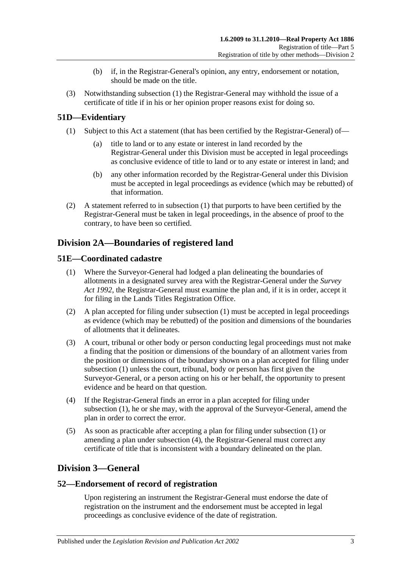- (b) if, in the Registrar-General's opinion, any entry, endorsement or notation, should be made on the title.
- (3) Notwithstanding [subsection](#page-27-1) (1) the Registrar-General may withhold the issue of a certificate of title if in his or her opinion proper reasons exist for doing so.

## <span id="page-28-5"></span><span id="page-28-0"></span>**51D—Evidentiary**

- (1) Subject to this Act a statement (that has been certified by the Registrar-General) of
	- title to land or to any estate or interest in land recorded by the Registrar-General under this Division must be accepted in legal proceedings as conclusive evidence of title to land or to any estate or interest in land; and
	- (b) any other information recorded by the Registrar-General under this Division must be accepted in legal proceedings as evidence (which may be rebutted) of that information.
- (2) A statement referred to in [subsection](#page-28-5) (1) that purports to have been certified by the Registrar-General must be taken in legal proceedings, in the absence of proof to the contrary, to have been so certified.

## <span id="page-28-1"></span>**Division 2A—Boundaries of registered land**

## <span id="page-28-6"></span><span id="page-28-2"></span>**51E—Coordinated cadastre**

- (1) Where the Surveyor-General had lodged a plan delineating the boundaries of allotments in a designated survey area with the Registrar-General under the *[Survey](http://www.legislation.sa.gov.au/index.aspx?action=legref&type=act&legtitle=Survey%20Act%201992)  Act [1992](http://www.legislation.sa.gov.au/index.aspx?action=legref&type=act&legtitle=Survey%20Act%201992)*, the Registrar-General must examine the plan and, if it is in order, accept it for filing in the Lands Titles Registration Office.
- (2) A plan accepted for filing under [subsection](#page-28-6) (1) must be accepted in legal proceedings as evidence (which may be rebutted) of the position and dimensions of the boundaries of allotments that it delineates.
- (3) A court, tribunal or other body or person conducting legal proceedings must not make a finding that the position or dimensions of the boundary of an allotment varies from the position or dimensions of the boundary shown on a plan accepted for filing under [subsection](#page-28-6) (1) unless the court, tribunal, body or person has first given the Surveyor-General, or a person acting on his or her behalf, the opportunity to present evidence and be heard on that question.
- <span id="page-28-7"></span>(4) If the Registrar-General finds an error in a plan accepted for filing under [subsection](#page-28-6) (1), he or she may, with the approval of the Surveyor-General, amend the plan in order to correct the error.
- (5) As soon as practicable after accepting a plan for filing under [subsection](#page-28-6) (1) or amending a plan under [subsection](#page-28-7) (4), the Registrar-General must correct any certificate of title that is inconsistent with a boundary delineated on the plan.

## <span id="page-28-3"></span>**Division 3—General**

## <span id="page-28-4"></span>**52—Endorsement of record of registration**

Upon registering an instrument the Registrar-General must endorse the date of registration on the instrument and the endorsement must be accepted in legal proceedings as conclusive evidence of the date of registration.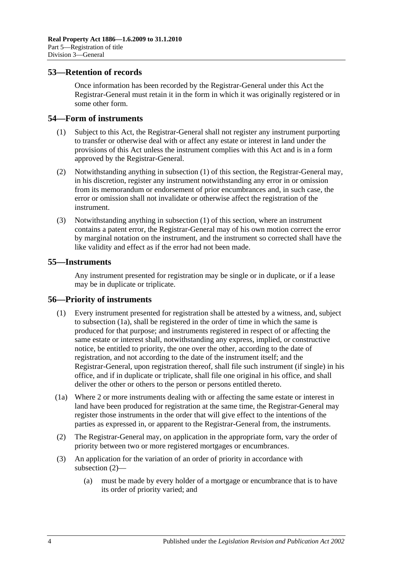#### <span id="page-29-0"></span>**53—Retention of records**

Once information has been recorded by the Registrar-General under this Act the Registrar-General must retain it in the form in which it was originally registered or in some other form.

#### <span id="page-29-4"></span><span id="page-29-1"></span>**54—Form of instruments**

- (1) Subject to this Act, the Registrar-General shall not register any instrument purporting to transfer or otherwise deal with or affect any estate or interest in land under the provisions of this Act unless the instrument complies with this Act and is in a form approved by the Registrar-General.
- (2) Notwithstanding anything in [subsection](#page-29-4) (1) of this section, the Registrar-General may, in his discretion, register any instrument notwithstanding any error in or omission from its memorandum or endorsement of prior encumbrances and, in such case, the error or omission shall not invalidate or otherwise affect the registration of the instrument.
- (3) Notwithstanding anything in [subsection](#page-29-4) (1) of this section, where an instrument contains a patent error, the Registrar-General may of his own motion correct the error by marginal notation on the instrument, and the instrument so corrected shall have the like validity and effect as if the error had not been made.

### <span id="page-29-2"></span>**55—Instruments**

Any instrument presented for registration may be single or in duplicate, or if a lease may be in duplicate or triplicate.

#### <span id="page-29-3"></span>**56—Priority of instruments**

- (1) Every instrument presented for registration shall be attested by a witness, and, subject to [subsection](#page-29-5) (1a), shall be registered in the order of time in which the same is produced for that purpose; and instruments registered in respect of or affecting the same estate or interest shall, notwithstanding any express, implied, or constructive notice, be entitled to priority, the one over the other, according to the date of registration, and not according to the date of the instrument itself; and the Registrar-General, upon registration thereof, shall file such instrument (if single) in his office, and if in duplicate or triplicate, shall file one original in his office, and shall deliver the other or others to the person or persons entitled thereto.
- <span id="page-29-5"></span>(1a) Where 2 or more instruments dealing with or affecting the same estate or interest in land have been produced for registration at the same time, the Registrar-General may register those instruments in the order that will give effect to the intentions of the parties as expressed in, or apparent to the Registrar-General from, the instruments.
- <span id="page-29-6"></span>(2) The Registrar-General may, on application in the appropriate form, vary the order of priority between two or more registered mortgages or encumbrances.
- (3) An application for the variation of an order of priority in accordance with [subsection](#page-29-6) (2)—
	- (a) must be made by every holder of a mortgage or encumbrance that is to have its order of priority varied; and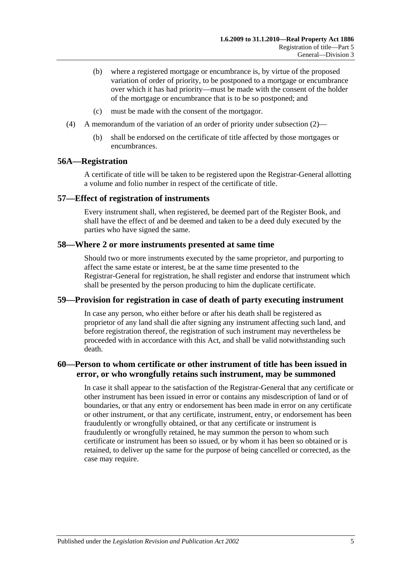- (b) where a registered mortgage or encumbrance is, by virtue of the proposed variation of order of priority, to be postponed to a mortgage or encumbrance over which it has had priority—must be made with the consent of the holder of the mortgage or encumbrance that is to be so postponed; and
- (c) must be made with the consent of the mortgagor.
- (4) A memorandum of the variation of an order of priority under [subsection](#page-29-6) (2)—
	- (b) shall be endorsed on the certificate of title affected by those mortgages or encumbrances.

#### <span id="page-30-0"></span>**56A—Registration**

A certificate of title will be taken to be registered upon the Registrar-General allotting a volume and folio number in respect of the certificate of title.

#### <span id="page-30-1"></span>**57—Effect of registration of instruments**

Every instrument shall, when registered, be deemed part of the Register Book, and shall have the effect of and be deemed and taken to be a deed duly executed by the parties who have signed the same.

#### <span id="page-30-2"></span>**58—Where 2 or more instruments presented at same time**

Should two or more instruments executed by the same proprietor, and purporting to affect the same estate or interest, be at the same time presented to the Registrar-General for registration, he shall register and endorse that instrument which shall be presented by the person producing to him the duplicate certificate.

#### <span id="page-30-3"></span>**59—Provision for registration in case of death of party executing instrument**

In case any person, who either before or after his death shall be registered as proprietor of any land shall die after signing any instrument affecting such land, and before registration thereof, the registration of such instrument may nevertheless be proceeded with in accordance with this Act, and shall be valid notwithstanding such death.

## <span id="page-30-4"></span>**60—Person to whom certificate or other instrument of title has been issued in error, or who wrongfully retains such instrument, may be summoned**

In case it shall appear to the satisfaction of the Registrar-General that any certificate or other instrument has been issued in error or contains any misdescription of land or of boundaries, or that any entry or endorsement has been made in error on any certificate or other instrument, or that any certificate, instrument, entry, or endorsement has been fraudulently or wrongfully obtained, or that any certificate or instrument is fraudulently or wrongfully retained, he may summon the person to whom such certificate or instrument has been so issued, or by whom it has been so obtained or is retained, to deliver up the same for the purpose of being cancelled or corrected, as the case may require.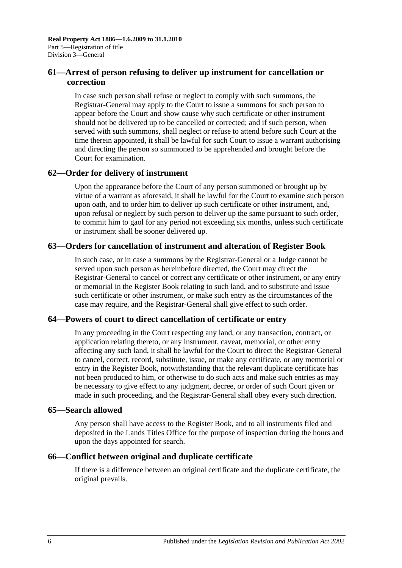## <span id="page-31-0"></span>**61—Arrest of person refusing to deliver up instrument for cancellation or correction**

In case such person shall refuse or neglect to comply with such summons, the Registrar-General may apply to the Court to issue a summons for such person to appear before the Court and show cause why such certificate or other instrument should not be delivered up to be cancelled or corrected; and if such person, when served with such summons, shall neglect or refuse to attend before such Court at the time therein appointed, it shall be lawful for such Court to issue a warrant authorising and directing the person so summoned to be apprehended and brought before the Court for examination.

## <span id="page-31-1"></span>**62—Order for delivery of instrument**

Upon the appearance before the Court of any person summoned or brought up by virtue of a warrant as aforesaid, it shall be lawful for the Court to examine such person upon oath, and to order him to deliver up such certificate or other instrument, and, upon refusal or neglect by such person to deliver up the same pursuant to such order, to commit him to gaol for any period not exceeding six months, unless such certificate or instrument shall be sooner delivered up.

## <span id="page-31-2"></span>**63—Orders for cancellation of instrument and alteration of Register Book**

In such case, or in case a summons by the Registrar-General or a Judge cannot be served upon such person as hereinbefore directed, the Court may direct the Registrar-General to cancel or correct any certificate or other instrument, or any entry or memorial in the Register Book relating to such land, and to substitute and issue such certificate or other instrument, or make such entry as the circumstances of the case may require, and the Registrar-General shall give effect to such order.

## <span id="page-31-3"></span>**64—Powers of court to direct cancellation of certificate or entry**

In any proceeding in the Court respecting any land, or any transaction, contract, or application relating thereto, or any instrument, caveat, memorial, or other entry affecting any such land, it shall be lawful for the Court to direct the Registrar-General to cancel, correct, record, substitute, issue, or make any certificate, or any memorial or entry in the Register Book, notwithstanding that the relevant duplicate certificate has not been produced to him, or otherwise to do such acts and make such entries as may be necessary to give effect to any judgment, decree, or order of such Court given or made in such proceeding, and the Registrar-General shall obey every such direction.

## <span id="page-31-4"></span>**65—Search allowed**

Any person shall have access to the Register Book, and to all instruments filed and deposited in the Lands Titles Office for the purpose of inspection during the hours and upon the days appointed for search.

## <span id="page-31-5"></span>**66—Conflict between original and duplicate certificate**

If there is a difference between an original certificate and the duplicate certificate, the original prevails.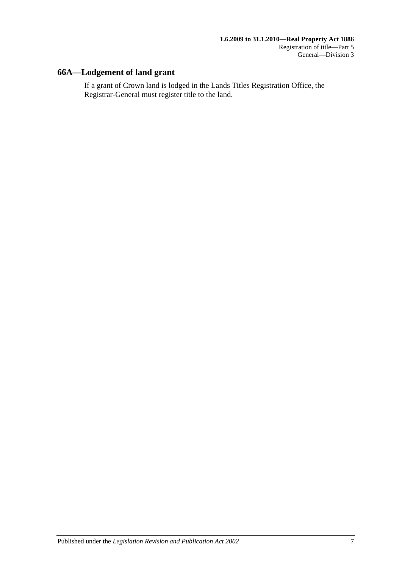## <span id="page-32-0"></span>**66A—Lodgement of land grant**

If a grant of Crown land is lodged in the Lands Titles Registration Office, the Registrar-General must register title to the land.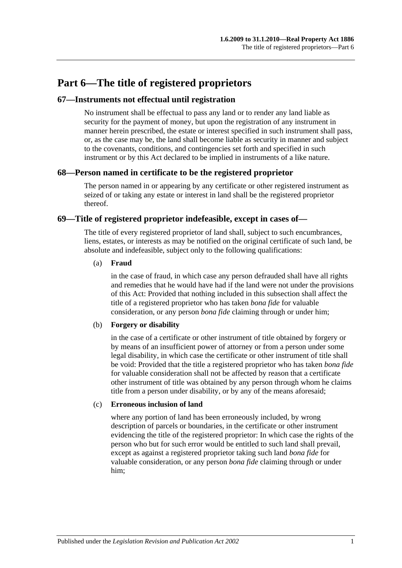## <span id="page-34-0"></span>**Part 6—The title of registered proprietors**

#### <span id="page-34-1"></span>**67—Instruments not effectual until registration**

No instrument shall be effectual to pass any land or to render any land liable as security for the payment of money, but upon the registration of any instrument in manner herein prescribed, the estate or interest specified in such instrument shall pass, or, as the case may be, the land shall become liable as security in manner and subject to the covenants, conditions, and contingencies set forth and specified in such instrument or by this Act declared to be implied in instruments of a like nature.

#### <span id="page-34-2"></span>**68—Person named in certificate to be the registered proprietor**

The person named in or appearing by any certificate or other registered instrument as seized of or taking any estate or interest in land shall be the registered proprietor thereof.

#### <span id="page-34-3"></span>**69—Title of registered proprietor indefeasible, except in cases of—**

The title of every registered proprietor of land shall, subject to such encumbrances, liens, estates, or interests as may be notified on the original certificate of such land, be absolute and indefeasible, subject only to the following qualifications:

#### (a) **Fraud**

in the case of fraud, in which case any person defrauded shall have all rights and remedies that he would have had if the land were not under the provisions of this Act: Provided that nothing included in this subsection shall affect the title of a registered proprietor who has taken *bona fide* for valuable consideration, or any person *bona fide* claiming through or under him;

#### (b) **Forgery or disability**

in the case of a certificate or other instrument of title obtained by forgery or by means of an insufficient power of attorney or from a person under some legal disability, in which case the certificate or other instrument of title shall be void: Provided that the title a registered proprietor who has taken *bona fide* for valuable consideration shall not be affected by reason that a certificate other instrument of title was obtained by any person through whom he claims title from a person under disability, or by any of the means aforesaid;

#### (c) **Erroneous inclusion of land**

where any portion of land has been erroneously included, by wrong description of parcels or boundaries, in the certificate or other instrument evidencing the title of the registered proprietor: In which case the rights of the person who but for such error would be entitled to such land shall prevail, except as against a registered proprietor taking such land *bona fide* for valuable consideration, or any person *bona fide* claiming through or under him;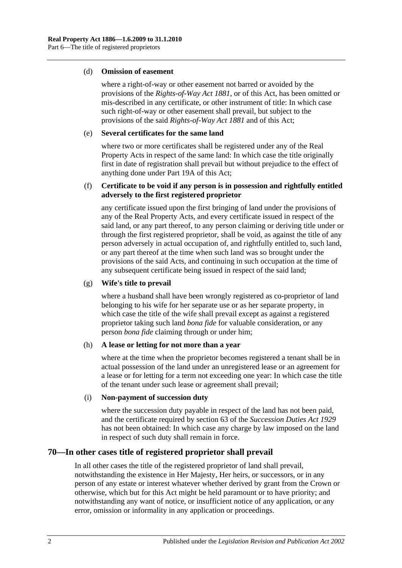#### (d) **Omission of easement**

where a right-of-way or other easement not barred or avoided by the provisions of the *[Rights-of-Way Act](http://www.legislation.sa.gov.au/index.aspx?action=legref&type=act&legtitle=Rights-of-Way%20Act%201881) 1881*, or of this Act, has been omitted or mis-described in any certificate, or other instrument of title: In which case such right-of-way or other easement shall prevail, but subject to the provisions of the said *[Rights-of-Way Act](http://www.legislation.sa.gov.au/index.aspx?action=legref&type=act&legtitle=Rights-of-Way%20Act%201881) 1881* and of this Act;

#### (e) **Several certificates for the same land**

where two or more certificates shall be registered under any of the Real Property Acts in respect of the same land: In which case the title originally first in date of registration shall prevail but without prejudice to the effect of anything done under [Part 19A](#page-100-0) of this Act;

#### (f) **Certificate to be void if any person is in possession and rightfully entitled adversely to the first registered proprietor**

any certificate issued upon the first bringing of land under the provisions of any of the Real Property Acts, and every certificate issued in respect of the said land, or any part thereof, to any person claiming or deriving title under or through the first registered proprietor, shall be void, as against the title of any person adversely in actual occupation of, and rightfully entitled to, such land, or any part thereof at the time when such land was so brought under the provisions of the said Acts, and continuing in such occupation at the time of any subsequent certificate being issued in respect of the said land;

#### (g) **Wife's title to prevail**

where a husband shall have been wrongly registered as co-proprietor of land belonging to his wife for her separate use or as her separate property, in which case the title of the wife shall prevail except as against a registered proprietor taking such land *bona fide* for valuable consideration, or any person *bona fide* claiming through or under him;

#### (h) **A lease or letting for not more than a year**

where at the time when the proprietor becomes registered a tenant shall be in actual possession of the land under an unregistered lease or an agreement for a lease or for letting for a term not exceeding one year: In which case the title of the tenant under such lease or agreement shall prevail;

#### (i) **Non-payment of succession duty**

where the succession duty payable in respect of the land has not been paid, and the certificate required by section 63 of the *[Succession Duties Act](http://www.legislation.sa.gov.au/index.aspx?action=legref&type=act&legtitle=Succession%20Duties%20Act%201929) 1929* has not been obtained: In which case any charge by law imposed on the land in respect of such duty shall remain in force.

## <span id="page-35-0"></span>**70—In other cases title of registered proprietor shall prevail**

In all other cases the title of the registered proprietor of land shall prevail, notwithstanding the existence in Her Majesty, Her heirs, or successors, or in any person of any estate or interest whatever whether derived by grant from the Crown or otherwise, which but for this Act might be held paramount or to have priority; and notwithstanding any want of notice, or insufficient notice of any application, or any error, omission or informality in any application or proceedings.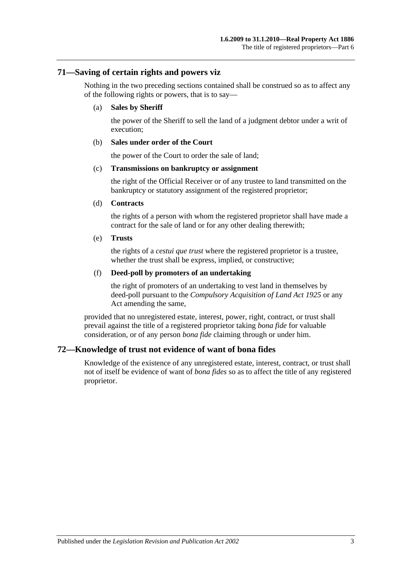#### **71—Saving of certain rights and powers viz**

Nothing in the two preceding sections contained shall be construed so as to affect any of the following rights or powers, that is to say—

#### (a) **Sales by Sheriff**

the power of the Sheriff to sell the land of a judgment debtor under a writ of execution;

#### (b) **Sales under order of the Court**

the power of the Court to order the sale of land;

#### (c) **Transmissions on bankruptcy or assignment**

the right of the Official Receiver or of any trustee to land transmitted on the bankruptcy or statutory assignment of the registered proprietor;

#### (d) **Contracts**

the rights of a person with whom the registered proprietor shall have made a contract for the sale of land or for any other dealing therewith;

#### (e) **Trusts**

the rights of a *cestui que trust* where the registered proprietor is a trustee, whether the trust shall be express, implied, or constructive;

#### (f) **Deed-poll by promoters of an undertaking**

the right of promoters of an undertaking to vest land in themselves by deed-poll pursuant to the *[Compulsory Acquisition of Land Act](http://www.legislation.sa.gov.au/index.aspx?action=legref&type=act&legtitle=Compulsory%20Acquisition%20of%20Land%20Act%201925) 1925* or any Act amending the same,

provided that no unregistered estate, interest, power, right, contract, or trust shall prevail against the title of a registered proprietor taking *bona fide* for valuable consideration, or of any person *bona fide* claiming through or under him.

## **72—Knowledge of trust not evidence of want of bona fides**

Knowledge of the existence of any unregistered estate, interest, contract, or trust shall not of itself be evidence of want of *bona fides* so as to affect the title of any registered proprietor.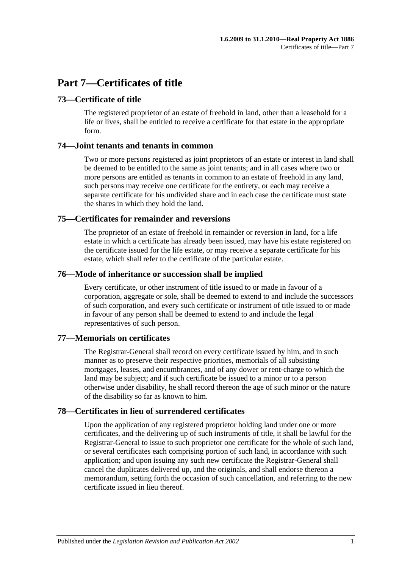# **Part 7—Certificates of title**

## **73—Certificate of title**

The registered proprietor of an estate of freehold in land, other than a leasehold for a life or lives, shall be entitled to receive a certificate for that estate in the appropriate form.

#### **74—Joint tenants and tenants in common**

Two or more persons registered as joint proprietors of an estate or interest in land shall be deemed to be entitled to the same as joint tenants; and in all cases where two or more persons are entitled as tenants in common to an estate of freehold in any land, such persons may receive one certificate for the entirety, or each may receive a separate certificate for his undivided share and in each case the certificate must state the shares in which they hold the land.

## **75—Certificates for remainder and reversions**

The proprietor of an estate of freehold in remainder or reversion in land, for a life estate in which a certificate has already been issued, may have his estate registered on the certificate issued for the life estate, or may receive a separate certificate for his estate, which shall refer to the certificate of the particular estate.

#### **76—Mode of inheritance or succession shall be implied**

Every certificate, or other instrument of title issued to or made in favour of a corporation, aggregate or sole, shall be deemed to extend to and include the successors of such corporation, and every such certificate or instrument of title issued to or made in favour of any person shall be deemed to extend to and include the legal representatives of such person.

## **77—Memorials on certificates**

The Registrar-General shall record on every certificate issued by him, and in such manner as to preserve their respective priorities, memorials of all subsisting mortgages, leases, and encumbrances, and of any dower or rent-charge to which the land may be subject; and if such certificate be issued to a minor or to a person otherwise under disability, he shall record thereon the age of such minor or the nature of the disability so far as known to him.

## **78—Certificates in lieu of surrendered certificates**

Upon the application of any registered proprietor holding land under one or more certificates, and the delivering up of such instruments of title, it shall be lawful for the Registrar-General to issue to such proprietor one certificate for the whole of such land, or several certificates each comprising portion of such land, in accordance with such application; and upon issuing any such new certificate the Registrar-General shall cancel the duplicates delivered up, and the originals, and shall endorse thereon a memorandum, setting forth the occasion of such cancellation, and referring to the new certificate issued in lieu thereof.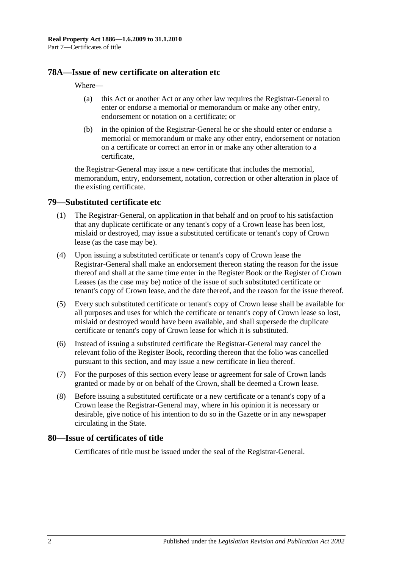### **78A—Issue of new certificate on alteration etc**

#### Where—

- (a) this Act or another Act or any other law requires the Registrar-General to enter or endorse a memorial or memorandum or make any other entry, endorsement or notation on a certificate; or
- (b) in the opinion of the Registrar-General he or she should enter or endorse a memorial or memorandum or make any other entry, endorsement or notation on a certificate or correct an error in or make any other alteration to a certificate,

the Registrar-General may issue a new certificate that includes the memorial, memorandum, entry, endorsement, notation, correction or other alteration in place of the existing certificate.

#### <span id="page-39-0"></span>**79—Substituted certificate etc**

- (1) The Registrar-General, on application in that behalf and on proof to his satisfaction that any duplicate certificate or any tenant's copy of a Crown lease has been lost, mislaid or destroyed, may issue a substituted certificate or tenant's copy of Crown lease (as the case may be).
- (4) Upon issuing a substituted certificate or tenant's copy of Crown lease the Registrar-General shall make an endorsement thereon stating the reason for the issue thereof and shall at the same time enter in the Register Book or the Register of Crown Leases (as the case may be) notice of the issue of such substituted certificate or tenant's copy of Crown lease, and the date thereof, and the reason for the issue thereof.
- (5) Every such substituted certificate or tenant's copy of Crown lease shall be available for all purposes and uses for which the certificate or tenant's copy of Crown lease so lost, mislaid or destroyed would have been available, and shall supersede the duplicate certificate or tenant's copy of Crown lease for which it is substituted.
- (6) Instead of issuing a substituted certificate the Registrar-General may cancel the relevant folio of the Register Book, recording thereon that the folio was cancelled pursuant to this section, and may issue a new certificate in lieu thereof.
- (7) For the purposes of this section every lease or agreement for sale of Crown lands granted or made by or on behalf of the Crown, shall be deemed a Crown lease.
- (8) Before issuing a substituted certificate or a new certificate or a tenant's copy of a Crown lease the Registrar-General may, where in his opinion it is necessary or desirable, give notice of his intention to do so in the Gazette or in any newspaper circulating in the State.

#### **80—Issue of certificates of title**

Certificates of title must be issued under the seal of the Registrar-General.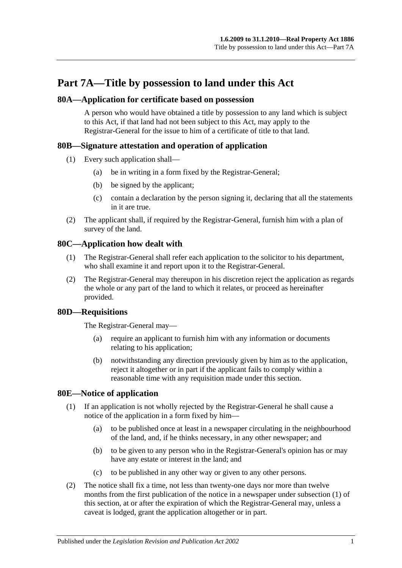# **Part 7A—Title by possession to land under this Act**

### **80A—Application for certificate based on possession**

A person who would have obtained a title by possession to any land which is subject to this Act, if that land had not been subject to this Act, may apply to the Registrar-General for the issue to him of a certificate of title to that land.

## **80B—Signature attestation and operation of application**

- (1) Every such application shall—
	- (a) be in writing in a form fixed by the Registrar-General;
	- (b) be signed by the applicant;
	- (c) contain a declaration by the person signing it, declaring that all the statements in it are true.
- (2) The applicant shall, if required by the Registrar-General, furnish him with a plan of survey of the land.

## **80C—Application how dealt with**

- (1) The Registrar-General shall refer each application to the solicitor to his department, who shall examine it and report upon it to the Registrar-General.
- (2) The Registrar-General may thereupon in his discretion reject the application as regards the whole or any part of the land to which it relates, or proceed as hereinafter provided.

## **80D—Requisitions**

The Registrar-General may—

- (a) require an applicant to furnish him with any information or documents relating to his application;
- (b) notwithstanding any direction previously given by him as to the application, reject it altogether or in part if the applicant fails to comply within a reasonable time with any requisition made under this section.

## <span id="page-40-1"></span><span id="page-40-0"></span>**80E—Notice of application**

- (1) If an application is not wholly rejected by the Registrar-General he shall cause a notice of the application in a form fixed by him—
	- (a) to be published once at least in a newspaper circulating in the neighbourhood of the land, and, if he thinks necessary, in any other newspaper; and
	- (b) to be given to any person who in the Registrar-General's opinion has or may have any estate or interest in the land; and
	- (c) to be published in any other way or given to any other persons.
- (2) The notice shall fix a time, not less than twenty-one days nor more than twelve months from the first publication of the notice in a newspaper under [subsection](#page-40-0) (1) of this section, at or after the expiration of which the Registrar-General may, unless a caveat is lodged, grant the application altogether or in part.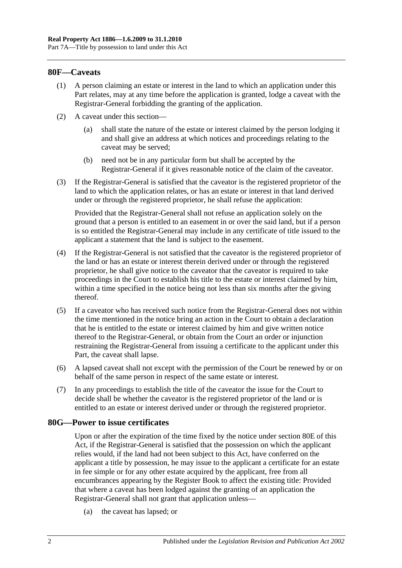#### **80F—Caveats**

- (1) A person claiming an estate or interest in the land to which an application under this Part relates, may at any time before the application is granted, lodge a caveat with the Registrar-General forbidding the granting of the application.
- (2) A caveat under this section—
	- (a) shall state the nature of the estate or interest claimed by the person lodging it and shall give an address at which notices and proceedings relating to the caveat may be served;
	- (b) need not be in any particular form but shall be accepted by the Registrar-General if it gives reasonable notice of the claim of the caveator.
- (3) If the Registrar-General is satisfied that the caveator is the registered proprietor of the land to which the application relates, or has an estate or interest in that land derived under or through the registered proprietor, he shall refuse the application:

Provided that the Registrar-General shall not refuse an application solely on the ground that a person is entitled to an easement in or over the said land, but if a person is so entitled the Registrar-General may include in any certificate of title issued to the applicant a statement that the land is subject to the easement.

- (4) If the Registrar-General is not satisfied that the caveator is the registered proprietor of the land or has an estate or interest therein derived under or through the registered proprietor, he shall give notice to the caveator that the caveator is required to take proceedings in the Court to establish his title to the estate or interest claimed by him, within a time specified in the notice being not less than six months after the giving thereof.
- (5) If a caveator who has received such notice from the Registrar-General does not within the time mentioned in the notice bring an action in the Court to obtain a declaration that he is entitled to the estate or interest claimed by him and give written notice thereof to the Registrar-General, or obtain from the Court an order or injunction restraining the Registrar-General from issuing a certificate to the applicant under this Part, the caveat shall lapse.
- (6) A lapsed caveat shall not except with the permission of the Court be renewed by or on behalf of the same person in respect of the same estate or interest.
- (7) In any proceedings to establish the title of the caveator the issue for the Court to decide shall be whether the caveator is the registered proprietor of the land or is entitled to an estate or interest derived under or through the registered proprietor.

#### **80G—Power to issue certificates**

Upon or after the expiration of the time fixed by the notice under [section](#page-40-1) 80E of this Act, if the Registrar-General is satisfied that the possession on which the applicant relies would, if the land had not been subject to this Act, have conferred on the applicant a title by possession, he may issue to the applicant a certificate for an estate in fee simple or for any other estate acquired by the applicant, free from all encumbrances appearing by the Register Book to affect the existing title: Provided that where a caveat has been lodged against the granting of an application the Registrar-General shall not grant that application unless—

(a) the caveat has lapsed; or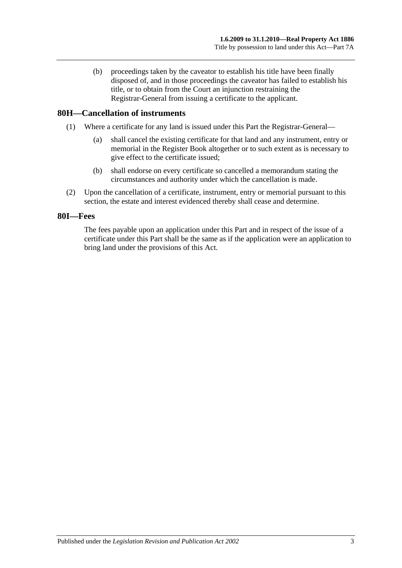(b) proceedings taken by the caveator to establish his title have been finally disposed of, and in those proceedings the caveator has failed to establish his title, or to obtain from the Court an injunction restraining the Registrar-General from issuing a certificate to the applicant.

#### **80H—Cancellation of instruments**

- (1) Where a certificate for any land is issued under this Part the Registrar-General—
	- (a) shall cancel the existing certificate for that land and any instrument, entry or memorial in the Register Book altogether or to such extent as is necessary to give effect to the certificate issued;
	- (b) shall endorse on every certificate so cancelled a memorandum stating the circumstances and authority under which the cancellation is made.
- (2) Upon the cancellation of a certificate, instrument, entry or memorial pursuant to this section, the estate and interest evidenced thereby shall cease and determine.

#### **80I—Fees**

The fees payable upon an application under this Part and in respect of the issue of a certificate under this Part shall be the same as if the application were an application to bring land under the provisions of this Act.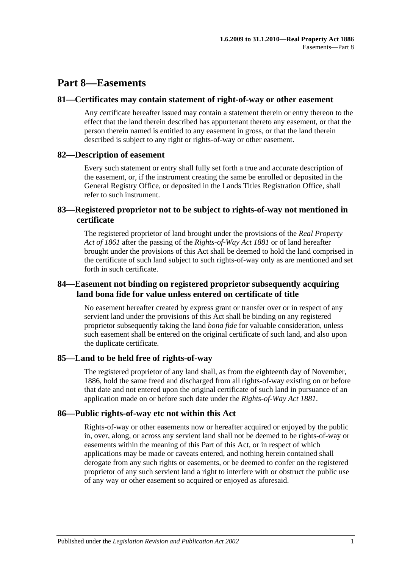# **Part 8—Easements**

#### **81—Certificates may contain statement of right-of-way or other easement**

Any certificate hereafter issued may contain a statement therein or entry thereon to the effect that the land therein described has appurtenant thereto any easement, or that the person therein named is entitled to any easement in gross, or that the land therein described is subject to any right or rights-of-way or other easement.

## **82—Description of easement**

Every such statement or entry shall fully set forth a true and accurate description of the easement, or, if the instrument creating the same be enrolled or deposited in the General Registry Office, or deposited in the Lands Titles Registration Office, shall refer to such instrument.

## **83—Registered proprietor not to be subject to rights-of-way not mentioned in certificate**

The registered proprietor of land brought under the provisions of the *[Real Property](http://www.legislation.sa.gov.au/index.aspx?action=legref&type=act&legtitle=Real%20Property%20Act%20of%201861)  [Act of](http://www.legislation.sa.gov.au/index.aspx?action=legref&type=act&legtitle=Real%20Property%20Act%20of%201861) 1861* after the passing of the *[Rights-of-Way Act](http://www.legislation.sa.gov.au/index.aspx?action=legref&type=act&legtitle=Rights-of-Way%20Act%201881) 1881* or of land hereafter brought under the provisions of this Act shall be deemed to hold the land comprised in the certificate of such land subject to such rights-of-way only as are mentioned and set forth in such certificate.

## **84—Easement not binding on registered proprietor subsequently acquiring land bona fide for value unless entered on certificate of title**

No easement hereafter created by express grant or transfer over or in respect of any servient land under the provisions of this Act shall be binding on any registered proprietor subsequently taking the land *bona fide* for valuable consideration, unless such easement shall be entered on the original certificate of such land, and also upon the duplicate certificate.

## **85—Land to be held free of rights-of-way**

The registered proprietor of any land shall, as from the eighteenth day of November, 1886, hold the same freed and discharged from all rights-of-way existing on or before that date and not entered upon the original certificate of such land in pursuance of an application made on or before such date under the *[Rights-of-Way Act](http://www.legislation.sa.gov.au/index.aspx?action=legref&type=act&legtitle=Rights-of-Way%20Act%201881) 1881*.

## **86—Public rights-of-way etc not within this Act**

Rights-of-way or other easements now or hereafter acquired or enjoyed by the public in, over, along, or across any servient land shall not be deemed to be rights-of-way or easements within the meaning of this Part of this Act, or in respect of which applications may be made or caveats entered, and nothing herein contained shall derogate from any such rights or easements, or be deemed to confer on the registered proprietor of any such servient land a right to interfere with or obstruct the public use of any way or other easement so acquired or enjoyed as aforesaid.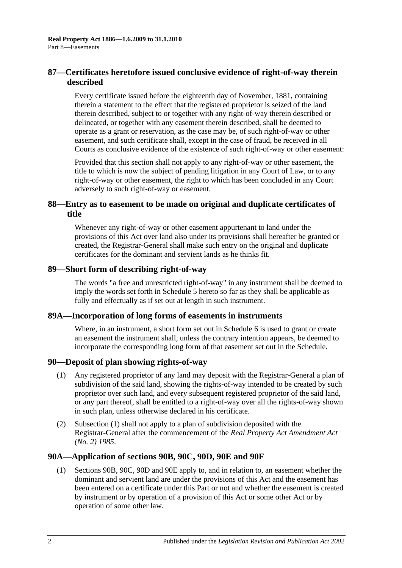## **87—Certificates heretofore issued conclusive evidence of right-of-way therein described**

Every certificate issued before the eighteenth day of November, 1881, containing therein a statement to the effect that the registered proprietor is seized of the land therein described, subject to or together with any right-of-way therein described or delineated, or together with any easement therein described, shall be deemed to operate as a grant or reservation, as the case may be, of such right-of-way or other easement, and such certificate shall, except in the case of fraud, be received in all Courts as conclusive evidence of the existence of such right-of-way or other easement:

Provided that this section shall not apply to any right-of-way or other easement, the title to which is now the subject of pending litigation in any Court of Law, or to any right-of-way or other easement, the right to which has been concluded in any Court adversely to such right-of-way or easement.

## **88—Entry as to easement to be made on original and duplicate certificates of title**

Whenever any right-of-way or other easement appurtenant to land under the provisions of this Act over land also under its provisions shall hereafter be granted or created, the Registrar-General shall make such entry on the original and duplicate certificates for the dominant and servient lands as he thinks fit.

#### **89—Short form of describing right-of-way**

The words "a free and unrestricted right-of-way" in any instrument shall be deemed to imply the words set forth in [Schedule 5](#page-132-0) hereto so far as they shall be applicable as fully and effectually as if set out at length in such instrument.

## **89A—Incorporation of long forms of easements in instruments**

Where, in an instrument, a short form set out in [Schedule 6](#page-132-1) is used to grant or create an easement the instrument shall, unless the contrary intention appears, be deemed to incorporate the corresponding long form of that easement set out in the Schedule.

## <span id="page-45-0"></span>**90—Deposit of plan showing rights-of-way**

- (1) Any registered proprietor of any land may deposit with the Registrar-General a plan of subdivision of the said land, showing the rights-of-way intended to be created by such proprietor over such land, and every subsequent registered proprietor of the said land, or any part thereof, shall be entitled to a right-of-way over all the rights-of-way shown in such plan, unless otherwise declared in his certificate.
- (2) [Subsection](#page-45-0) (1) shall not apply to a plan of subdivision deposited with the Registrar-General after the commencement of the *[Real Property Act Amendment Act](http://www.legislation.sa.gov.au/index.aspx?action=legref&type=act&legtitle=Real%20Property%20Act%20Amendment%20Act%20(No.%202)%201985)  (No. 2) [1985](http://www.legislation.sa.gov.au/index.aspx?action=legref&type=act&legtitle=Real%20Property%20Act%20Amendment%20Act%20(No.%202)%201985)*.

## **90A—Application of [sections](#page-46-0) 90B, [90C,](#page-48-0) [90D,](#page-49-0) [90E](#page-49-1) and [90F](#page-49-2)**

(1) [Sections](#page-46-0) 90B, [90C,](#page-48-0) [90D](#page-49-0) and [90E](#page-49-1) apply to, and in relation to, an easement whether the dominant and servient land are under the provisions of this Act and the easement has been entered on a certificate under this Part or not and whether the easement is created by instrument or by operation of a provision of this Act or some other Act or by operation of some other law.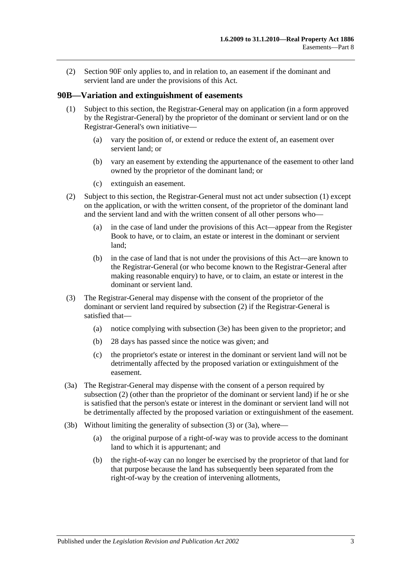(2) [Section](#page-49-2) 90F only applies to, and in relation to, an easement if the dominant and servient land are under the provisions of this Act.

#### <span id="page-46-1"></span><span id="page-46-0"></span>**90B—Variation and extinguishment of easements**

- (1) Subject to this section, the Registrar-General may on application (in a form approved by the Registrar-General) by the proprietor of the dominant or servient land or on the Registrar-General's own initiative—
	- (a) vary the position of, or extend or reduce the extent of, an easement over servient land; or
	- (b) vary an easement by extending the appurtenance of the easement to other land owned by the proprietor of the dominant land; or
	- (c) extinguish an easement.
- <span id="page-46-2"></span>(2) Subject to this section, the Registrar-General must not act under [subsection](#page-46-1) (1) except on the application, or with the written consent, of the proprietor of the dominant land and the servient land and with the written consent of all other persons who—
	- (a) in the case of land under the provisions of this Act—appear from the Register Book to have, or to claim, an estate or interest in the dominant or servient land;
	- (b) in the case of land that is not under the provisions of this Act—are known to the Registrar-General (or who become known to the Registrar-General after making reasonable enquiry) to have, or to claim, an estate or interest in the dominant or servient land.
- <span id="page-46-3"></span>(3) The Registrar-General may dispense with the consent of the proprietor of the dominant or servient land required by [subsection](#page-46-2) (2) if the Registrar-General is satisfied that—
	- (a) notice complying with [subsection](#page-47-0) (3e) has been given to the proprietor; and
	- (b) 28 days has passed since the notice was given; and
	- (c) the proprietor's estate or interest in the dominant or servient land will not be detrimentally affected by the proposed variation or extinguishment of the easement.
- <span id="page-46-4"></span>(3a) The Registrar-General may dispense with the consent of a person required by [subsection](#page-46-2) (2) (other than the proprietor of the dominant or servient land) if he or she is satisfied that the person's estate or interest in the dominant or servient land will not be detrimentally affected by the proposed variation or extinguishment of the easement.
- <span id="page-46-5"></span>(3b) Without limiting the generality of [subsection](#page-46-3) (3) or [\(3a\),](#page-46-4) where—
	- (a) the original purpose of a right-of-way was to provide access to the dominant land to which it is appurtenant; and
	- (b) the right-of-way can no longer be exercised by the proprietor of that land for that purpose because the land has subsequently been separated from the right-of-way by the creation of intervening allotments,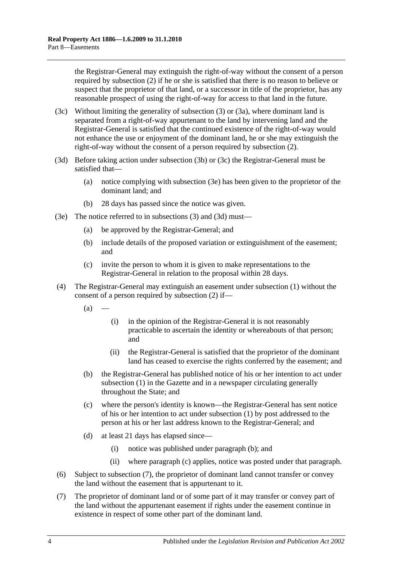the Registrar-General may extinguish the right-of-way without the consent of a person required by [subsection](#page-46-2) (2) if he or she is satisfied that there is no reason to believe or suspect that the proprietor of that land, or a successor in title of the proprietor, has any reasonable prospect of using the right-of-way for access to that land in the future.

- <span id="page-47-1"></span>(3c) Without limiting the generality of [subsection](#page-46-3) (3) or [\(3a\),](#page-46-4) where dominant land is separated from a right-of-way appurtenant to the land by intervening land and the Registrar-General is satisfied that the continued existence of the right-of-way would not enhance the use or enjoyment of the dominant land, he or she may extinguish the right-of-way without the consent of a person required by [subsection](#page-46-2) (2).
- <span id="page-47-2"></span>(3d) Before taking action under [subsection](#page-46-5) (3b) or [\(3c\)](#page-47-1) the Registrar-General must be satisfied that—
	- (a) notice complying with [subsection](#page-47-0) (3e) has been given to the proprietor of the dominant land; and
	- (b) 28 days has passed since the notice was given.
- <span id="page-47-0"></span>(3e) The notice referred to in [subsections](#page-46-3) (3) and [\(3d\)](#page-47-2) must—
	- (a) be approved by the Registrar-General; and
	- (b) include details of the proposed variation or extinguishment of the easement; and
	- (c) invite the person to whom it is given to make representations to the Registrar-General in relation to the proposal within 28 days.
- <span id="page-47-3"></span>(4) The Registrar-General may extinguish an easement under [subsection](#page-46-1) (1) without the consent of a person required by [subsection](#page-46-2) (2) if—
	- $(a)$ 
		- (i) in the opinion of the Registrar-General it is not reasonably practicable to ascertain the identity or whereabouts of that person; and
		- (ii) the Registrar-General is satisfied that the proprietor of the dominant land has ceased to exercise the rights conferred by the easement; and
	- (b) the Registrar-General has published notice of his or her intention to act under [subsection](#page-46-1) (1) in the Gazette and in a newspaper circulating generally throughout the State; and
	- (c) where the person's identity is known—the Registrar-General has sent notice of his or her intention to act under [subsection](#page-46-1) (1) by post addressed to the person at his or her last address known to the Registrar-General; and
	- (d) at least 21 days has elapsed since—
		- (i) notice was published under [paragraph](#page-47-3) (b); and
		- (ii) where [paragraph](#page-47-4) (c) applies, notice was posted under that paragraph.
- <span id="page-47-4"></span>(6) Subject to [subsection](#page-47-5) (7), the proprietor of dominant land cannot transfer or convey the land without the easement that is appurtenant to it.
- <span id="page-47-5"></span>(7) The proprietor of dominant land or of some part of it may transfer or convey part of the land without the appurtenant easement if rights under the easement continue in existence in respect of some other part of the dominant land.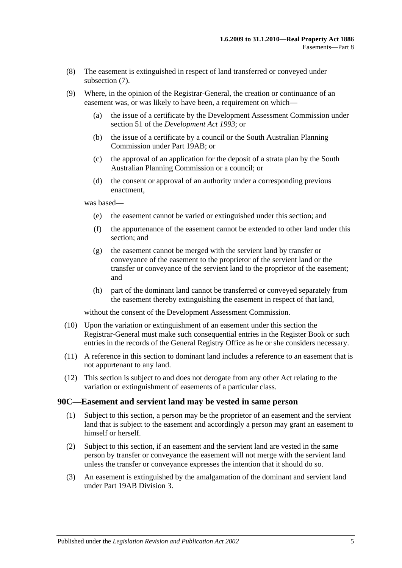- (8) The easement is extinguished in respect of land transferred or conveyed under [subsection](#page-47-5) (7).
- (9) Where, in the opinion of the Registrar-General, the creation or continuance of an easement was, or was likely to have been, a requirement on which—
	- (a) the issue of a certificate by the Development Assessment Commission under section 51 of the *[Development Act](http://www.legislation.sa.gov.au/index.aspx?action=legref&type=act&legtitle=Development%20Act%201993) 1993*; or
	- (b) the issue of a certificate by a council or the South Australian Planning Commission under [Part 19AB;](#page-104-0) or
	- (c) the approval of an application for the deposit of a strata plan by the South Australian Planning Commission or a council; or
	- (d) the consent or approval of an authority under a corresponding previous enactment,

was based—

- (e) the easement cannot be varied or extinguished under this section; and
- (f) the appurtenance of the easement cannot be extended to other land under this section; and
- (g) the easement cannot be merged with the servient land by transfer or conveyance of the easement to the proprietor of the servient land or the transfer or conveyance of the servient land to the proprietor of the easement; and
- (h) part of the dominant land cannot be transferred or conveyed separately from the easement thereby extinguishing the easement in respect of that land,

without the consent of the Development Assessment Commission.

- (10) Upon the variation or extinguishment of an easement under this section the Registrar-General must make such consequential entries in the Register Book or such entries in the records of the General Registry Office as he or she considers necessary.
- (11) A reference in this section to dominant land includes a reference to an easement that is not appurtenant to any land.
- (12) This section is subject to and does not derogate from any other Act relating to the variation or extinguishment of easements of a particular class.

#### <span id="page-48-0"></span>**90C—Easement and servient land may be vested in same person**

- (1) Subject to this section, a person may be the proprietor of an easement and the servient land that is subject to the easement and accordingly a person may grant an easement to himself or herself.
- (2) Subject to this section, if an easement and the servient land are vested in the same person by transfer or conveyance the easement will not merge with the servient land unless the transfer or conveyance expresses the intention that it should do so.
- (3) An easement is extinguished by the amalgamation of the dominant and servient land under [Part 19AB](#page-104-0) [Division 3.](#page-114-0)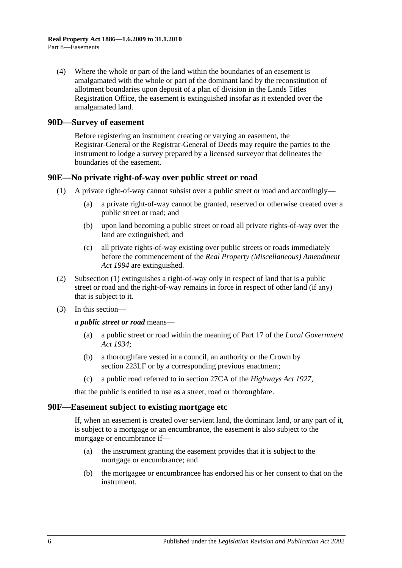(4) Where the whole or part of the land within the boundaries of an easement is amalgamated with the whole or part of the dominant land by the reconstitution of allotment boundaries upon deposit of a plan of division in the Lands Titles Registration Office, the easement is extinguished insofar as it extended over the amalgamated land.

#### <span id="page-49-0"></span>**90D—Survey of easement**

Before registering an instrument creating or varying an easement, the Registrar-General or the Registrar-General of Deeds may require the parties to the instrument to lodge a survey prepared by a licensed surveyor that delineates the boundaries of the easement.

#### <span id="page-49-3"></span><span id="page-49-1"></span>**90E—No private right-of-way over public street or road**

- (1) A private right-of-way cannot subsist over a public street or road and accordingly—
	- (a) a private right-of-way cannot be granted, reserved or otherwise created over a public street or road; and
	- (b) upon land becoming a public street or road all private rights-of-way over the land are extinguished; and
	- (c) all private rights-of-way existing over public streets or roads immediately before the commencement of the *[Real Property \(Miscellaneous\) Amendment](http://www.legislation.sa.gov.au/index.aspx?action=legref&type=act&legtitle=Real%20Property%20(Miscellaneous)%20Amendment%20Act%201994)  Act [1994](http://www.legislation.sa.gov.au/index.aspx?action=legref&type=act&legtitle=Real%20Property%20(Miscellaneous)%20Amendment%20Act%201994)* are extinguished.
- (2) [Subsection](#page-49-3) (1) extinguishes a right-of-way only in respect of land that is a public street or road and the right-of-way remains in force in respect of other land (if any) that is subject to it.
- (3) In this section—

*a public street or road* means—

- (a) a public street or road within the meaning of Part 17 of the *[Local Government](http://www.legislation.sa.gov.au/index.aspx?action=legref&type=act&legtitle=Local%20Government%20Act%201934)  Act [1934](http://www.legislation.sa.gov.au/index.aspx?action=legref&type=act&legtitle=Local%20Government%20Act%201934)*;
- (b) a thoroughfare vested in a council, an authority or the Crown by [section](#page-111-0) 223LF or by a corresponding previous enactment;
- (c) a public road referred to in section 27CA of the *[Highways Act](http://www.legislation.sa.gov.au/index.aspx?action=legref&type=act&legtitle=Highways%20Act%201927) 1927*,

that the public is entitled to use as a street, road or thoroughfare.

#### <span id="page-49-2"></span>**90F—Easement subject to existing mortgage etc**

If, when an easement is created over servient land, the dominant land, or any part of it, is subject to a mortgage or an encumbrance, the easement is also subject to the mortgage or encumbrance if—

- (a) the instrument granting the easement provides that it is subject to the mortgage or encumbrance; and
- (b) the mortgagee or encumbrancee has endorsed his or her consent to that on the instrument.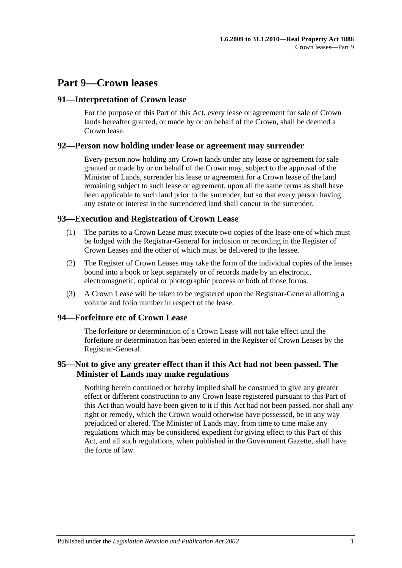# **Part 9—Crown leases**

### **91—Interpretation of Crown lease**

For the purpose of this Part of this Act, every lease or agreement for sale of Crown lands hereafter granted, or made by or on behalf of the Crown, shall be deemed a Crown lease.

#### **92—Person now holding under lease or agreement may surrender**

Every person now holding any Crown lands under any lease or agreement for sale granted or made by or on behalf of the Crown may, subject to the approval of the Minister of Lands, surrender his lease or agreement for a Crown lease of the land remaining subject to such lease or agreement, upon all the same terms as shall have been applicable to such land prior to the surrender, but so that every person having any estate or interest in the surrendered land shall concur in the surrender.

## **93—Execution and Registration of Crown Lease**

- (1) The parties to a Crown Lease must execute two copies of the lease one of which must be lodged with the Registrar-General for inclusion or recording in the Register of Crown Leases and the other of which must be delivered to the lessee.
- (2) The Register of Crown Leases may take the form of the individual copies of the leases bound into a book or kept separately or of records made by an electronic, electromagnetic, optical or photographic process or both of those forms.
- (3) A Crown Lease will be taken to be registered upon the Registrar-General allotting a volume and folio number in respect of the lease.

## **94—Forfeiture etc of Crown Lease**

The forfeiture or determination of a Crown Lease will not take effect until the forfeiture or determination has been entered in the Register of Crown Leases by the Registrar-General.

## **95—Not to give any greater effect than if this Act had not been passed. The Minister of Lands may make regulations**

Nothing herein contained or hereby implied shall be construed to give any greater effect or different construction to any Crown lease registered pursuant to this Part of this Act than would have been given to it if this Act had not been passed, nor shall any right or remedy, which the Crown would otherwise have possessed, be in any way prejudiced or altered. The Minister of Lands may, from time to time make any regulations which may be considered expedient for giving effect to this Part of this Act, and all such regulations, when published in the Government Gazette, shall have the force of law.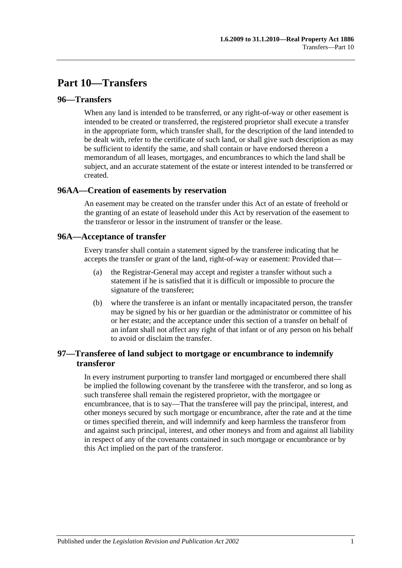# **Part 10—Transfers**

### **96—Transfers**

When any land is intended to be transferred, or any right-of-way or other easement is intended to be created or transferred, the registered proprietor shall execute a transfer in the appropriate form, which transfer shall, for the description of the land intended to be dealt with, refer to the certificate of such land, or shall give such description as may be sufficient to identify the same, and shall contain or have endorsed thereon a memorandum of all leases, mortgages, and encumbrances to which the land shall be subject, and an accurate statement of the estate or interest intended to be transferred or created.

#### **96AA—Creation of easements by reservation**

An easement may be created on the transfer under this Act of an estate of freehold or the granting of an estate of leasehold under this Act by reservation of the easement to the transferor or lessor in the instrument of transfer or the lease.

#### **96A—Acceptance of transfer**

Every transfer shall contain a statement signed by the transferee indicating that he accepts the transfer or grant of the land, right-of-way or easement: Provided that—

- (a) the Registrar-General may accept and register a transfer without such a statement if he is satisfied that it is difficult or impossible to procure the signature of the transferee;
- (b) where the transferee is an infant or mentally incapacitated person, the transfer may be signed by his or her guardian or the administrator or committee of his or her estate; and the acceptance under this section of a transfer on behalf of an infant shall not affect any right of that infant or of any person on his behalf to avoid or disclaim the transfer.

## **97—Transferee of land subject to mortgage or encumbrance to indemnify transferor**

In every instrument purporting to transfer land mortgaged or encumbered there shall be implied the following covenant by the transferee with the transferor, and so long as such transferee shall remain the registered proprietor, with the mortgagee or encumbrancee, that is to say—That the transferee will pay the principal, interest, and other moneys secured by such mortgage or encumbrance, after the rate and at the time or times specified therein, and will indemnify and keep harmless the transferor from and against such principal, interest, and other moneys and from and against all liability in respect of any of the covenants contained in such mortgage or encumbrance or by this Act implied on the part of the transferor.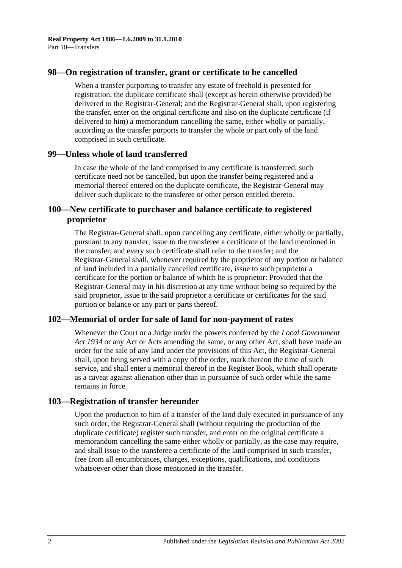### **98—On registration of transfer, grant or certificate to be cancelled**

When a transfer purporting to transfer any estate of freehold is presented for registration, the duplicate certificate shall (except as herein otherwise provided) be delivered to the Registrar-General; and the Registrar-General shall, upon registering the transfer, enter on the original certificate and also on the duplicate certificate (if delivered to him) a memorandum cancelling the same, either wholly or partially, according as the transfer purports to transfer the whole or part only of the land comprised in such certificate.

#### **99—Unless whole of land transferred**

In case the whole of the land comprised in any certificate is transferred, such certificate need not be cancelled, but upon the transfer being registered and a memorial thereof entered on the duplicate certificate, the Registrar-General may deliver such duplicate to the transferee or other person entitled thereto.

## **100—New certificate to purchaser and balance certificate to registered proprietor**

The Registrar-General shall, upon cancelling any certificate, either wholly or partially, pursuant to any transfer, issue to the transferee a certificate of the land mentioned in the transfer, and every such certificate shall refer to the transfer; and the Registrar-General shall, whenever required by the proprietor of any portion or balance of land included in a partially cancelled certificate, issue to such proprietor a certificate for the portion or balance of which he is proprietor: Provided that the Registrar-General may in his discretion at any time without being so required by the said proprietor, issue to the said proprietor a certificate or certificates for the said portion or balance or any part or parts thereof.

## **102—Memorial of order for sale of land for non-payment of rates**

Whenever the Court or a Judge under the powers conferred by the *[Local Government](http://www.legislation.sa.gov.au/index.aspx?action=legref&type=act&legtitle=Local%20Government%20Act%201934)  Act [1934](http://www.legislation.sa.gov.au/index.aspx?action=legref&type=act&legtitle=Local%20Government%20Act%201934)* or any Act or Acts amending the same, or any other Act, shall have made an order for the sale of any land under the provisions of this Act, the Registrar-General shall, upon being served with a copy of the order, mark thereon the time of such service, and shall enter a memorial thereof in the Register Book, which shall operate as a caveat against alienation other than in pursuance of such order while the same remains in force.

## **103—Registration of transfer hereunder**

Upon the production to him of a transfer of the land duly executed in pursuance of any such order, the Registrar-General shall (without requiring the production of the duplicate certificate) register such transfer, and enter on the original certificate a memorandum cancelling the same either wholly or partially, as the case may require, and shall issue to the transferee a certificate of the land comprised in such transfer, free from all encumbrances, charges, exceptions, qualifications, and conditions whatsoever other than those mentioned in the transfer.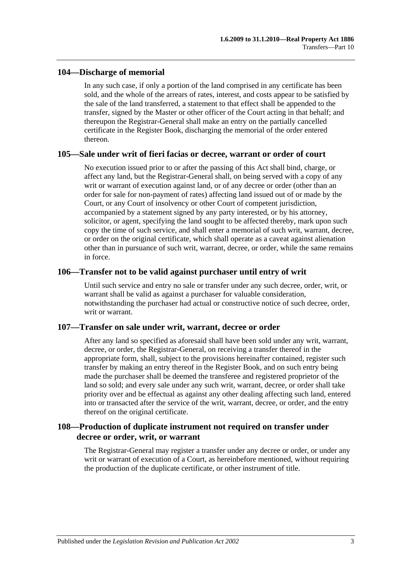## **104—Discharge of memorial**

In any such case, if only a portion of the land comprised in any certificate has been sold, and the whole of the arrears of rates, interest, and costs appear to be satisfied by the sale of the land transferred, a statement to that effect shall be appended to the transfer, signed by the Master or other officer of the Court acting in that behalf; and thereupon the Registrar-General shall make an entry on the partially cancelled certificate in the Register Book, discharging the memorial of the order entered thereon.

#### **105—Sale under writ of fieri facias or decree, warrant or order of court**

No execution issued prior to or after the passing of this Act shall bind, charge, or affect any land, but the Registrar-General shall, on being served with a copy of any writ or warrant of execution against land, or of any decree or order (other than an order for sale for non-payment of rates) affecting land issued out of or made by the Court, or any Court of insolvency or other Court of competent jurisdiction, accompanied by a statement signed by any party interested, or by his attorney, solicitor, or agent, specifying the land sought to be affected thereby, mark upon such copy the time of such service, and shall enter a memorial of such writ, warrant, decree, or order on the original certificate, which shall operate as a caveat against alienation other than in pursuance of such writ, warrant, decree, or order, while the same remains in force.

#### **106—Transfer not to be valid against purchaser until entry of writ**

Until such service and entry no sale or transfer under any such decree, order, writ, or warrant shall be valid as against a purchaser for valuable consideration, notwithstanding the purchaser had actual or constructive notice of such decree, order, writ or warrant.

## **107—Transfer on sale under writ, warrant, decree or order**

After any land so specified as aforesaid shall have been sold under any writ, warrant, decree, or order, the Registrar-General, on receiving a transfer thereof in the appropriate form, shall, subject to the provisions hereinafter contained, register such transfer by making an entry thereof in the Register Book, and on such entry being made the purchaser shall be deemed the transferee and registered proprietor of the land so sold; and every sale under any such writ, warrant, decree, or order shall take priority over and be effectual as against any other dealing affecting such land, entered into or transacted after the service of the writ, warrant, decree, or order, and the entry thereof on the original certificate.

## **108—Production of duplicate instrument not required on transfer under decree or order, writ, or warrant**

The Registrar-General may register a transfer under any decree or order, or under any writ or warrant of execution of a Court, as hereinbefore mentioned, without requiring the production of the duplicate certificate, or other instrument of title.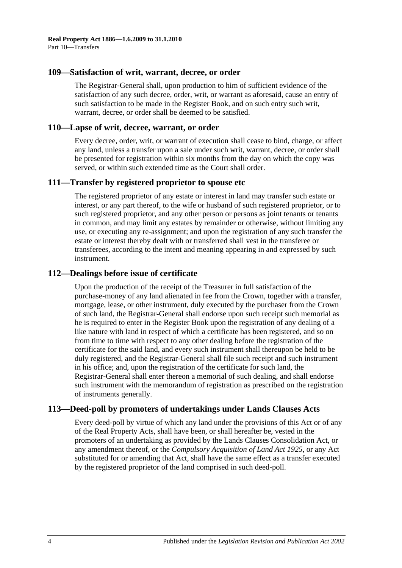#### **109—Satisfaction of writ, warrant, decree, or order**

The Registrar-General shall, upon production to him of sufficient evidence of the satisfaction of any such decree, order, writ, or warrant as aforesaid, cause an entry of such satisfaction to be made in the Register Book, and on such entry such writ, warrant, decree, or order shall be deemed to be satisfied.

#### **110—Lapse of writ, decree, warrant, or order**

Every decree, order, writ, or warrant of execution shall cease to bind, charge, or affect any land, unless a transfer upon a sale under such writ, warrant, decree, or order shall be presented for registration within six months from the day on which the copy was served, or within such extended time as the Court shall order.

#### **111—Transfer by registered proprietor to spouse etc**

The registered proprietor of any estate or interest in land may transfer such estate or interest, or any part thereof, to the wife or husband of such registered proprietor, or to such registered proprietor, and any other person or persons as joint tenants or tenants in common, and may limit any estates by remainder or otherwise, without limiting any use, or executing any re-assignment; and upon the registration of any such transfer the estate or interest thereby dealt with or transferred shall vest in the transferee or transferees, according to the intent and meaning appearing in and expressed by such instrument.

#### **112—Dealings before issue of certificate**

Upon the production of the receipt of the Treasurer in full satisfaction of the purchase-money of any land alienated in fee from the Crown, together with a transfer, mortgage, lease, or other instrument, duly executed by the purchaser from the Crown of such land, the Registrar-General shall endorse upon such receipt such memorial as he is required to enter in the Register Book upon the registration of any dealing of a like nature with land in respect of which a certificate has been registered, and so on from time to time with respect to any other dealing before the registration of the certificate for the said land, and every such instrument shall thereupon be held to be duly registered, and the Registrar-General shall file such receipt and such instrument in his office; and, upon the registration of the certificate for such land, the Registrar-General shall enter thereon a memorial of such dealing, and shall endorse such instrument with the memorandum of registration as prescribed on the registration of instruments generally.

## **113—Deed-poll by promoters of undertakings under Lands Clauses Acts**

Every deed-poll by virtue of which any land under the provisions of this Act or of any of the Real Property Acts, shall have been, or shall hereafter be, vested in the promoters of an undertaking as provided by the Lands Clauses Consolidation Act, or any amendment thereof, or the *[Compulsory Acquisition of Land Act](http://www.legislation.sa.gov.au/index.aspx?action=legref&type=act&legtitle=Compulsory%20Acquisition%20of%20Land%20Act%201925) 1925*, or any Act substituted for or amending that Act, shall have the same effect as a transfer executed by the registered proprietor of the land comprised in such deed-poll.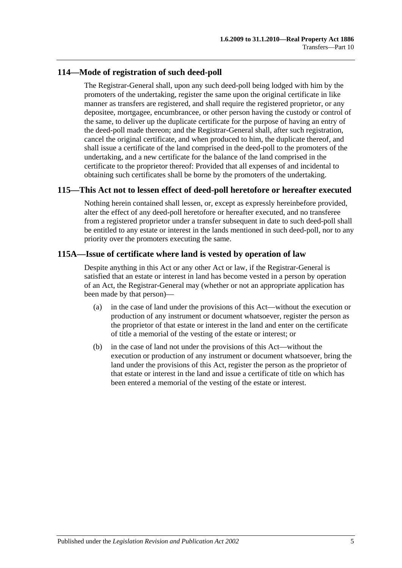## **114—Mode of registration of such deed-poll**

The Registrar-General shall, upon any such deed-poll being lodged with him by the promoters of the undertaking, register the same upon the original certificate in like manner as transfers are registered, and shall require the registered proprietor, or any depositee, mortgagee, encumbrancee, or other person having the custody or control of the same, to deliver up the duplicate certificate for the purpose of having an entry of the deed-poll made thereon; and the Registrar-General shall, after such registration, cancel the original certificate, and when produced to him, the duplicate thereof, and shall issue a certificate of the land comprised in the deed-poll to the promoters of the undertaking, and a new certificate for the balance of the land comprised in the certificate to the proprietor thereof: Provided that all expenses of and incidental to obtaining such certificates shall be borne by the promoters of the undertaking.

## **115—This Act not to lessen effect of deed-poll heretofore or hereafter executed**

Nothing herein contained shall lessen, or, except as expressly hereinbefore provided, alter the effect of any deed-poll heretofore or hereafter executed, and no transferee from a registered proprietor under a transfer subsequent in date to such deed-poll shall be entitled to any estate or interest in the lands mentioned in such deed-poll, nor to any priority over the promoters executing the same.

## **115A—Issue of certificate where land is vested by operation of law**

Despite anything in this Act or any other Act or law, if the Registrar-General is satisfied that an estate or interest in land has become vested in a person by operation of an Act, the Registrar-General may (whether or not an appropriate application has been made by that person)—

- (a) in the case of land under the provisions of this Act—without the execution or production of any instrument or document whatsoever, register the person as the proprietor of that estate or interest in the land and enter on the certificate of title a memorial of the vesting of the estate or interest; or
- (b) in the case of land not under the provisions of this Act—without the execution or production of any instrument or document whatsoever, bring the land under the provisions of this Act, register the person as the proprietor of that estate or interest in the land and issue a certificate of title on which has been entered a memorial of the vesting of the estate or interest.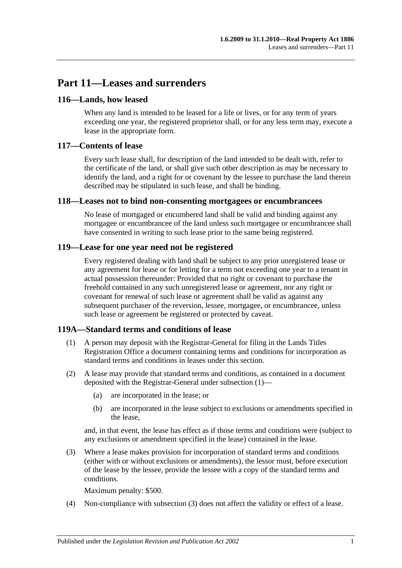# **Part 11—Leases and surrenders**

## **116—Lands, how leased**

When any land is intended to be leased for a life or lives, or for any term of years exceeding one year, the registered proprietor shall, or for any less term may, execute a lease in the appropriate form.

### **117—Contents of lease**

Every such lease shall, for description of the land intended to be dealt with, refer to the certificate of the land, or shall give such other description as may be necessary to identify the land, and a right for or covenant by the lessee to purchase the land therein described may be stipulated in such lease, and shall be binding.

#### **118—Leases not to bind non-consenting mortgagees or encumbrancees**

No lease of mortgaged or encumbered land shall be valid and binding against any mortgagee or encumbrancee of the land unless such mortgagee or encumbrancee shall have consented in writing to such lease prior to the same being registered.

## **119—Lease for one year need not be registered**

Every registered dealing with land shall be subject to any prior unregistered lease or any agreement for lease or for letting for a term not exceeding one year to a tenant in actual possession thereunder: Provided that no right or covenant to purchase the freehold contained in any such unregistered lease or agreement, nor any right or covenant for renewal of such lease or agreement shall be valid as against any subsequent purchaser of the reversion, lessee, mortgagee, or encumbrancee, unless such lease or agreement be registered or protected by caveat.

#### <span id="page-58-0"></span>**119A—Standard terms and conditions of lease**

- (1) A person may deposit with the Registrar-General for filing in the Lands Titles Registration Office a document containing terms and conditions for incorporation as standard terms and conditions in leases under this section.
- (2) A lease may provide that standard terms and conditions, as contained in a document deposited with the Registrar-General under [subsection](#page-58-0) (1)—
	- (a) are incorporated in the lease; or
	- (b) are incorporated in the lease subject to exclusions or amendments specified in the lease,

and, in that event, the lease has effect as if those terms and conditions were (subject to any exclusions or amendment specified in the lease) contained in the lease.

<span id="page-58-1"></span>(3) Where a lease makes provision for incorporation of standard terms and conditions (either with or without exclusions or amendments), the lessor must, before execution of the lease by the lessee, provide the lessee with a copy of the standard terms and conditions.

Maximum penalty: \$500.

(4) Non-compliance with [subsection](#page-58-1) (3) does not affect the validity or effect of a lease.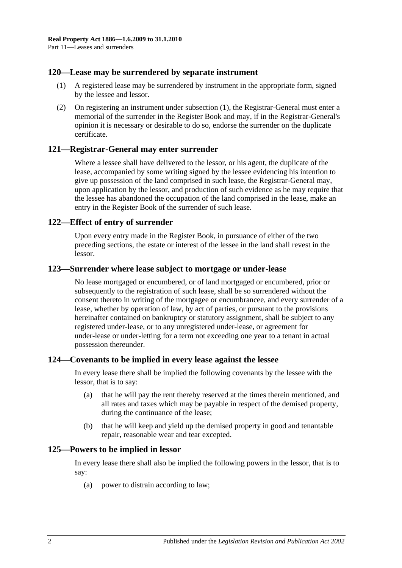### <span id="page-59-0"></span>**120—Lease may be surrendered by separate instrument**

- (1) A registered lease may be surrendered by instrument in the appropriate form, signed by the lessee and lessor.
- (2) On registering an instrument under [subsection](#page-59-0) (1), the Registrar-General must enter a memorial of the surrender in the Register Book and may, if in the Registrar-General's opinion it is necessary or desirable to do so, endorse the surrender on the duplicate certificate.

#### **121—Registrar-General may enter surrender**

Where a lessee shall have delivered to the lessor, or his agent, the duplicate of the lease, accompanied by some writing signed by the lessee evidencing his intention to give up possession of the land comprised in such lease, the Registrar-General may, upon application by the lessor, and production of such evidence as he may require that the lessee has abandoned the occupation of the land comprised in the lease, make an entry in the Register Book of the surrender of such lease.

#### **122—Effect of entry of surrender**

Upon every entry made in the Register Book, in pursuance of either of the two preceding sections, the estate or interest of the lessee in the land shall revest in the lessor.

#### **123—Surrender where lease subject to mortgage or under-lease**

No lease mortgaged or encumbered, or of land mortgaged or encumbered, prior or subsequently to the registration of such lease, shall be so surrendered without the consent thereto in writing of the mortgagee or encumbrancee, and every surrender of a lease, whether by operation of law, by act of parties, or pursuant to the provisions hereinafter contained on bankruptcy or statutory assignment, shall be subject to any registered under-lease, or to any unregistered under-lease, or agreement for under-lease or under-letting for a term not exceeding one year to a tenant in actual possession thereunder.

#### **124—Covenants to be implied in every lease against the lessee**

In every lease there shall be implied the following covenants by the lessee with the lessor, that is to say:

- (a) that he will pay the rent thereby reserved at the times therein mentioned, and all rates and taxes which may be payable in respect of the demised property, during the continuance of the lease;
- (b) that he will keep and yield up the demised property in good and tenantable repair, reasonable wear and tear excepted.

#### **125—Powers to be implied in lessor**

In every lease there shall also be implied the following powers in the lessor, that is to say:

(a) power to distrain according to law;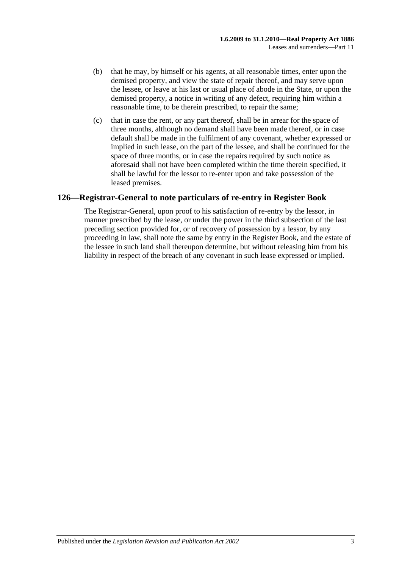- (b) that he may, by himself or his agents, at all reasonable times, enter upon the demised property, and view the state of repair thereof, and may serve upon the lessee, or leave at his last or usual place of abode in the State, or upon the demised property, a notice in writing of any defect, requiring him within a reasonable time, to be therein prescribed, to repair the same;
- (c) that in case the rent, or any part thereof, shall be in arrear for the space of three months, although no demand shall have been made thereof, or in case default shall be made in the fulfilment of any covenant, whether expressed or implied in such lease, on the part of the lessee, and shall be continued for the space of three months, or in case the repairs required by such notice as aforesaid shall not have been completed within the time therein specified, it shall be lawful for the lessor to re-enter upon and take possession of the leased premises.

## **126—Registrar-General to note particulars of re-entry in Register Book**

The Registrar-General, upon proof to his satisfaction of re-entry by the lessor, in manner prescribed by the lease, or under the power in the third subsection of the last preceding section provided for, or of recovery of possession by a lessor, by any proceeding in law, shall note the same by entry in the Register Book, and the estate of the lessee in such land shall thereupon determine, but without releasing him from his liability in respect of the breach of any covenant in such lease expressed or implied.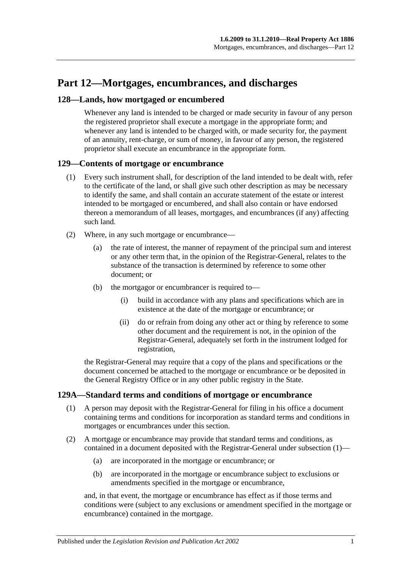# **Part 12—Mortgages, encumbrances, and discharges**

## **128—Lands, how mortgaged or encumbered**

Whenever any land is intended to be charged or made security in favour of any person the registered proprietor shall execute a mortgage in the appropriate form; and whenever any land is intended to be charged with, or made security for, the payment of an annuity, rent-charge, or sum of money, in favour of any person, the registered proprietor shall execute an encumbrance in the appropriate form.

#### **129—Contents of mortgage or encumbrance**

- (1) Every such instrument shall, for description of the land intended to be dealt with, refer to the certificate of the land, or shall give such other description as may be necessary to identify the same, and shall contain an accurate statement of the estate or interest intended to be mortgaged or encumbered, and shall also contain or have endorsed thereon a memorandum of all leases, mortgages, and encumbrances (if any) affecting such land.
- (2) Where, in any such mortgage or encumbrance—
	- (a) the rate of interest, the manner of repayment of the principal sum and interest or any other term that, in the opinion of the Registrar-General, relates to the substance of the transaction is determined by reference to some other document; or
	- (b) the mortgagor or encumbrancer is required to—
		- (i) build in accordance with any plans and specifications which are in existence at the date of the mortgage or encumbrance; or
		- (ii) do or refrain from doing any other act or thing by reference to some other document and the requirement is not, in the opinion of the Registrar-General, adequately set forth in the instrument lodged for registration,

the Registrar-General may require that a copy of the plans and specifications or the document concerned be attached to the mortgage or encumbrance or be deposited in the General Registry Office or in any other public registry in the State.

## <span id="page-62-0"></span>**129A—Standard terms and conditions of mortgage or encumbrance**

- (1) A person may deposit with the Registrar-General for filing in his office a document containing terms and conditions for incorporation as standard terms and conditions in mortgages or encumbrances under this section.
- (2) A mortgage or encumbrance may provide that standard terms and conditions, as contained in a document deposited with the Registrar-General under [subsection](#page-62-0) (1)—
	- (a) are incorporated in the mortgage or encumbrance; or
	- (b) are incorporated in the mortgage or encumbrance subject to exclusions or amendments specified in the mortgage or encumbrance,

and, in that event, the mortgage or encumbrance has effect as if those terms and conditions were (subject to any exclusions or amendment specified in the mortgage or encumbrance) contained in the mortgage.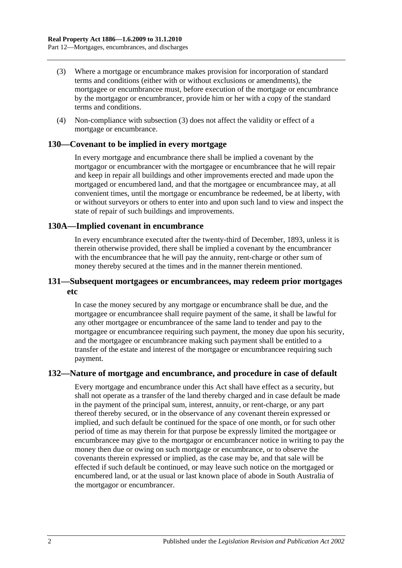- (3) Where a mortgage or encumbrance makes provision for incorporation of standard terms and conditions (either with or without exclusions or amendments), the mortgagee or encumbrancee must, before execution of the mortgage or encumbrance by the mortgagor or encumbrancer, provide him or her with a copy of the standard terms and conditions.
- (4) Non-compliance with subsection (3) does not affect the validity or effect of a mortgage or encumbrance.

#### **130—Covenant to be implied in every mortgage**

In every mortgage and encumbrance there shall be implied a covenant by the mortgagor or encumbrancer with the mortgagee or encumbrancee that he will repair and keep in repair all buildings and other improvements erected and made upon the mortgaged or encumbered land, and that the mortgagee or encumbrancee may, at all convenient times, until the mortgage or encumbrance be redeemed, be at liberty, with or without surveyors or others to enter into and upon such land to view and inspect the state of repair of such buildings and improvements.

#### **130A—Implied covenant in encumbrance**

In every encumbrance executed after the twenty-third of December, 1893, unless it is therein otherwise provided, there shall be implied a covenant by the encumbrancer with the encumbrancee that he will pay the annuity, rent-charge or other sum of money thereby secured at the times and in the manner therein mentioned.

### **131—Subsequent mortgagees or encumbrancees, may redeem prior mortgages etc**

In case the money secured by any mortgage or encumbrance shall be due, and the mortgagee or encumbrancee shall require payment of the same, it shall be lawful for any other mortgagee or encumbrancee of the same land to tender and pay to the mortgagee or encumbrancee requiring such payment, the money due upon his security, and the mortgagee or encumbrancee making such payment shall be entitled to a transfer of the estate and interest of the mortgagee or encumbrancee requiring such payment.

## **132—Nature of mortgage and encumbrance, and procedure in case of default**

Every mortgage and encumbrance under this Act shall have effect as a security, but shall not operate as a transfer of the land thereby charged and in case default be made in the payment of the principal sum, interest, annuity, or rent-charge, or any part thereof thereby secured, or in the observance of any covenant therein expressed or implied, and such default be continued for the space of one month, or for such other period of time as may therein for that purpose be expressly limited the mortgagee or encumbrancee may give to the mortgagor or encumbrancer notice in writing to pay the money then due or owing on such mortgage or encumbrance, or to observe the covenants therein expressed or implied, as the case may be, and that sale will be effected if such default be continued, or may leave such notice on the mortgaged or encumbered land, or at the usual or last known place of abode in South Australia of the mortgagor or encumbrancer.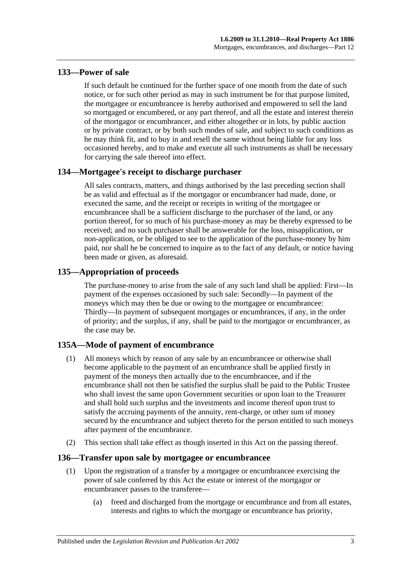## **133—Power of sale**

If such default be continued for the further space of one month from the date of such notice, or for such other period as may in such instrument be for that purpose limited, the mortgagee or encumbrancee is hereby authorised and empowered to sell the land so mortgaged or encumbered, or any part thereof, and all the estate and interest therein of the mortgagor or encumbrancer, and either altogether or in lots, by public auction or by private contract, or by both such modes of sale, and subject to such conditions as he may think fit, and to buy in and resell the same without being liable for any loss occasioned hereby, and to make and execute all such instruments as shall be necessary for carrying the sale thereof into effect.

## **134—Mortgagee's receipt to discharge purchaser**

All sales contracts, matters, and things authorised by the last preceding section shall be as valid and effectual as if the mortgagor or encumbrancer had made, done, or executed the same, and the receipt or receipts in writing of the mortgagee or encumbrancee shall be a sufficient discharge to the purchaser of the land, or any portion thereof, for so much of his purchase-money as may be thereby expressed to be received; and no such purchaser shall be answerable for the loss, misapplication, or non-application, or be obliged to see to the application of the purchase-money by him paid, nor shall he be concerned to inquire as to the fact of any default, or notice having been made or given, as aforesaid.

## **135—Appropriation of proceeds**

The purchase-money to arise from the sale of any such land shall be applied: First—In payment of the expenses occasioned by such sale: Secondly—In payment of the moneys which may then be due or owing to the mortgagee or encumbrancee: Thirdly—In payment of subsequent mortgages or encumbrances, if any, in the order of priority; and the surplus, if any, shall be paid to the mortgagor or encumbrancer, as the case may be.

## **135A—Mode of payment of encumbrance**

- (1) All moneys which by reason of any sale by an encumbrancee or otherwise shall become applicable to the payment of an encumbrance shall be applied firstly in payment of the moneys then actually due to the encumbrancee, and if the encumbrance shall not then be satisfied the surplus shall be paid to the Public Trustee who shall invest the same upon Government securities or upon loan to the Treasurer and shall hold such surplus and the investments and income thereof upon trust to satisfy the accruing payments of the annuity, rent-charge, or other sum of money secured by the encumbrance and subject thereto for the person entitled to such moneys after payment of the encumbrance.
- (2) This section shall take effect as though inserted in this Act on the passing thereof.

## **136—Transfer upon sale by mortgagee or encumbrancee**

- (1) Upon the registration of a transfer by a mortgagee or encumbrancee exercising the power of sale conferred by this Act the estate or interest of the mortgagor or encumbrancer passes to the transferee—
	- (a) freed and discharged from the mortgage or encumbrance and from all estates, interests and rights to which the mortgage or encumbrance has priority,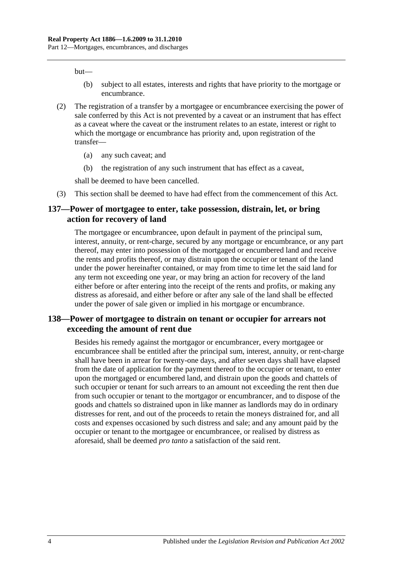but—

- (b) subject to all estates, interests and rights that have priority to the mortgage or encumbrance.
- (2) The registration of a transfer by a mortgagee or encumbrancee exercising the power of sale conferred by this Act is not prevented by a caveat or an instrument that has effect as a caveat where the caveat or the instrument relates to an estate, interest or right to which the mortgage or encumbrance has priority and, upon registration of the transfer—
	- (a) any such caveat; and
	- (b) the registration of any such instrument that has effect as a caveat,

shall be deemed to have been cancelled.

(3) This section shall be deemed to have had effect from the commencement of this Act.

#### **137—Power of mortgagee to enter, take possession, distrain, let, or bring action for recovery of land**

The mortgagee or encumbrancee, upon default in payment of the principal sum, interest, annuity, or rent-charge, secured by any mortgage or encumbrance, or any part thereof, may enter into possession of the mortgaged or encumbered land and receive the rents and profits thereof, or may distrain upon the occupier or tenant of the land under the power hereinafter contained, or may from time to time let the said land for any term not exceeding one year, or may bring an action for recovery of the land either before or after entering into the receipt of the rents and profits, or making any distress as aforesaid, and either before or after any sale of the land shall be effected under the power of sale given or implied in his mortgage or encumbrance.

## **138—Power of mortgagee to distrain on tenant or occupier for arrears not exceeding the amount of rent due**

Besides his remedy against the mortgagor or encumbrancer, every mortgagee or encumbrancee shall be entitled after the principal sum, interest, annuity, or rent-charge shall have been in arrear for twenty-one days, and after seven days shall have elapsed from the date of application for the payment thereof to the occupier or tenant, to enter upon the mortgaged or encumbered land, and distrain upon the goods and chattels of such occupier or tenant for such arrears to an amount not exceeding the rent then due from such occupier or tenant to the mortgagor or encumbrancer, and to dispose of the goods and chattels so distrained upon in like manner as landlords may do in ordinary distresses for rent, and out of the proceeds to retain the moneys distrained for, and all costs and expenses occasioned by such distress and sale; and any amount paid by the occupier or tenant to the mortgagee or encumbrancee, or realised by distress as aforesaid, shall be deemed *pro tanto* a satisfaction of the said rent.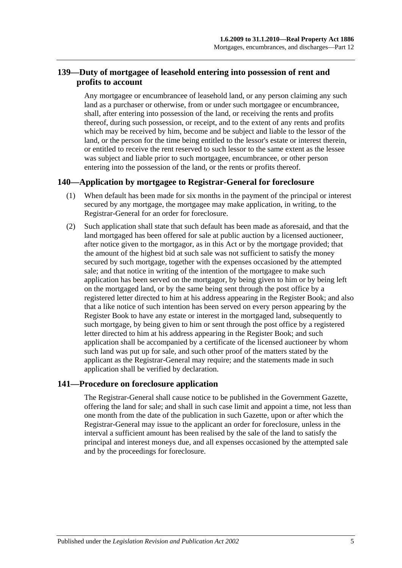## **139—Duty of mortgagee of leasehold entering into possession of rent and profits to account**

Any mortgagee or encumbrancee of leasehold land, or any person claiming any such land as a purchaser or otherwise, from or under such mortgagee or encumbrancee, shall, after entering into possession of the land, or receiving the rents and profits thereof, during such possession, or receipt, and to the extent of any rents and profits which may be received by him, become and be subject and liable to the lessor of the land, or the person for the time being entitled to the lessor's estate or interest therein, or entitled to receive the rent reserved to such lessor to the same extent as the lessee was subject and liable prior to such mortgagee, encumbrancee, or other person entering into the possession of the land, or the rents or profits thereof.

## **140—Application by mortgagee to Registrar-General for foreclosure**

- (1) When default has been made for six months in the payment of the principal or interest secured by any mortgage, the mortgagee may make application, in writing, to the Registrar-General for an order for foreclosure.
- (2) Such application shall state that such default has been made as aforesaid, and that the land mortgaged has been offered for sale at public auction by a licensed auctioneer, after notice given to the mortgagor, as in this Act or by the mortgage provided; that the amount of the highest bid at such sale was not sufficient to satisfy the money secured by such mortgage, together with the expenses occasioned by the attempted sale; and that notice in writing of the intention of the mortgagee to make such application has been served on the mortgagor, by being given to him or by being left on the mortgaged land, or by the same being sent through the post office by a registered letter directed to him at his address appearing in the Register Book; and also that a like notice of such intention has been served on every person appearing by the Register Book to have any estate or interest in the mortgaged land, subsequently to such mortgage, by being given to him or sent through the post office by a registered letter directed to him at his address appearing in the Register Book; and such application shall be accompanied by a certificate of the licensed auctioneer by whom such land was put up for sale, and such other proof of the matters stated by the applicant as the Registrar-General may require; and the statements made in such application shall be verified by declaration.

#### **141—Procedure on foreclosure application**

The Registrar-General shall cause notice to be published in the Government Gazette, offering the land for sale; and shall in such case limit and appoint a time, not less than one month from the date of the publication in such Gazette, upon or after which the Registrar-General may issue to the applicant an order for foreclosure, unless in the interval a sufficient amount has been realised by the sale of the land to satisfy the principal and interest moneys due, and all expenses occasioned by the attempted sale and by the proceedings for foreclosure.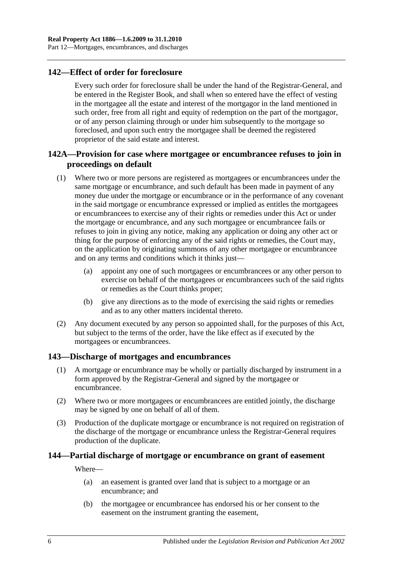## **142—Effect of order for foreclosure**

Every such order for foreclosure shall be under the hand of the Registrar-General, and be entered in the Register Book, and shall when so entered have the effect of vesting in the mortgagee all the estate and interest of the mortgagor in the land mentioned in such order, free from all right and equity of redemption on the part of the mortgagor, or of any person claiming through or under him subsequently to the mortgage so foreclosed, and upon such entry the mortgagee shall be deemed the registered proprietor of the said estate and interest.

## **142A—Provision for case where mortgagee or encumbrancee refuses to join in proceedings on default**

- (1) Where two or more persons are registered as mortgagees or encumbrancees under the same mortgage or encumbrance, and such default has been made in payment of any money due under the mortgage or encumbrance or in the performance of any covenant in the said mortgage or encumbrance expressed or implied as entitles the mortgagees or encumbrancees to exercise any of their rights or remedies under this Act or under the mortgage or encumbrance, and any such mortgagee or encumbrancee fails or refuses to join in giving any notice, making any application or doing any other act or thing for the purpose of enforcing any of the said rights or remedies, the Court may, on the application by originating summons of any other mortgagee or encumbrancee and on any terms and conditions which it thinks just—
	- (a) appoint any one of such mortgagees or encumbrancees or any other person to exercise on behalf of the mortgagees or encumbrancees such of the said rights or remedies as the Court thinks proper;
	- (b) give any directions as to the mode of exercising the said rights or remedies and as to any other matters incidental thereto.
- (2) Any document executed by any person so appointed shall, for the purposes of this Act, but subject to the terms of the order, have the like effect as if executed by the mortgagees or encumbrancees.

## **143—Discharge of mortgages and encumbrances**

- (1) A mortgage or encumbrance may be wholly or partially discharged by instrument in a form approved by the Registrar-General and signed by the mortgagee or encumbrancee.
- (2) Where two or more mortgagees or encumbrancees are entitled jointly, the discharge may be signed by one on behalf of all of them.
- (3) Production of the duplicate mortgage or encumbrance is not required on registration of the discharge of the mortgage or encumbrance unless the Registrar-General requires production of the duplicate.

## **144—Partial discharge of mortgage or encumbrance on grant of easement**

Where—

- (a) an easement is granted over land that is subject to a mortgage or an encumbrance; and
- (b) the mortgagee or encumbrancee has endorsed his or her consent to the easement on the instrument granting the easement,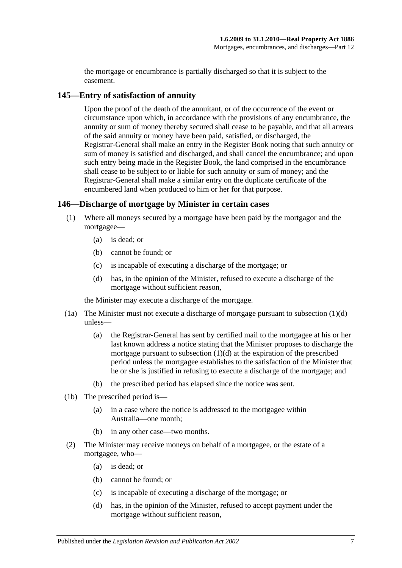the mortgage or encumbrance is partially discharged so that it is subject to the easement.

## **145—Entry of satisfaction of annuity**

Upon the proof of the death of the annuitant, or of the occurrence of the event or circumstance upon which, in accordance with the provisions of any encumbrance, the annuity or sum of money thereby secured shall cease to be payable, and that all arrears of the said annuity or money have been paid, satisfied, or discharged, the Registrar-General shall make an entry in the Register Book noting that such annuity or sum of money is satisfied and discharged, and shall cancel the encumbrance; and upon such entry being made in the Register Book, the land comprised in the encumbrance shall cease to be subject to or liable for such annuity or sum of money; and the Registrar-General shall make a similar entry on the duplicate certificate of the encumbered land when produced to him or her for that purpose.

## **146—Discharge of mortgage by Minister in certain cases**

- (1) Where all moneys secured by a mortgage have been paid by the mortgagor and the mortgagee—
	- (a) is dead; or
	- (b) cannot be found; or
	- (c) is incapable of executing a discharge of the mortgage; or
	- (d) has, in the opinion of the Minister, refused to execute a discharge of the mortgage without sufficient reason,

<span id="page-68-0"></span>the Minister may execute a discharge of the mortgage.

- (1a) The Minister must not execute a discharge of mortgage pursuant to [subsection](#page-68-0) (1)(d) unless—
	- (a) the Registrar-General has sent by certified mail to the mortgagee at his or her last known address a notice stating that the Minister proposes to discharge the mortgage pursuant to [subsection](#page-68-0) (1)(d) at the expiration of the prescribed period unless the mortgagee establishes to the satisfaction of the Minister that he or she is justified in refusing to execute a discharge of the mortgage; and
	- (b) the prescribed period has elapsed since the notice was sent.
- (1b) The prescribed period is—
	- (a) in a case where the notice is addressed to the mortgagee within Australia—one month;
	- (b) in any other case—two months.
- <span id="page-68-1"></span>(2) The Minister may receive moneys on behalf of a mortgagee, or the estate of a mortgagee, who—
	- (a) is dead; or
	- (b) cannot be found; or
	- (c) is incapable of executing a discharge of the mortgage; or
	- (d) has, in the opinion of the Minister, refused to accept payment under the mortgage without sufficient reason,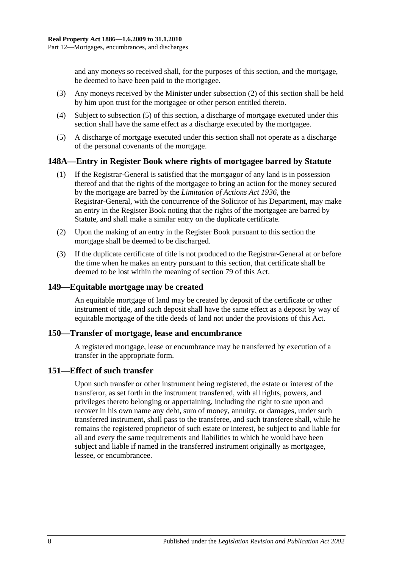and any moneys so received shall, for the purposes of this section, and the mortgage, be deemed to have been paid to the mortgagee.

- (3) Any moneys received by the Minister under [subsection](#page-68-1) (2) of this section shall be held by him upon trust for the mortgagee or other person entitled thereto.
- (4) Subject to [subsection](#page-69-0) (5) of this section, a discharge of mortgage executed under this section shall have the same effect as a discharge executed by the mortgagee.
- <span id="page-69-0"></span>(5) A discharge of mortgage executed under this section shall not operate as a discharge of the personal covenants of the mortgage.

## **148A—Entry in Register Book where rights of mortgagee barred by Statute**

- (1) If the Registrar-General is satisfied that the mortgagor of any land is in possession thereof and that the rights of the mortgagee to bring an action for the money secured by the mortgage are barred by the *[Limitation of Actions Act](http://www.legislation.sa.gov.au/index.aspx?action=legref&type=act&legtitle=Limitation%20of%20Actions%20Act%201936) 1936*, the Registrar-General, with the concurrence of the Solicitor of his Department, may make an entry in the Register Book noting that the rights of the mortgagee are barred by Statute, and shall make a similar entry on the duplicate certificate.
- (2) Upon the making of an entry in the Register Book pursuant to this section the mortgage shall be deemed to be discharged.
- (3) If the duplicate certificate of title is not produced to the Registrar-General at or before the time when he makes an entry pursuant to this section, that certificate shall be deemed to be lost within the meaning of [section](#page-39-0) 79 of this Act.

### **149—Equitable mortgage may be created**

An equitable mortgage of land may be created by deposit of the certificate or other instrument of title, and such deposit shall have the same effect as a deposit by way of equitable mortgage of the title deeds of land not under the provisions of this Act.

#### **150—Transfer of mortgage, lease and encumbrance**

A registered mortgage, lease or encumbrance may be transferred by execution of a transfer in the appropriate form.

#### **151—Effect of such transfer**

Upon such transfer or other instrument being registered, the estate or interest of the transferor, as set forth in the instrument transferred, with all rights, powers, and privileges thereto belonging or appertaining, including the right to sue upon and recover in his own name any debt, sum of money, annuity, or damages, under such transferred instrument, shall pass to the transferee, and such transferee shall, while he remains the registered proprietor of such estate or interest, be subject to and liable for all and every the same requirements and liabilities to which he would have been subject and liable if named in the transferred instrument originally as mortgagee, lessee, or encumbrancee.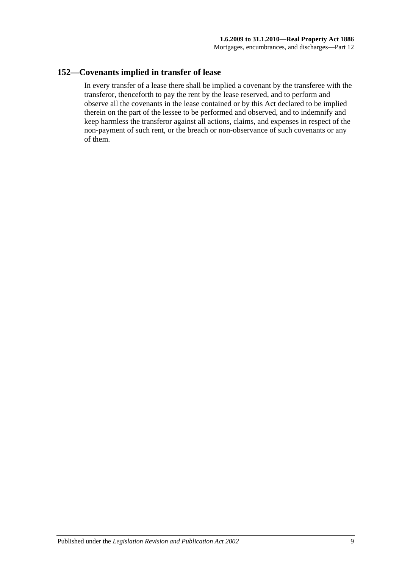## **152—Covenants implied in transfer of lease**

In every transfer of a lease there shall be implied a covenant by the transferee with the transferor, thenceforth to pay the rent by the lease reserved, and to perform and observe all the covenants in the lease contained or by this Act declared to be implied therein on the part of the lessee to be performed and observed, and to indemnify and keep harmless the transferor against all actions, claims, and expenses in respect of the non-payment of such rent, or the breach or non-observance of such covenants or any of them.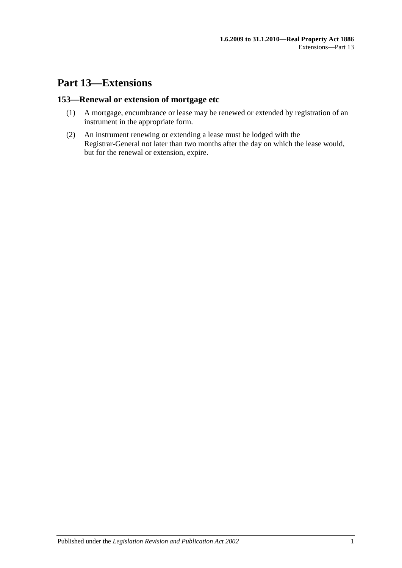# **Part 13—Extensions**

## **153—Renewal or extension of mortgage etc**

- (1) A mortgage, encumbrance or lease may be renewed or extended by registration of an instrument in the appropriate form.
- (2) An instrument renewing or extending a lease must be lodged with the Registrar-General not later than two months after the day on which the lease would, but for the renewal or extension, expire.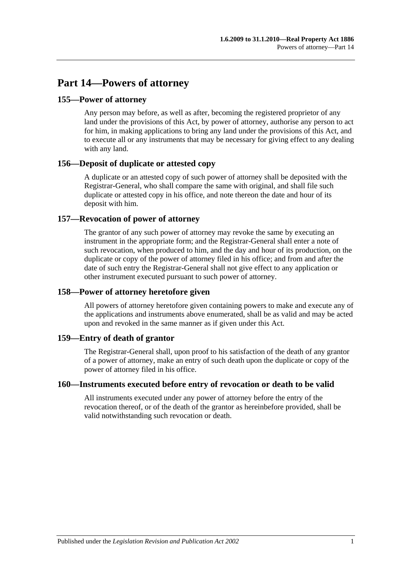# **Part 14—Powers of attorney**

### **155—Power of attorney**

Any person may before, as well as after, becoming the registered proprietor of any land under the provisions of this Act, by power of attorney, authorise any person to act for him, in making applications to bring any land under the provisions of this Act, and to execute all or any instruments that may be necessary for giving effect to any dealing with any land.

## **156—Deposit of duplicate or attested copy**

A duplicate or an attested copy of such power of attorney shall be deposited with the Registrar-General, who shall compare the same with original, and shall file such duplicate or attested copy in his office, and note thereon the date and hour of its deposit with him.

## **157—Revocation of power of attorney**

The grantor of any such power of attorney may revoke the same by executing an instrument in the appropriate form; and the Registrar-General shall enter a note of such revocation, when produced to him, and the day and hour of its production, on the duplicate or copy of the power of attorney filed in his office; and from and after the date of such entry the Registrar-General shall not give effect to any application or other instrument executed pursuant to such power of attorney.

## **158—Power of attorney heretofore given**

All powers of attorney heretofore given containing powers to make and execute any of the applications and instruments above enumerated, shall be as valid and may be acted upon and revoked in the same manner as if given under this Act.

### **159—Entry of death of grantor**

The Registrar-General shall, upon proof to his satisfaction of the death of any grantor of a power of attorney, make an entry of such death upon the duplicate or copy of the power of attorney filed in his office.

### **160—Instruments executed before entry of revocation or death to be valid**

All instruments executed under any power of attorney before the entry of the revocation thereof, or of the death of the grantor as hereinbefore provided, shall be valid notwithstanding such revocation or death.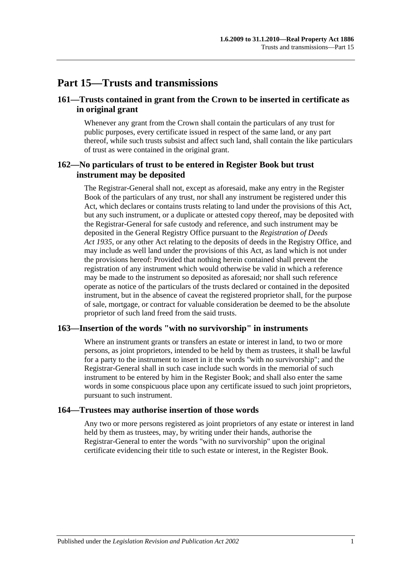## **Part 15—Trusts and transmissions**

### **161—Trusts contained in grant from the Crown to be inserted in certificate as in original grant**

Whenever any grant from the Crown shall contain the particulars of any trust for public purposes, every certificate issued in respect of the same land, or any part thereof, while such trusts subsist and affect such land, shall contain the like particulars of trust as were contained in the original grant.

### **162—No particulars of trust to be entered in Register Book but trust instrument may be deposited**

The Registrar-General shall not, except as aforesaid, make any entry in the Register Book of the particulars of any trust, nor shall any instrument be registered under this Act, which declares or contains trusts relating to land under the provisions of this Act, but any such instrument, or a duplicate or attested copy thereof, may be deposited with the Registrar-General for safe custody and reference, and such instrument may be deposited in the General Registry Office pursuant to the *[Registration of Deeds](http://www.legislation.sa.gov.au/index.aspx?action=legref&type=act&legtitle=Registration%20of%20Deeds%20Act%201935)  Act [1935](http://www.legislation.sa.gov.au/index.aspx?action=legref&type=act&legtitle=Registration%20of%20Deeds%20Act%201935)*, or any other Act relating to the deposits of deeds in the Registry Office, and may include as well land under the provisions of this Act, as land which is not under the provisions hereof: Provided that nothing herein contained shall prevent the registration of any instrument which would otherwise be valid in which a reference may be made to the instrument so deposited as aforesaid; nor shall such reference operate as notice of the particulars of the trusts declared or contained in the deposited instrument, but in the absence of caveat the registered proprietor shall, for the purpose of sale, mortgage, or contract for valuable consideration be deemed to be the absolute proprietor of such land freed from the said trusts.

### **163—Insertion of the words "with no survivorship" in instruments**

Where an instrument grants or transfers an estate or interest in land, to two or more persons, as joint proprietors, intended to be held by them as trustees, it shall be lawful for a party to the instrument to insert in it the words "with no survivorship"; and the Registrar-General shall in such case include such words in the memorial of such instrument to be entered by him in the Register Book; and shall also enter the same words in some conspicuous place upon any certificate issued to such joint proprietors, pursuant to such instrument.

#### **164—Trustees may authorise insertion of those words**

Any two or more persons registered as joint proprietors of any estate or interest in land held by them as trustees, may, by writing under their hands, authorise the Registrar-General to enter the words "with no survivorship" upon the original certificate evidencing their title to such estate or interest, in the Register Book.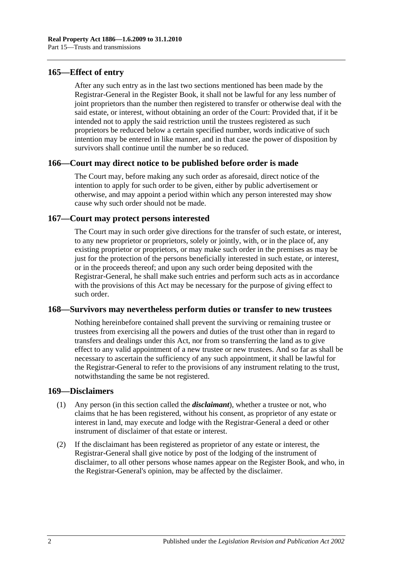### **165—Effect of entry**

After any such entry as in the last two sections mentioned has been made by the Registrar-General in the Register Book, it shall not be lawful for any less number of joint proprietors than the number then registered to transfer or otherwise deal with the said estate, or interest, without obtaining an order of the Court: Provided that, if it be intended not to apply the said restriction until the trustees registered as such proprietors be reduced below a certain specified number, words indicative of such intention may be entered in like manner, and in that case the power of disposition by survivors shall continue until the number be so reduced.

### **166—Court may direct notice to be published before order is made**

The Court may, before making any such order as aforesaid, direct notice of the intention to apply for such order to be given, either by public advertisement or otherwise, and may appoint a period within which any person interested may show cause why such order should not be made.

### **167—Court may protect persons interested**

The Court may in such order give directions for the transfer of such estate, or interest, to any new proprietor or proprietors, solely or jointly, with, or in the place of, any existing proprietor or proprietors, or may make such order in the premises as may be just for the protection of the persons beneficially interested in such estate, or interest, or in the proceeds thereof; and upon any such order being deposited with the Registrar-General, he shall make such entries and perform such acts as in accordance with the provisions of this Act may be necessary for the purpose of giving effect to such order.

#### **168—Survivors may nevertheless perform duties or transfer to new trustees**

Nothing hereinbefore contained shall prevent the surviving or remaining trustee or trustees from exercising all the powers and duties of the trust other than in regard to transfers and dealings under this Act, nor from so transferring the land as to give effect to any valid appointment of a new trustee or new trustees. And so far as shall be necessary to ascertain the sufficiency of any such appointment, it shall be lawful for the Registrar-General to refer to the provisions of any instrument relating to the trust, notwithstanding the same be not registered.

#### **169—Disclaimers**

- (1) Any person (in this section called the *disclaimant*), whether a trustee or not, who claims that he has been registered, without his consent, as proprietor of any estate or interest in land, may execute and lodge with the Registrar-General a deed or other instrument of disclaimer of that estate or interest.
- (2) If the disclaimant has been registered as proprietor of any estate or interest, the Registrar-General shall give notice by post of the lodging of the instrument of disclaimer, to all other persons whose names appear on the Register Book, and who, in the Registrar-General's opinion, may be affected by the disclaimer.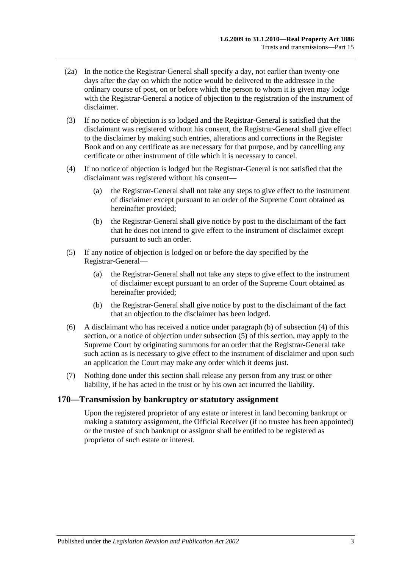- (2a) In the notice the Registrar-General shall specify a day, not earlier than twenty-one days after the day on which the notice would be delivered to the addressee in the ordinary course of post, on or before which the person to whom it is given may lodge with the Registrar-General a notice of objection to the registration of the instrument of disclaimer.
- (3) If no notice of objection is so lodged and the Registrar-General is satisfied that the disclaimant was registered without his consent, the Registrar-General shall give effect to the disclaimer by making such entries, alterations and corrections in the Register Book and on any certificate as are necessary for that purpose, and by cancelling any certificate or other instrument of title which it is necessary to cancel.
- <span id="page-78-1"></span>(4) If no notice of objection is lodged but the Registrar-General is not satisfied that the disclaimant was registered without his consent—
	- (a) the Registrar-General shall not take any steps to give effect to the instrument of disclaimer except pursuant to an order of the Supreme Court obtained as hereinafter provided;
	- (b) the Registrar-General shall give notice by post to the disclaimant of the fact that he does not intend to give effect to the instrument of disclaimer except pursuant to such an order.
- <span id="page-78-2"></span><span id="page-78-0"></span>(5) If any notice of objection is lodged on or before the day specified by the Registrar-General—
	- (a) the Registrar-General shall not take any steps to give effect to the instrument of disclaimer except pursuant to an order of the Supreme Court obtained as hereinafter provided;
	- (b) the Registrar-General shall give notice by post to the disclaimant of the fact that an objection to the disclaimer has been lodged.
- (6) A disclaimant who has received a notice under [paragraph](#page-78-0) (b) of [subsection](#page-78-1) (4) of this section, or a notice of objection under [subsection](#page-78-2) (5) of this section, may apply to the Supreme Court by originating summons for an order that the Registrar-General take such action as is necessary to give effect to the instrument of disclaimer and upon such an application the Court may make any order which it deems just.
- (7) Nothing done under this section shall release any person from any trust or other liability, if he has acted in the trust or by his own act incurred the liability.

#### **170—Transmission by bankruptcy or statutory assignment**

Upon the registered proprietor of any estate or interest in land becoming bankrupt or making a statutory assignment, the Official Receiver (if no trustee has been appointed) or the trustee of such bankrupt or assignor shall be entitled to be registered as proprietor of such estate or interest.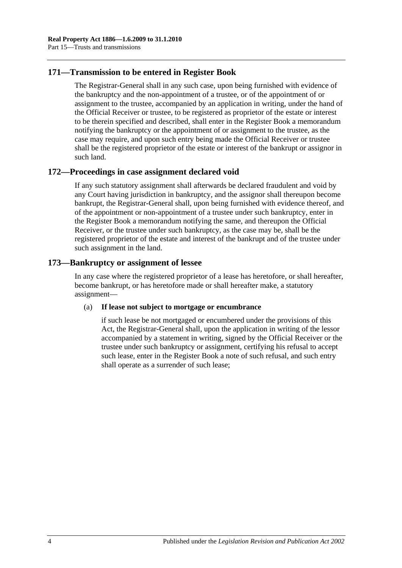### **171—Transmission to be entered in Register Book**

The Registrar-General shall in any such case, upon being furnished with evidence of the bankruptcy and the non-appointment of a trustee, or of the appointment of or assignment to the trustee, accompanied by an application in writing, under the hand of the Official Receiver or trustee, to be registered as proprietor of the estate or interest to be therein specified and described, shall enter in the Register Book a memorandum notifying the bankruptcy or the appointment of or assignment to the trustee, as the case may require, and upon such entry being made the Official Receiver or trustee shall be the registered proprietor of the estate or interest of the bankrupt or assignor in such land.

### **172—Proceedings in case assignment declared void**

If any such statutory assignment shall afterwards be declared fraudulent and void by any Court having jurisdiction in bankruptcy, and the assignor shall thereupon become bankrupt, the Registrar-General shall, upon being furnished with evidence thereof, and of the appointment or non-appointment of a trustee under such bankruptcy, enter in the Register Book a memorandum notifying the same, and thereupon the Official Receiver, or the trustee under such bankruptcy, as the case may be, shall be the registered proprietor of the estate and interest of the bankrupt and of the trustee under such assignment in the land.

## **173—Bankruptcy or assignment of lessee**

In any case where the registered proprietor of a lease has heretofore, or shall hereafter, become bankrupt, or has heretofore made or shall hereafter make, a statutory assignment—

#### (a) **If lease not subject to mortgage or encumbrance**

if such lease be not mortgaged or encumbered under the provisions of this Act, the Registrar-General shall, upon the application in writing of the lessor accompanied by a statement in writing, signed by the Official Receiver or the trustee under such bankruptcy or assignment, certifying his refusal to accept such lease, enter in the Register Book a note of such refusal, and such entry shall operate as a surrender of such lease;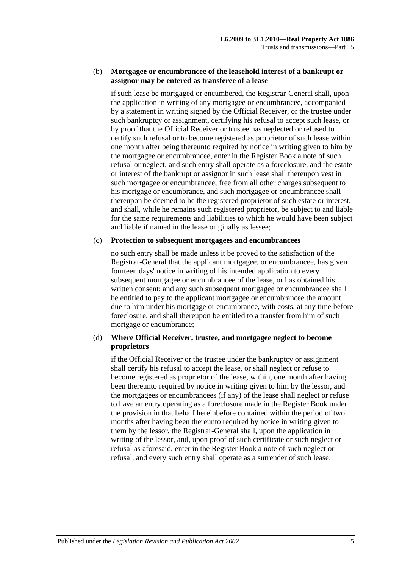#### (b) **Mortgagee or encumbrancee of the leasehold interest of a bankrupt or assignor may be entered as transferee of a lease**

if such lease be mortgaged or encumbered, the Registrar-General shall, upon the application in writing of any mortgagee or encumbrancee, accompanied by a statement in writing signed by the Official Receiver, or the trustee under such bankruptcy or assignment, certifying his refusal to accept such lease, or by proof that the Official Receiver or trustee has neglected or refused to certify such refusal or to become registered as proprietor of such lease within one month after being thereunto required by notice in writing given to him by the mortgagee or encumbrancee, enter in the Register Book a note of such refusal or neglect, and such entry shall operate as a foreclosure, and the estate or interest of the bankrupt or assignor in such lease shall thereupon vest in such mortgagee or encumbrancee, free from all other charges subsequent to his mortgage or encumbrance, and such mortgagee or encumbrancee shall thereupon be deemed to be the registered proprietor of such estate or interest, and shall, while he remains such registered proprietor, be subject to and liable for the same requirements and liabilities to which he would have been subject and liable if named in the lease originally as lessee;

#### (c) **Protection to subsequent mortgagees and encumbrancees**

no such entry shall be made unless it be proved to the satisfaction of the Registrar-General that the applicant mortgagee, or encumbrancee, has given fourteen days' notice in writing of his intended application to every subsequent mortgagee or encumbrancee of the lease, or has obtained his written consent; and any such subsequent mortgagee or encumbrancee shall be entitled to pay to the applicant mortgagee or encumbrancee the amount due to him under his mortgage or encumbrance, with costs, at any time before foreclosure, and shall thereupon be entitled to a transfer from him of such mortgage or encumbrance;

### (d) **Where Official Receiver, trustee, and mortgagee neglect to become proprietors**

if the Official Receiver or the trustee under the bankruptcy or assignment shall certify his refusal to accept the lease, or shall neglect or refuse to become registered as proprietor of the lease, within, one month after having been thereunto required by notice in writing given to him by the lessor, and the mortgagees or encumbrancees (if any) of the lease shall neglect or refuse to have an entry operating as a foreclosure made in the Register Book under the provision in that behalf hereinbefore contained within the period of two months after having been thereunto required by notice in writing given to them by the lessor, the Registrar-General shall, upon the application in writing of the lessor, and, upon proof of such certificate or such neglect or refusal as aforesaid, enter in the Register Book a note of such neglect or refusal, and every such entry shall operate as a surrender of such lease.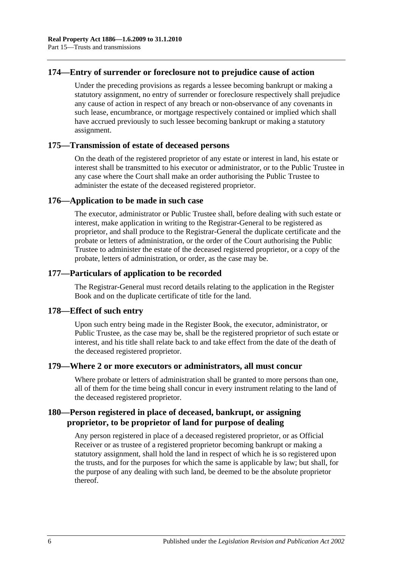### **174—Entry of surrender or foreclosure not to prejudice cause of action**

Under the preceding provisions as regards a lessee becoming bankrupt or making a statutory assignment, no entry of surrender or foreclosure respectively shall prejudice any cause of action in respect of any breach or non-observance of any covenants in such lease, encumbrance, or mortgage respectively contained or implied which shall have accrued previously to such lessee becoming bankrupt or making a statutory assignment.

### **175—Transmission of estate of deceased persons**

On the death of the registered proprietor of any estate or interest in land, his estate or interest shall be transmitted to his executor or administrator, or to the Public Trustee in any case where the Court shall make an order authorising the Public Trustee to administer the estate of the deceased registered proprietor.

### **176—Application to be made in such case**

The executor, administrator or Public Trustee shall, before dealing with such estate or interest, make application in writing to the Registrar-General to be registered as proprietor, and shall produce to the Registrar-General the duplicate certificate and the probate or letters of administration, or the order of the Court authorising the Public Trustee to administer the estate of the deceased registered proprietor, or a copy of the probate, letters of administration, or order, as the case may be.

### **177—Particulars of application to be recorded**

The Registrar-General must record details relating to the application in the Register Book and on the duplicate certificate of title for the land.

#### **178—Effect of such entry**

Upon such entry being made in the Register Book, the executor, administrator, or Public Trustee, as the case may be, shall be the registered proprietor of such estate or interest, and his title shall relate back to and take effect from the date of the death of the deceased registered proprietor.

#### **179—Where 2 or more executors or administrators, all must concur**

Where probate or letters of administration shall be granted to more persons than one, all of them for the time being shall concur in every instrument relating to the land of the deceased registered proprietor.

## **180—Person registered in place of deceased, bankrupt, or assigning proprietor, to be proprietor of land for purpose of dealing**

Any person registered in place of a deceased registered proprietor, or as Official Receiver or as trustee of a registered proprietor becoming bankrupt or making a statutory assignment, shall hold the land in respect of which he is so registered upon the trusts, and for the purposes for which the same is applicable by law; but shall, for the purpose of any dealing with such land, be deemed to be the absolute proprietor thereof.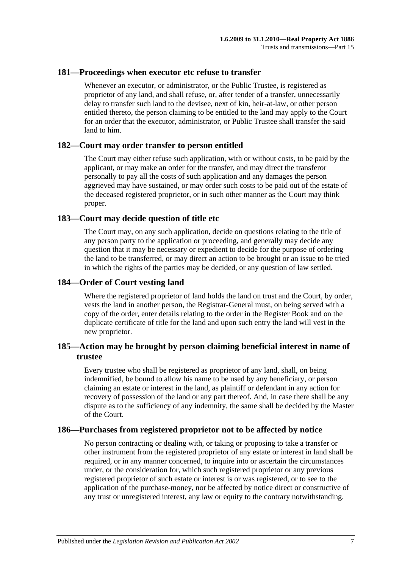### **181—Proceedings when executor etc refuse to transfer**

Whenever an executor, or administrator, or the Public Trustee, is registered as proprietor of any land, and shall refuse, or, after tender of a transfer, unnecessarily delay to transfer such land to the devisee, next of kin, heir-at-law, or other person entitled thereto, the person claiming to be entitled to the land may apply to the Court for an order that the executor, administrator, or Public Trustee shall transfer the said land to him.

### **182—Court may order transfer to person entitled**

The Court may either refuse such application, with or without costs, to be paid by the applicant, or may make an order for the transfer, and may direct the transferor personally to pay all the costs of such application and any damages the person aggrieved may have sustained, or may order such costs to be paid out of the estate of the deceased registered proprietor, or in such other manner as the Court may think proper.

### **183—Court may decide question of title etc**

The Court may, on any such application, decide on questions relating to the title of any person party to the application or proceeding, and generally may decide any question that it may be necessary or expedient to decide for the purpose of ordering the land to be transferred, or may direct an action to be brought or an issue to be tried in which the rights of the parties may be decided, or any question of law settled.

### **184—Order of Court vesting land**

Where the registered proprietor of land holds the land on trust and the Court, by order, vests the land in another person, the Registrar-General must, on being served with a copy of the order, enter details relating to the order in the Register Book and on the duplicate certificate of title for the land and upon such entry the land will vest in the new proprietor.

## **185—Action may be brought by person claiming beneficial interest in name of trustee**

Every trustee who shall be registered as proprietor of any land, shall, on being indemnified, be bound to allow his name to be used by any beneficiary, or person claiming an estate or interest in the land, as plaintiff or defendant in any action for recovery of possession of the land or any part thereof. And, in case there shall be any dispute as to the sufficiency of any indemnity, the same shall be decided by the Master of the Court.

### **186—Purchases from registered proprietor not to be affected by notice**

No person contracting or dealing with, or taking or proposing to take a transfer or other instrument from the registered proprietor of any estate or interest in land shall be required, or in any manner concerned, to inquire into or ascertain the circumstances under, or the consideration for, which such registered proprietor or any previous registered proprietor of such estate or interest is or was registered, or to see to the application of the purchase-money, nor be affected by notice direct or constructive of any trust or unregistered interest, any law or equity to the contrary notwithstanding.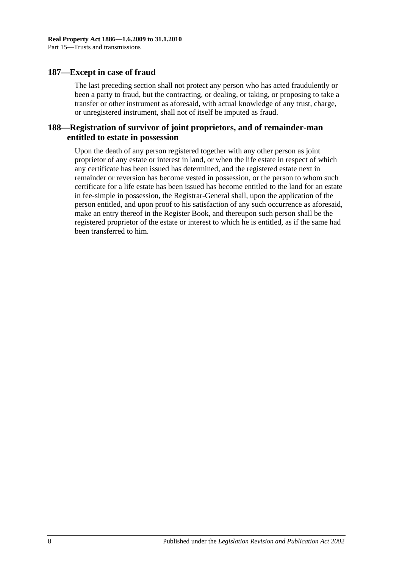### **187—Except in case of fraud**

The last preceding section shall not protect any person who has acted fraudulently or been a party to fraud, but the contracting, or dealing, or taking, or proposing to take a transfer or other instrument as aforesaid, with actual knowledge of any trust, charge, or unregistered instrument, shall not of itself be imputed as fraud.

### **188—Registration of survivor of joint proprietors, and of remainder-man entitled to estate in possession**

Upon the death of any person registered together with any other person as joint proprietor of any estate or interest in land, or when the life estate in respect of which any certificate has been issued has determined, and the registered estate next in remainder or reversion has become vested in possession, or the person to whom such certificate for a life estate has been issued has become entitled to the land for an estate in fee-simple in possession, the Registrar-General shall, upon the application of the person entitled, and upon proof to his satisfaction of any such occurrence as aforesaid, make an entry thereof in the Register Book, and thereupon such person shall be the registered proprietor of the estate or interest to which he is entitled, as if the same had been transferred to him.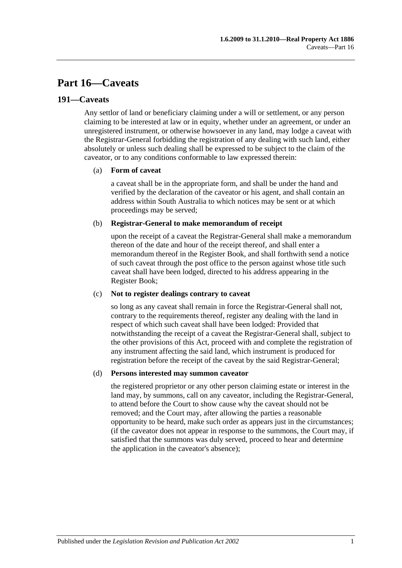# **Part 16—Caveats**

### **191—Caveats**

Any settlor of land or beneficiary claiming under a will or settlement, or any person claiming to be interested at law or in equity, whether under an agreement, or under an unregistered instrument, or otherwise howsoever in any land, may lodge a caveat with the Registrar-General forbidding the registration of any dealing with such land, either absolutely or unless such dealing shall be expressed to be subject to the claim of the caveator, or to any conditions conformable to law expressed therein:

#### (a) **Form of caveat**

a caveat shall be in the appropriate form, and shall be under the hand and verified by the declaration of the caveator or his agent, and shall contain an address within South Australia to which notices may be sent or at which proceedings may be served;

#### (b) **Registrar-General to make memorandum of receipt**

upon the receipt of a caveat the Registrar-General shall make a memorandum thereon of the date and hour of the receipt thereof, and shall enter a memorandum thereof in the Register Book, and shall forthwith send a notice of such caveat through the post office to the person against whose title such caveat shall have been lodged, directed to his address appearing in the Register Book;

#### (c) **Not to register dealings contrary to caveat**

so long as any caveat shall remain in force the Registrar-General shall not, contrary to the requirements thereof, register any dealing with the land in respect of which such caveat shall have been lodged: Provided that notwithstanding the receipt of a caveat the Registrar-General shall, subject to the other provisions of this Act, proceed with and complete the registration of any instrument affecting the said land, which instrument is produced for registration before the receipt of the caveat by the said Registrar-General;

#### (d) **Persons interested may summon caveator**

the registered proprietor or any other person claiming estate or interest in the land may, by summons, call on any caveator, including the Registrar-General, to attend before the Court to show cause why the caveat should not be removed; and the Court may, after allowing the parties a reasonable opportunity to be heard, make such order as appears just in the circumstances; (if the caveator does not appear in response to the summons, the Court may, if satisfied that the summons was duly served, proceed to hear and determine the application in the caveator's absence);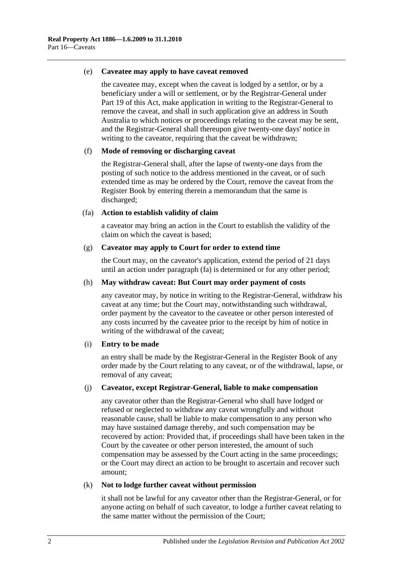#### (e) **Caveatee may apply to have caveat removed**

the caveatee may, except when the caveat is lodged by a settlor, or by a beneficiary under a will or settlement, or by the Registrar-General under [Part](#page-96-0) 19 of this Act, make application in writing to the Registrar-General to remove the caveat, and shall in such application give an address in South Australia to which notices or proceedings relating to the caveat may be sent, and the Registrar-General shall thereupon give twenty-one days' notice in writing to the caveator, requiring that the caveat be withdrawn;

#### (f) **Mode of removing or discharging caveat**

the Registrar-General shall, after the lapse of twenty-one days from the posting of such notice to the address mentioned in the caveat, or of such extended time as may be ordered by the Court, remove the caveat from the Register Book by entering therein a memorandum that the same is discharged;

#### <span id="page-85-0"></span>(fa) **Action to establish validity of claim**

a caveator may bring an action in the Court to establish the validity of the claim on which the caveat is based;

#### (g) **Caveator may apply to Court for order to extend time**

the Court may, on the caveator's application, extend the period of 21 days until an action under [paragraph](#page-85-0) (fa) is determined or for any other period;

#### (h) **May withdraw caveat: But Court may order payment of costs**

any caveator may, by notice in writing to the Registrar-General, withdraw his caveat at any time; but the Court may, notwithstanding such withdrawal, order payment by the caveator to the caveatee or other person interested of any costs incurred by the caveatee prior to the receipt by him of notice in writing of the withdrawal of the caveat;

#### (i) **Entry to be made**

an entry shall be made by the Registrar-General in the Register Book of any order made by the Court relating to any caveat, or of the withdrawal, lapse, or removal of any caveat;

#### (j) **Caveator, except Registrar-General, liable to make compensation**

any caveator other than the Registrar-General who shall have lodged or refused or neglected to withdraw any caveat wrongfully and without reasonable cause, shall be liable to make compensation to any person who may have sustained damage thereby, and such compensation may be recovered by action: Provided that, if proceedings shall have been taken in the Court by the caveatee or other person interested, the amount of such compensation may be assessed by the Court acting in the same proceedings; or the Court may direct an action to be brought to ascertain and recover such amount;

#### (k) **Not to lodge further caveat without permission**

it shall not be lawful for any caveator other than the Registrar-General, or for anyone acting on behalf of such caveator, to lodge a further caveat relating to the same matter without the permission of the Court;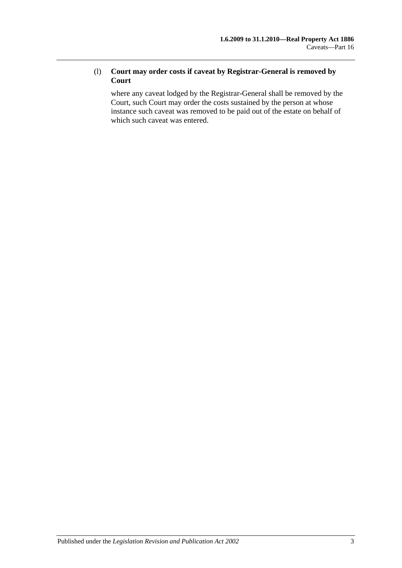### (l) **Court may order costs if caveat by Registrar-General is removed by Court**

where any caveat lodged by the Registrar-General shall be removed by the Court, such Court may order the costs sustained by the person at whose instance such caveat was removed to be paid out of the estate on behalf of which such caveat was entered.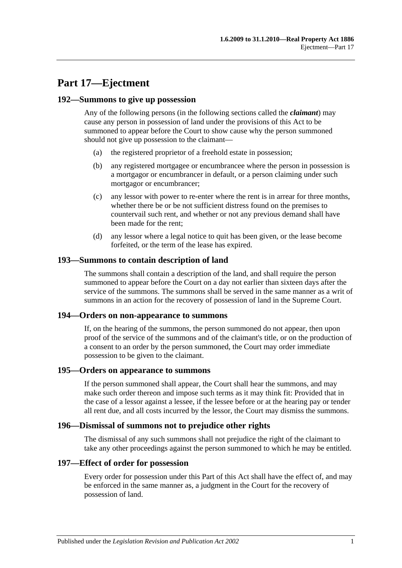# **Part 17—Ejectment**

#### **192—Summons to give up possession**

Any of the following persons (in the following sections called the *claimant*) may cause any person in possession of land under the provisions of this Act to be summoned to appear before the Court to show cause why the person summoned should not give up possession to the claimant—

- (a) the registered proprietor of a freehold estate in possession;
- (b) any registered mortgagee or encumbrancee where the person in possession is a mortgagor or encumbrancer in default, or a person claiming under such mortgagor or encumbrancer;
- (c) any lessor with power to re-enter where the rent is in arrear for three months, whether there be or be not sufficient distress found on the premises to countervail such rent, and whether or not any previous demand shall have been made for the rent;
- (d) any lessor where a legal notice to quit has been given, or the lease become forfeited, or the term of the lease has expired.

### **193—Summons to contain description of land**

The summons shall contain a description of the land, and shall require the person summoned to appear before the Court on a day not earlier than sixteen days after the service of the summons. The summons shall be served in the same manner as a writ of summons in an action for the recovery of possession of land in the Supreme Court.

#### **194—Orders on non-appearance to summons**

If, on the hearing of the summons, the person summoned do not appear, then upon proof of the service of the summons and of the claimant's title, or on the production of a consent to an order by the person summoned, the Court may order immediate possession to be given to the claimant.

#### **195—Orders on appearance to summons**

If the person summoned shall appear, the Court shall hear the summons, and may make such order thereon and impose such terms as it may think fit: Provided that in the case of a lessor against a lessee, if the lessee before or at the hearing pay or tender all rent due, and all costs incurred by the lessor, the Court may dismiss the summons.

#### **196—Dismissal of summons not to prejudice other rights**

The dismissal of any such summons shall not prejudice the right of the claimant to take any other proceedings against the person summoned to which he may be entitled.

#### **197—Effect of order for possession**

Every order for possession under this Part of this Act shall have the effect of, and may be enforced in the same manner as, a judgment in the Court for the recovery of possession of land.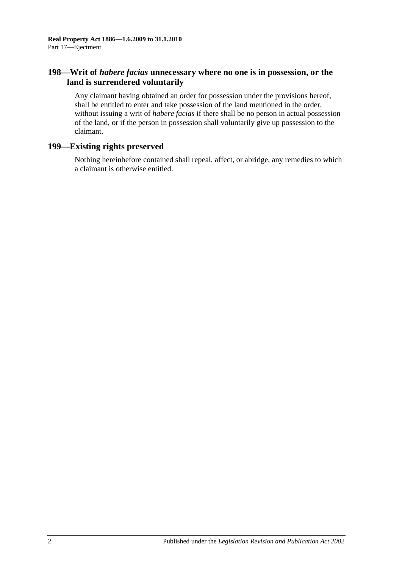### **198—Writ of** *habere facias* **unnecessary where no one is in possession, or the land is surrendered voluntarily**

Any claimant having obtained an order for possession under the provisions hereof, shall be entitled to enter and take possession of the land mentioned in the order, without issuing a writ of *habere facias* if there shall be no person in actual possession of the land, or if the person in possession shall voluntarily give up possession to the claimant.

### **199—Existing rights preserved**

Nothing hereinbefore contained shall repeal, affect, or abridge, any remedies to which a claimant is otherwise entitled.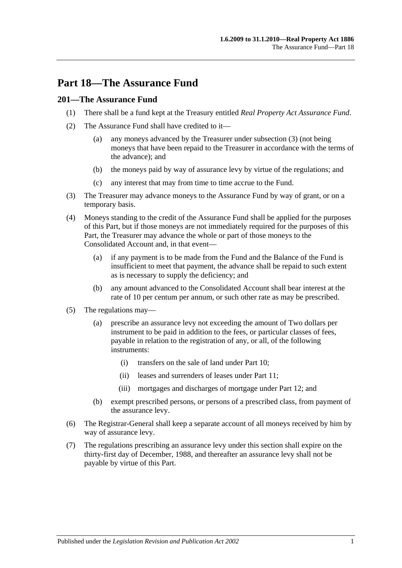## **Part 18—The Assurance Fund**

### **201—The Assurance Fund**

- (1) There shall be a fund kept at the Treasury entitled *Real Property Act Assurance Fund*.
- (2) The Assurance Fund shall have credited to it—
	- (a) any moneys advanced by the Treasurer under [subsection](#page-90-0) (3) (not being moneys that have been repaid to the Treasurer in accordance with the terms of the advance); and
	- (b) the moneys paid by way of assurance levy by virtue of the regulations; and
	- (c) any interest that may from time to time accrue to the Fund.
- <span id="page-90-0"></span>(3) The Treasurer may advance moneys to the Assurance Fund by way of grant, or on a temporary basis.
- (4) Moneys standing to the credit of the Assurance Fund shall be applied for the purposes of this Part, but if those moneys are not immediately required for the purposes of this Part, the Treasurer may advance the whole or part of those moneys to the Consolidated Account and, in that event—
	- (a) if any payment is to be made from the Fund and the Balance of the Fund is insufficient to meet that payment, the advance shall be repaid to such extent as is necessary to supply the deficiency; and
	- (b) any amount advanced to the Consolidated Account shall bear interest at the rate of 10 per centum per annum, or such other rate as may be prescribed.
- (5) The regulations may—
	- (a) prescribe an assurance levy not exceeding the amount of Two dollars per instrument to be paid in addition to the fees, or particular classes of fees, payable in relation to the registration of any, or all, of the following instruments:
		- (i) transfers on the sale of land under [Part 10;](#page-52-0)
		- (ii) leases and surrenders of leases under [Part 11;](#page-58-0)
		- (iii) mortgages and discharges of mortgage under [Part 12;](#page-62-0) and
	- (b) exempt prescribed persons, or persons of a prescribed class, from payment of the assurance levy.
- (6) The Registrar-General shall keep a separate account of all moneys received by him by way of assurance levy.
- (7) The regulations prescribing an assurance levy under this section shall expire on the thirty-first day of December, 1988, and thereafter an assurance levy shall not be payable by virtue of this Part.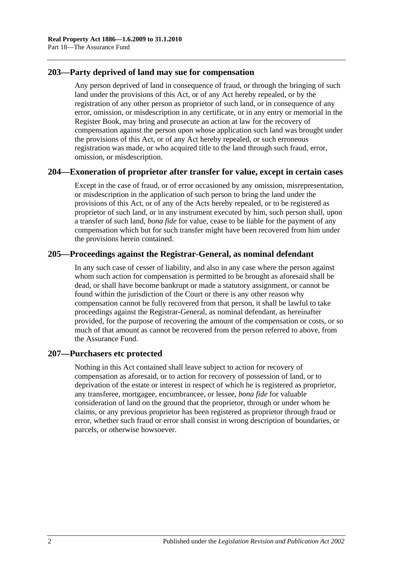### **203—Party deprived of land may sue for compensation**

Any person deprived of land in consequence of fraud, or through the bringing of such land under the provisions of this Act, or of any Act hereby repealed, or by the registration of any other person as proprietor of such land, or in consequence of any error, omission, or misdescription in any certificate, or in any entry or memorial in the Register Book, may bring and prosecute an action at law for the recovery of compensation against the person upon whose application such land was brought under the provisions of this Act, or of any Act hereby repealed, or such erroneous registration was made, or who acquired title to the land through such fraud, error, omission, or misdescription.

### **204—Exoneration of proprietor after transfer for value, except in certain cases**

Except in the case of fraud, or of error occasioned by any omission, misrepresentation, or misdescription in the application of such person to bring the land under the provisions of this Act, or of any of the Acts hereby repealed, or to be registered as proprietor of such land, or in any instrument executed by him, such person shall, upon a transfer of such land, *bona fide* for value, cease to be liable for the payment of any compensation which but for such transfer might have been recovered from him under the provisions herein contained.

## **205—Proceedings against the Registrar-General, as nominal defendant**

In any such case of cesser of liability, and also in any case where the person against whom such action for compensation is permitted to be brought as aforesaid shall be dead, or shall have become bankrupt or made a statutory assignment, or cannot be found within the jurisdiction of the Court or there is any other reason why compensation cannot be fully recovered from that person, it shall be lawful to take proceedings against the Registrar-General, as nominal defendant, as hereinafter provided, for the purpose of recovering the amount of the compensation or costs, or so much of that amount as cannot be recovered from the person referred to above, from the Assurance Fund.

### **207—Purchasers etc protected**

Nothing in this Act contained shall leave subject to action for recovery of compensation as aforesaid, or to action for recovery of possession of land, or to deprivation of the estate or interest in respect of which he is registered as proprietor, any transferee, mortgagee, encumbrancee, or lessee, *bona fide* for valuable consideration of land on the ground that the proprietor, through or under whom he claims, or any previous proprietor has been registered as proprietor through fraud or error, whether such fraud or error shall consist in wrong description of boundaries, or parcels, or otherwise howsoever.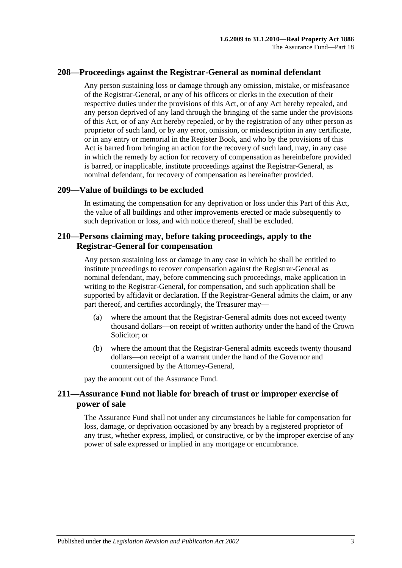### **208—Proceedings against the Registrar-General as nominal defendant**

Any person sustaining loss or damage through any omission, mistake, or misfeasance of the Registrar-General, or any of his officers or clerks in the execution of their respective duties under the provisions of this Act, or of any Act hereby repealed, and any person deprived of any land through the bringing of the same under the provisions of this Act, or of any Act hereby repealed, or by the registration of any other person as proprietor of such land, or by any error, omission, or misdescription in any certificate, or in any entry or memorial in the Register Book, and who by the provisions of this Act is barred from bringing an action for the recovery of such land, may, in any case in which the remedy by action for recovery of compensation as hereinbefore provided is barred, or inapplicable, institute proceedings against the Registrar-General, as nominal defendant, for recovery of compensation as hereinafter provided.

#### **209—Value of buildings to be excluded**

In estimating the compensation for any deprivation or loss under this Part of this Act, the value of all buildings and other improvements erected or made subsequently to such deprivation or loss, and with notice thereof, shall be excluded.

### **210—Persons claiming may, before taking proceedings, apply to the Registrar-General for compensation**

Any person sustaining loss or damage in any case in which he shall be entitled to institute proceedings to recover compensation against the Registrar-General as nominal defendant, may, before commencing such proceedings, make application in writing to the Registrar-General, for compensation, and such application shall be supported by affidavit or declaration. If the Registrar-General admits the claim, or any part thereof, and certifies accordingly, the Treasurer may—

- (a) where the amount that the Registrar-General admits does not exceed twenty thousand dollars—on receipt of written authority under the hand of the Crown Solicitor; or
- (b) where the amount that the Registrar-General admits exceeds twenty thousand dollars—on receipt of a warrant under the hand of the Governor and countersigned by the Attorney-General,

pay the amount out of the Assurance Fund.

### **211—Assurance Fund not liable for breach of trust or improper exercise of power of sale**

The Assurance Fund shall not under any circumstances be liable for compensation for loss, damage, or deprivation occasioned by any breach by a registered proprietor of any trust, whether express, implied, or constructive, or by the improper exercise of any power of sale expressed or implied in any mortgage or encumbrance.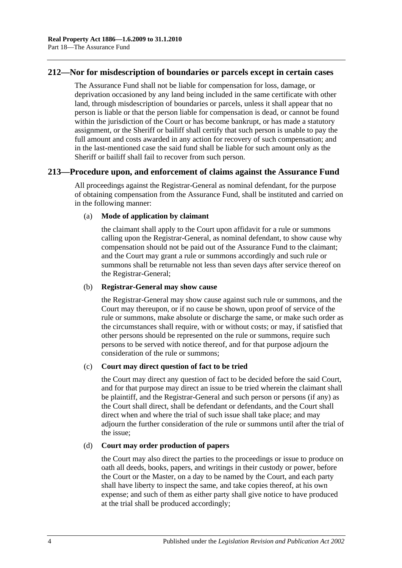### **212—Nor for misdescription of boundaries or parcels except in certain cases**

The Assurance Fund shall not be liable for compensation for loss, damage, or deprivation occasioned by any land being included in the same certificate with other land, through misdescription of boundaries or parcels, unless it shall appear that no person is liable or that the person liable for compensation is dead, or cannot be found within the jurisdiction of the Court or has become bankrupt, or has made a statutory assignment, or the Sheriff or bailiff shall certify that such person is unable to pay the full amount and costs awarded in any action for recovery of such compensation; and in the last-mentioned case the said fund shall be liable for such amount only as the Sheriff or bailiff shall fail to recover from such person.

### **213—Procedure upon, and enforcement of claims against the Assurance Fund**

All proceedings against the Registrar-General as nominal defendant, for the purpose of obtaining compensation from the Assurance Fund, shall be instituted and carried on in the following manner:

#### (a) **Mode of application by claimant**

the claimant shall apply to the Court upon affidavit for a rule or summons calling upon the Registrar-General, as nominal defendant, to show cause why compensation should not be paid out of the Assurance Fund to the claimant; and the Court may grant a rule or summons accordingly and such rule or summons shall be returnable not less than seven days after service thereof on the Registrar-General;

#### (b) **Registrar-General may show cause**

the Registrar-General may show cause against such rule or summons, and the Court may thereupon, or if no cause be shown, upon proof of service of the rule or summons, make absolute or discharge the same, or make such order as the circumstances shall require, with or without costs; or may, if satisfied that other persons should be represented on the rule or summons, require such persons to be served with notice thereof, and for that purpose adjourn the consideration of the rule or summons;

#### (c) **Court may direct question of fact to be tried**

the Court may direct any question of fact to be decided before the said Court, and for that purpose may direct an issue to be tried wherein the claimant shall be plaintiff, and the Registrar-General and such person or persons (if any) as the Court shall direct, shall be defendant or defendants, and the Court shall direct when and where the trial of such issue shall take place; and may adjourn the further consideration of the rule or summons until after the trial of the issue;

#### (d) **Court may order production of papers**

the Court may also direct the parties to the proceedings or issue to produce on oath all deeds, books, papers, and writings in their custody or power, before the Court or the Master, on a day to be named by the Court, and each party shall have liberty to inspect the same, and take copies thereof, at his own expense; and such of them as either party shall give notice to have produced at the trial shall be produced accordingly;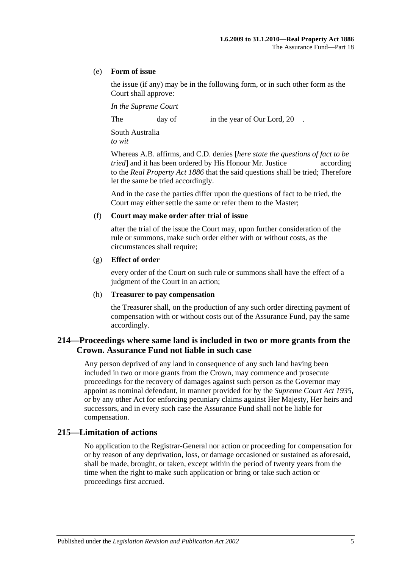#### (e) **Form of issue**

the issue (if any) may be in the following form, or in such other form as the Court shall approve:

*In the Supreme Court*

The day of in the year of Our Lord, 20

South Australia *to wit*

Whereas A.B. affirms, and C.D. denies [*here state the questions of fact to be tried* and it has been ordered by His Honour Mr. Justice according to the *[Real Property Act](http://www.legislation.sa.gov.au/index.aspx?action=legref&type=act&legtitle=Real%20Property%20Act%201886) 1886* that the said questions shall be tried; Therefore let the same be tried accordingly.

And in the case the parties differ upon the questions of fact to be tried, the Court may either settle the same or refer them to the Master;

#### (f) **Court may make order after trial of issue**

after the trial of the issue the Court may, upon further consideration of the rule or summons, make such order either with or without costs, as the circumstances shall require;

#### (g) **Effect of order**

every order of the Court on such rule or summons shall have the effect of a judgment of the Court in an action;

#### (h) **Treasurer to pay compensation**

the Treasurer shall, on the production of any such order directing payment of compensation with or without costs out of the Assurance Fund, pay the same accordingly.

## **214—Proceedings where same land is included in two or more grants from the Crown. Assurance Fund not liable in such case**

Any person deprived of any land in consequence of any such land having been included in two or more grants from the Crown, may commence and prosecute proceedings for the recovery of damages against such person as the Governor may appoint as nominal defendant, in manner provided for by the *[Supreme Court Act](http://www.legislation.sa.gov.au/index.aspx?action=legref&type=act&legtitle=Supreme%20Court%20Act%201935) 1935*, or by any other Act for enforcing pecuniary claims against Her Majesty, Her heirs and successors, and in every such case the Assurance Fund shall not be liable for compensation.

### **215—Limitation of actions**

No application to the Registrar-General nor action or proceeding for compensation for or by reason of any deprivation, loss, or damage occasioned or sustained as aforesaid, shall be made, brought, or taken, except within the period of twenty years from the time when the right to make such application or bring or take such action or proceedings first accrued.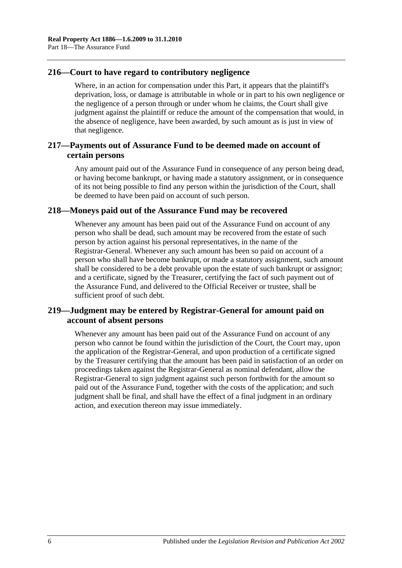## **216—Court to have regard to contributory negligence**

Where, in an action for compensation under this Part, it appears that the plaintiff's deprivation, loss, or damage is attributable in whole or in part to his own negligence or the negligence of a person through or under whom he claims, the Court shall give judgment against the plaintiff or reduce the amount of the compensation that would, in the absence of negligence, have been awarded, by such amount as is just in view of that negligence.

### **217—Payments out of Assurance Fund to be deemed made on account of certain persons**

Any amount paid out of the Assurance Fund in consequence of any person being dead, or having become bankrupt, or having made a statutory assignment, or in consequence of its not being possible to find any person within the jurisdiction of the Court, shall be deemed to have been paid on account of such person.

### **218—Moneys paid out of the Assurance Fund may be recovered**

Whenever any amount has been paid out of the Assurance Fund on account of any person who shall be dead, such amount may be recovered from the estate of such person by action against his personal representatives, in the name of the Registrar-General. Whenever any such amount has been so paid on account of a person who shall have become bankrupt, or made a statutory assignment, such amount shall be considered to be a debt provable upon the estate of such bankrupt or assignor; and a certificate, signed by the Treasurer, certifying the fact of such payment out of the Assurance Fund, and delivered to the Official Receiver or trustee, shall be sufficient proof of such debt.

## **219—Judgment may be entered by Registrar-General for amount paid on account of absent persons**

Whenever any amount has been paid out of the Assurance Fund on account of any person who cannot be found within the jurisdiction of the Court, the Court may, upon the application of the Registrar-General, and upon production of a certificate signed by the Treasurer certifying that the amount has been paid in satisfaction of an order on proceedings taken against the Registrar-General as nominal defendant, allow the Registrar-General to sign judgment against such person forthwith for the amount so paid out of the Assurance Fund, together with the costs of the application; and such judgment shall be final, and shall have the effect of a final judgment in an ordinary action, and execution thereon may issue immediately.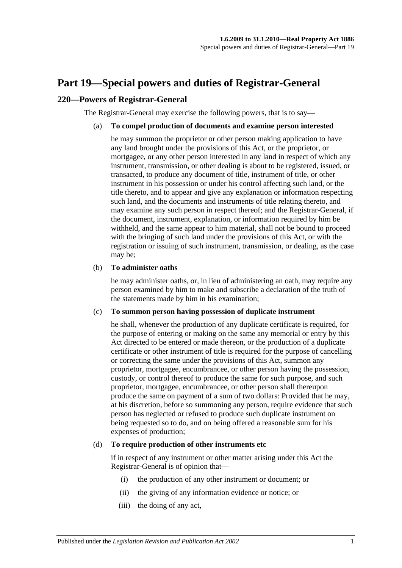# <span id="page-96-0"></span>**Part 19—Special powers and duties of Registrar-General**

### **220—Powers of Registrar-General**

The Registrar-General may exercise the following powers, that is to say—

#### (a) **To compel production of documents and examine person interested**

he may summon the proprietor or other person making application to have any land brought under the provisions of this Act, or the proprietor, or mortgagee, or any other person interested in any land in respect of which any instrument, transmission, or other dealing is about to be registered, issued, or transacted, to produce any document of title, instrument of title, or other instrument in his possession or under his control affecting such land, or the title thereto, and to appear and give any explanation or information respecting such land, and the documents and instruments of title relating thereto, and may examine any such person in respect thereof; and the Registrar-General, if the document, instrument, explanation, or information required by him be withheld, and the same appear to him material, shall not be bound to proceed with the bringing of such land under the provisions of this Act, or with the registration or issuing of such instrument, transmission, or dealing, as the case may be;

#### (b) **To administer oaths**

he may administer oaths, or, in lieu of administering an oath, may require any person examined by him to make and subscribe a declaration of the truth of the statements made by him in his examination;

#### (c) **To summon person having possession of duplicate instrument**

he shall, whenever the production of any duplicate certificate is required, for the purpose of entering or making on the same any memorial or entry by this Act directed to be entered or made thereon, or the production of a duplicate certificate or other instrument of title is required for the purpose of cancelling or correcting the same under the provisions of this Act, summon any proprietor, mortgagee, encumbrancee, or other person having the possession, custody, or control thereof to produce the same for such purpose, and such proprietor, mortgagee, encumbrancee, or other person shall thereupon produce the same on payment of a sum of two dollars: Provided that he may, at his discretion, before so summoning any person, require evidence that such person has neglected or refused to produce such duplicate instrument on being requested so to do, and on being offered a reasonable sum for his expenses of production;

#### <span id="page-96-1"></span>(d) **To require production of other instruments etc**

if in respect of any instrument or other matter arising under this Act the Registrar-General is of opinion that—

- (i) the production of any other instrument or document; or
- (ii) the giving of any information evidence or notice; or
- (iii) the doing of any act,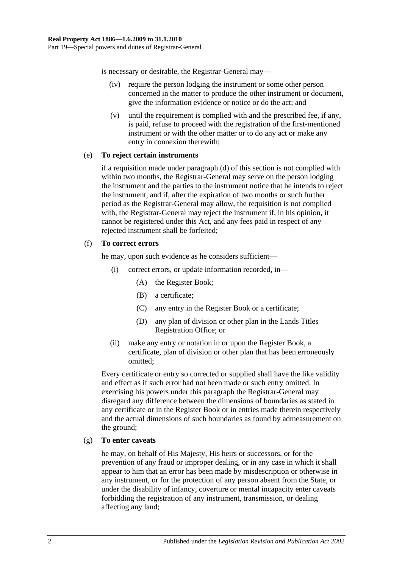is necessary or desirable, the Registrar-General may—

- (iv) require the person lodging the instrument or some other person concerned in the matter to produce the other instrument or document, give the information evidence or notice or do the act; and
- (v) until the requirement is complied with and the prescribed fee, if any, is paid, refuse to proceed with the registration of the first-mentioned instrument or with the other matter or to do any act or make any entry in connexion therewith;

#### (e) **To reject certain instruments**

if a requisition made under [paragraph](#page-96-1) (d) of this section is not complied with within two months, the Registrar-General may serve on the person lodging the instrument and the parties to the instrument notice that he intends to reject the instrument, and if, after the expiration of two months or such further period as the Registrar-General may allow, the requisition is not complied with, the Registrar-General may reject the instrument if, in his opinion, it cannot be registered under this Act, and any fees paid in respect of any rejected instrument shall be forfeited;

#### (f) **To correct errors**

he may, upon such evidence as he considers sufficient—

- (i) correct errors, or update information recorded, in—
	- (A) the Register Book;
	- (B) a certificate;
	- (C) any entry in the Register Book or a certificate;
	- (D) any plan of division or other plan in the Lands Titles Registration Office; or
- (ii) make any entry or notation in or upon the Register Book, a certificate, plan of division or other plan that has been erroneously omitted;

Every certificate or entry so corrected or supplied shall have the like validity and effect as if such error had not been made or such entry omitted. In exercising his powers under this paragraph the Registrar-General may disregard any difference between the dimensions of boundaries as stated in any certificate or in the Register Book or in entries made therein respectively and the actual dimensions of such boundaries as found by admeasurement on the ground;

#### (g) **To enter caveats**

he may, on behalf of His Majesty, His heirs or successors, or for the prevention of any fraud or improper dealing, or in any case in which it shall appear to him that an error has been made by misdescription or otherwise in any instrument, or for the protection of any person absent from the State, or under the disability of infancy, coverture or mental incapacity enter caveats forbidding the registration of any instrument, transmission, or dealing affecting any land;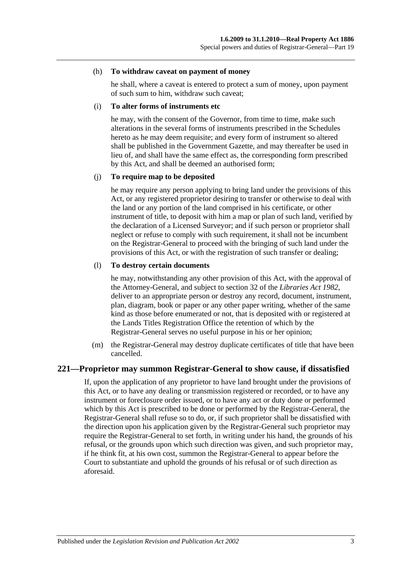#### (h) **To withdraw caveat on payment of money**

he shall, where a caveat is entered to protect a sum of money, upon payment of such sum to him, withdraw such caveat;

#### (i) **To alter forms of instruments etc**

he may, with the consent of the Governor, from time to time, make such alterations in the several forms of instruments prescribed in the Schedules hereto as he may deem requisite; and every form of instrument so altered shall be published in the Government Gazette, and may thereafter be used in lieu of, and shall have the same effect as, the corresponding form prescribed by this Act, and shall be deemed an authorised form;

#### (j) **To require map to be deposited**

he may require any person applying to bring land under the provisions of this Act, or any registered proprietor desiring to transfer or otherwise to deal with the land or any portion of the land comprised in his certificate, or other instrument of title, to deposit with him a map or plan of such land, verified by the declaration of a Licensed Surveyor; and if such person or proprietor shall neglect or refuse to comply with such requirement, it shall not be incumbent on the Registrar-General to proceed with the bringing of such land under the provisions of this Act, or with the registration of such transfer or dealing;

#### (l) **To destroy certain documents**

he may, notwithstanding any other provision of this Act, with the approval of the Attorney-General, and subject to section 32 of the *[Libraries Act](http://www.legislation.sa.gov.au/index.aspx?action=legref&type=act&legtitle=Libraries%20Act%201982) 1982*, deliver to an appropriate person or destroy any record, document, instrument, plan, diagram, book or paper or any other paper writing, whether of the same kind as those before enumerated or not, that is deposited with or registered at the Lands Titles Registration Office the retention of which by the Registrar-General serves no useful purpose in his or her opinion;

(m) the Registrar-General may destroy duplicate certificates of title that have been cancelled.

#### **221—Proprietor may summon Registrar-General to show cause, if dissatisfied**

If, upon the application of any proprietor to have land brought under the provisions of this Act, or to have any dealing or transmission registered or recorded, or to have any instrument or foreclosure order issued, or to have any act or duty done or performed which by this Act is prescribed to be done or performed by the Registrar-General, the Registrar-General shall refuse so to do, or, if such proprietor shall be dissatisfied with the direction upon his application given by the Registrar-General such proprietor may require the Registrar-General to set forth, in writing under his hand, the grounds of his refusal, or the grounds upon which such direction was given, and such proprietor may, if he think fit, at his own cost, summon the Registrar-General to appear before the Court to substantiate and uphold the grounds of his refusal or of such direction as aforesaid.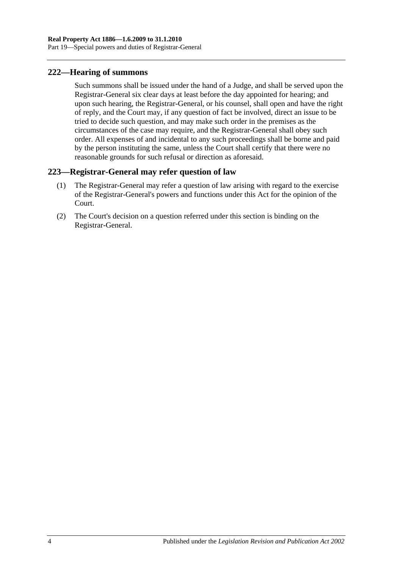### **222—Hearing of summons**

Such summons shall be issued under the hand of a Judge, and shall be served upon the Registrar-General six clear days at least before the day appointed for hearing; and upon such hearing, the Registrar-General, or his counsel, shall open and have the right of reply, and the Court may, if any question of fact be involved, direct an issue to be tried to decide such question, and may make such order in the premises as the circumstances of the case may require, and the Registrar-General shall obey such order. All expenses of and incidental to any such proceedings shall be borne and paid by the person instituting the same, unless the Court shall certify that there were no reasonable grounds for such refusal or direction as aforesaid.

## **223—Registrar-General may refer question of law**

- (1) The Registrar-General may refer a question of law arising with regard to the exercise of the Registrar-General's powers and functions under this Act for the opinion of the Court.
- (2) The Court's decision on a question referred under this section is binding on the Registrar-General.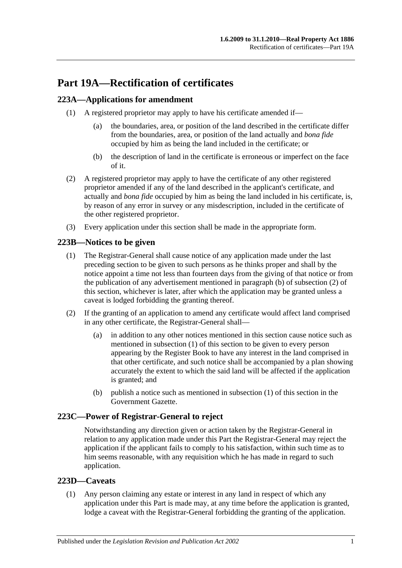# **Part 19A—Rectification of certificates**

## <span id="page-100-3"></span>**223A—Applications for amendment**

- (1) A registered proprietor may apply to have his certificate amended if—
	- (a) the boundaries, area, or position of the land described in the certificate differ from the boundaries, area, or position of the land actually and *bona fide* occupied by him as being the land included in the certificate; or
	- (b) the description of land in the certificate is erroneous or imperfect on the face of it.
- (2) A registered proprietor may apply to have the certificate of any other registered proprietor amended if any of the land described in the applicant's certificate, and actually and *bona fide* occupied by him as being the land included in his certificate, is, by reason of any error in survey or any misdescription, included in the certificate of the other registered proprietor.
- (3) Every application under this section shall be made in the appropriate form.

## <span id="page-100-2"></span>**223B—Notices to be given**

- (1) The Registrar-General shall cause notice of any application made under the last preceding section to be given to such persons as he thinks proper and shall by the notice appoint a time not less than fourteen days from the giving of that notice or from the publication of any advertisement mentioned in [paragraph](#page-100-0) (b) of [subsection](#page-100-1) (2) of this section, whichever is later, after which the application may be granted unless a caveat is lodged forbidding the granting thereof.
- <span id="page-100-1"></span>(2) If the granting of an application to amend any certificate would affect land comprised in any other certificate, the Registrar-General shall—
	- (a) in addition to any other notices mentioned in this section cause notice such as mentioned in [subsection](#page-100-2) (1) of this section to be given to every person appearing by the Register Book to have any interest in the land comprised in that other certificate, and such notice shall be accompanied by a plan showing accurately the extent to which the said land will be affected if the application is granted; and
	- (b) publish a notice such as mentioned in [subsection](#page-100-2) (1) of this section in the Government Gazette.

### <span id="page-100-0"></span>**223C—Power of Registrar-General to reject**

Notwithstanding any direction given or action taken by the Registrar-General in relation to any application made under this Part the Registrar-General may reject the application if the applicant fails to comply to his satisfaction, within such time as to him seems reasonable, with any requisition which he has made in regard to such application.

### **223D—Caveats**

(1) Any person claiming any estate or interest in any land in respect of which any application under this Part is made may, at any time before the application is granted, lodge a caveat with the Registrar-General forbidding the granting of the application.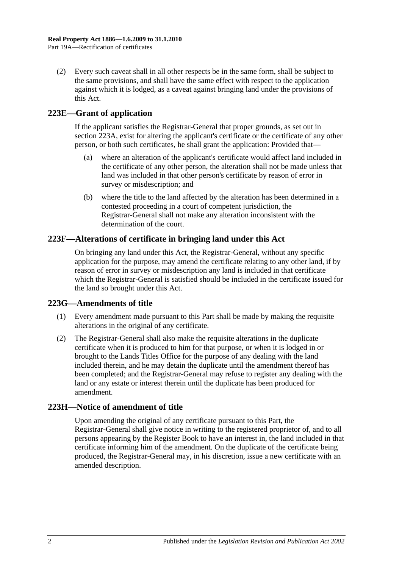(2) Every such caveat shall in all other respects be in the same form, shall be subject to the same provisions, and shall have the same effect with respect to the application against which it is lodged, as a caveat against bringing land under the provisions of this Act.

## **223E—Grant of application**

If the applicant satisfies the Registrar-General that proper grounds, as set out in [section](#page-100-3) 223A, exist for altering the applicant's certificate or the certificate of any other person, or both such certificates, he shall grant the application: Provided that—

- (a) where an alteration of the applicant's certificate would affect land included in the certificate of any other person, the alteration shall not be made unless that land was included in that other person's certificate by reason of error in survey or misdescription; and
- (b) where the title to the land affected by the alteration has been determined in a contested proceeding in a court of competent jurisdiction, the Registrar-General shall not make any alteration inconsistent with the determination of the court.

### **223F—Alterations of certificate in bringing land under this Act**

On bringing any land under this Act, the Registrar-General, without any specific application for the purpose, may amend the certificate relating to any other land, if by reason of error in survey or misdescription any land is included in that certificate which the Registrar-General is satisfied should be included in the certificate issued for the land so brought under this Act.

### **223G—Amendments of title**

- (1) Every amendment made pursuant to this Part shall be made by making the requisite alterations in the original of any certificate.
- (2) The Registrar-General shall also make the requisite alterations in the duplicate certificate when it is produced to him for that purpose, or when it is lodged in or brought to the Lands Titles Office for the purpose of any dealing with the land included therein, and he may detain the duplicate until the amendment thereof has been completed; and the Registrar-General may refuse to register any dealing with the land or any estate or interest therein until the duplicate has been produced for amendment.

### **223H—Notice of amendment of title**

Upon amending the original of any certificate pursuant to this Part, the Registrar-General shall give notice in writing to the registered proprietor of, and to all persons appearing by the Register Book to have an interest in, the land included in that certificate informing him of the amendment. On the duplicate of the certificate being produced, the Registrar-General may, in his discretion, issue a new certificate with an amended description.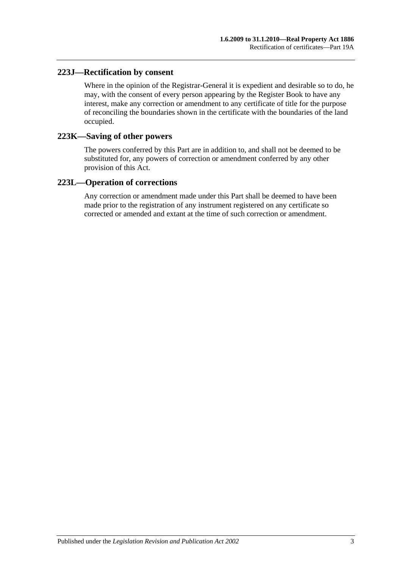### **223J—Rectification by consent**

Where in the opinion of the Registrar-General it is expedient and desirable so to do, he may, with the consent of every person appearing by the Register Book to have any interest, make any correction or amendment to any certificate of title for the purpose of reconciling the boundaries shown in the certificate with the boundaries of the land occupied.

### **223K—Saving of other powers**

The powers conferred by this Part are in addition to, and shall not be deemed to be substituted for, any powers of correction or amendment conferred by any other provision of this Act.

### **223L—Operation of corrections**

Any correction or amendment made under this Part shall be deemed to have been made prior to the registration of any instrument registered on any certificate so corrected or amended and extant at the time of such correction or amendment.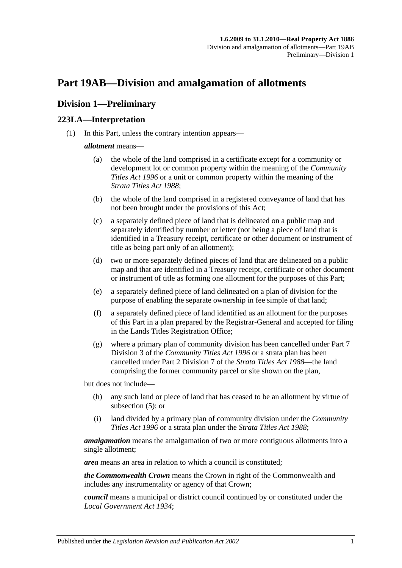# <span id="page-104-2"></span>**Part 19AB—Division and amalgamation of allotments**

## **Division 1—Preliminary**

## <span id="page-104-1"></span>**223LA—Interpretation**

(1) In this Part, unless the contrary intention appears—

#### *allotment* means—

- (a) the whole of the land comprised in a certificate except for a community or development lot or common property within the meaning of the *[Community](http://www.legislation.sa.gov.au/index.aspx?action=legref&type=act&legtitle=Community%20Titles%20Act%201996)  [Titles Act](http://www.legislation.sa.gov.au/index.aspx?action=legref&type=act&legtitle=Community%20Titles%20Act%201996) 1996* or a unit or common property within the meaning of the *[Strata Titles Act](http://www.legislation.sa.gov.au/index.aspx?action=legref&type=act&legtitle=Strata%20Titles%20Act%201988) 1988*;
- (b) the whole of the land comprised in a registered conveyance of land that has not been brought under the provisions of this Act;
- (c) a separately defined piece of land that is delineated on a public map and separately identified by number or letter (not being a piece of land that is identified in a Treasury receipt, certificate or other document or instrument of title as being part only of an allotment);
- (d) two or more separately defined pieces of land that are delineated on a public map and that are identified in a Treasury receipt, certificate or other document or instrument of title as forming one allotment for the purposes of this Part;
- <span id="page-104-0"></span>(e) a separately defined piece of land delineated on a plan of division for the purpose of enabling the separate ownership in fee simple of that land;
- (f) a separately defined piece of land identified as an allotment for the purposes of this Part in a plan prepared by the Registrar-General and accepted for filing in the Lands Titles Registration Office;
- (g) where a primary plan of community division has been cancelled under Part 7 Division 3 of the *[Community Titles Act](http://www.legislation.sa.gov.au/index.aspx?action=legref&type=act&legtitle=Community%20Titles%20Act%201996) 1996* or a strata plan has been cancelled under Part 2 Division 7 of the *[Strata Titles Act](http://www.legislation.sa.gov.au/index.aspx?action=legref&type=act&legtitle=Strata%20Titles%20Act%201988) 1988*—the land comprising the former community parcel or site shown on the plan,

but does not include—

- (h) any such land or piece of land that has ceased to be an allotment by virtue of [subsection](#page-106-0) (5); or
- (i) land divided by a primary plan of community division under the *[Community](http://www.legislation.sa.gov.au/index.aspx?action=legref&type=act&legtitle=Community%20Titles%20Act%201996)  [Titles Act](http://www.legislation.sa.gov.au/index.aspx?action=legref&type=act&legtitle=Community%20Titles%20Act%201996) 1996* or a strata plan under the *[Strata Titles Act](http://www.legislation.sa.gov.au/index.aspx?action=legref&type=act&legtitle=Strata%20Titles%20Act%201988) 1988*;

*amalgamation* means the amalgamation of two or more contiguous allotments into a single allotment;

*area* means an area in relation to which a council is constituted;

*the Commonwealth Crown* means the Crown in right of the Commonwealth and includes any instrumentality or agency of that Crown;

*council* means a municipal or district council continued by or constituted under the *[Local Government Act](http://www.legislation.sa.gov.au/index.aspx?action=legref&type=act&legtitle=Local%20Government%20Act%201934) 1934*;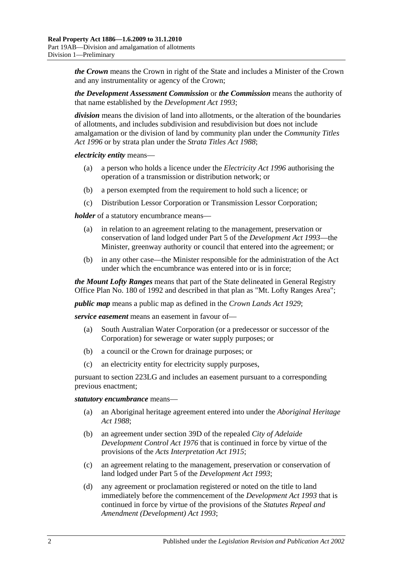*the Crown* means the Crown in right of the State and includes a Minister of the Crown and any instrumentality or agency of the Crown;

*the Development Assessment Commission* or *the Commission* means the authority of that name established by the *[Development Act](http://www.legislation.sa.gov.au/index.aspx?action=legref&type=act&legtitle=Development%20Act%201993) 1993*;

*division* means the division of land into allotments, or the alteration of the boundaries of allotments, and includes subdivision and resubdivision but does not include amalgamation or the division of land by community plan under the *[Community Titles](http://www.legislation.sa.gov.au/index.aspx?action=legref&type=act&legtitle=Community%20Titles%20Act%201996)  Act [1996](http://www.legislation.sa.gov.au/index.aspx?action=legref&type=act&legtitle=Community%20Titles%20Act%201996)* or by strata plan under the *[Strata Titles Act](http://www.legislation.sa.gov.au/index.aspx?action=legref&type=act&legtitle=Strata%20Titles%20Act%201988) 1988*;

*electricity entity* means—

- (a) a person who holds a licence under the *[Electricity Act](http://www.legislation.sa.gov.au/index.aspx?action=legref&type=act&legtitle=Electricity%20Act%201996) 1996* authorising the operation of a transmission or distribution network; or
- (b) a person exempted from the requirement to hold such a licence; or
- (c) Distribution Lessor Corporation or Transmission Lessor Corporation;

*holder* of a statutory encumbrance means—

- (a) in relation to an agreement relating to the management, preservation or conservation of land lodged under Part 5 of the *[Development Act](http://www.legislation.sa.gov.au/index.aspx?action=legref&type=act&legtitle=Development%20Act%201993) 1993*—the Minister, greenway authority or council that entered into the agreement; or
- (b) in any other case—the Minister responsible for the administration of the Act under which the encumbrance was entered into or is in force;

*the Mount Lofty Ranges* means that part of the State delineated in General Registry Office Plan No. 180 of 1992 and described in that plan as "Mt. Lofty Ranges Area";

*public map* means a public map as defined in the *[Crown Lands Act](http://www.legislation.sa.gov.au/index.aspx?action=legref&type=act&legtitle=Crown%20Lands%20Act%201929) 1929*;

*service easement* means an easement in favour of—

- (a) South Australian Water Corporation (or a predecessor or successor of the Corporation) for sewerage or water supply purposes; or
- (b) a council or the Crown for drainage purposes; or
- (c) an electricity entity for electricity supply purposes,

pursuant to [section](#page-112-0) 223LG and includes an easement pursuant to a corresponding previous enactment;

#### *statutory encumbrance* means—

- (a) an Aboriginal heritage agreement entered into under the *[Aboriginal Heritage](http://www.legislation.sa.gov.au/index.aspx?action=legref&type=act&legtitle=Aboriginal%20Heritage%20Act%201988)  Act [1988](http://www.legislation.sa.gov.au/index.aspx?action=legref&type=act&legtitle=Aboriginal%20Heritage%20Act%201988)*;
- (b) an agreement under section 39D of the repealed *[City of Adelaide](http://www.legislation.sa.gov.au/index.aspx?action=legref&type=act&legtitle=City%20of%20Adelaide%20Development%20Control%20Act%201976)  [Development Control Act](http://www.legislation.sa.gov.au/index.aspx?action=legref&type=act&legtitle=City%20of%20Adelaide%20Development%20Control%20Act%201976) 1976* that is continued in force by virtue of the provisions of the *[Acts Interpretation Act](http://www.legislation.sa.gov.au/index.aspx?action=legref&type=act&legtitle=Acts%20Interpretation%20Act%201915) 1915*;
- (c) an agreement relating to the management, preservation or conservation of land lodged under Part 5 of the *[Development Act](http://www.legislation.sa.gov.au/index.aspx?action=legref&type=act&legtitle=Development%20Act%201993) 1993*;
- (d) any agreement or proclamation registered or noted on the title to land immediately before the commencement of the *[Development Act](http://www.legislation.sa.gov.au/index.aspx?action=legref&type=act&legtitle=Development%20Act%201993) 1993* that is continued in force by virtue of the provisions of the *[Statutes Repeal and](http://www.legislation.sa.gov.au/index.aspx?action=legref&type=act&legtitle=Statutes%20Repeal%20and%20Amendment%20(Development)%20Act%201993)  [Amendment \(Development\) Act](http://www.legislation.sa.gov.au/index.aspx?action=legref&type=act&legtitle=Statutes%20Repeal%20and%20Amendment%20(Development)%20Act%201993) 1993*;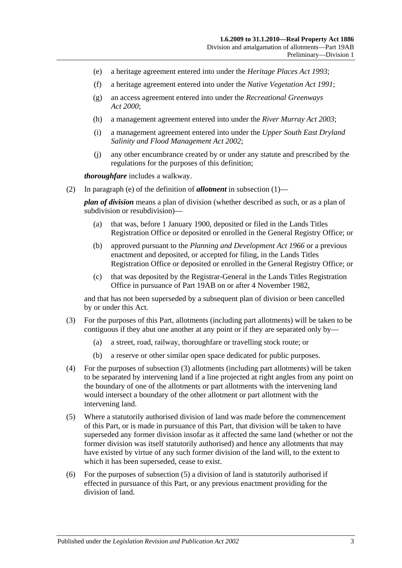- (e) a heritage agreement entered into under the *[Heritage Places Act](http://www.legislation.sa.gov.au/index.aspx?action=legref&type=act&legtitle=Heritage%20Places%20Act%201993) 1993*;
- (f) a heritage agreement entered into under the *[Native Vegetation Act](http://www.legislation.sa.gov.au/index.aspx?action=legref&type=act&legtitle=Native%20Vegetation%20Act%201991) 1991*;
- (g) an access agreement entered into under the *[Recreational Greenways](http://www.legislation.sa.gov.au/index.aspx?action=legref&type=act&legtitle=Recreational%20Greenways%20Act%202000)  Act [2000](http://www.legislation.sa.gov.au/index.aspx?action=legref&type=act&legtitle=Recreational%20Greenways%20Act%202000)*;
- (h) a management agreement entered into under the *[River Murray Act](http://www.legislation.sa.gov.au/index.aspx?action=legref&type=act&legtitle=River%20Murray%20Act%202003) 2003*;
- (i) a management agreement entered into under the *[Upper South East Dryland](http://www.legislation.sa.gov.au/index.aspx?action=legref&type=act&legtitle=Upper%20South%20East%20Dryland%20Salinity%20and%20Flood%20Management%20Act%202002)  [Salinity and Flood Management Act](http://www.legislation.sa.gov.au/index.aspx?action=legref&type=act&legtitle=Upper%20South%20East%20Dryland%20Salinity%20and%20Flood%20Management%20Act%202002) 2002*;
- (j) any other encumbrance created by or under any statute and prescribed by the regulations for the purposes of this definition;

*thoroughfare* includes a walkway.

(2) In [paragraph](#page-104-0) (e) of the definition of *allotment* in [subsection](#page-104-1) (1)—

*plan of division* means a plan of division (whether described as such, or as a plan of subdivision or resubdivision)—

- (a) that was, before 1 January 1900, deposited or filed in the Lands Titles Registration Office or deposited or enrolled in the General Registry Office; or
- (b) approved pursuant to the *[Planning and Development Act](http://www.legislation.sa.gov.au/index.aspx?action=legref&type=act&legtitle=Planning%20and%20Development%20Act%201966) 1966* or a previous enactment and deposited, or accepted for filing, in the Lands Titles Registration Office or deposited or enrolled in the General Registry Office; or
- (c) that was deposited by the Registrar-General in the Lands Titles Registration Office in pursuance of [Part 19AB](#page-104-2) on or after 4 November 1982,

and that has not been superseded by a subsequent plan of division or been cancelled by or under this Act.

- <span id="page-106-1"></span>(3) For the purposes of this Part, allotments (including part allotments) will be taken to be contiguous if they abut one another at any point or if they are separated only by—
	- (a) a street, road, railway, thoroughfare or travelling stock route; or
	- (b) a reserve or other similar open space dedicated for public purposes.
- (4) For the purposes of [subsection](#page-106-1) (3) allotments (including part allotments) will be taken to be separated by intervening land if a line projected at right angles from any point on the boundary of one of the allotments or part allotments with the intervening land would intersect a boundary of the other allotment or part allotment with the intervening land.
- <span id="page-106-0"></span>(5) Where a statutorily authorised division of land was made before the commencement of this Part, or is made in pursuance of this Part, that division will be taken to have superseded any former division insofar as it affected the same land (whether or not the former division was itself statutorily authorised) and hence any allotments that may have existed by virtue of any such former division of the land will, to the extent to which it has been superseded, cease to exist.
- (6) For the purposes of [subsection](#page-106-0) (5) a division of land is statutorily authorised if effected in pursuance of this Part, or any previous enactment providing for the division of land.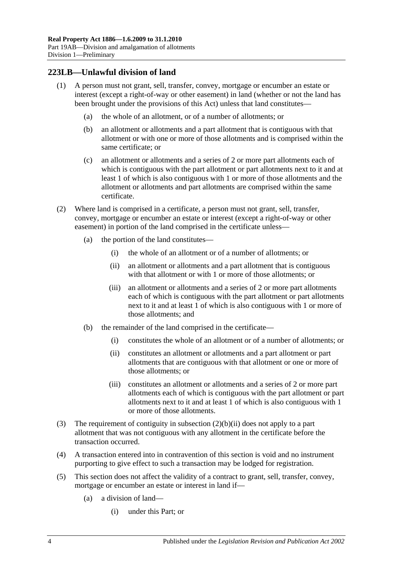## **223LB—Unlawful division of land**

- (1) A person must not grant, sell, transfer, convey, mortgage or encumber an estate or interest (except a right-of-way or other easement) in land (whether or not the land has been brought under the provisions of this Act) unless that land constitutes—
	- (a) the whole of an allotment, or of a number of allotments; or
	- (b) an allotment or allotments and a part allotment that is contiguous with that allotment or with one or more of those allotments and is comprised within the same certificate; or
	- (c) an allotment or allotments and a series of 2 or more part allotments each of which is contiguous with the part allotment or part allotments next to it and at least 1 of which is also contiguous with 1 or more of those allotments and the allotment or allotments and part allotments are comprised within the same certificate.
- (2) Where land is comprised in a certificate, a person must not grant, sell, transfer, convey, mortgage or encumber an estate or interest (except a right-of-way or other easement) in portion of the land comprised in the certificate unless—
	- (a) the portion of the land constitutes—
		- (i) the whole of an allotment or of a number of allotments; or
		- (ii) an allotment or allotments and a part allotment that is contiguous with that allotment or with 1 or more of those allotments; or
		- (iii) an allotment or allotments and a series of 2 or more part allotments each of which is contiguous with the part allotment or part allotments next to it and at least 1 of which is also contiguous with 1 or more of those allotments; and
	- (b) the remainder of the land comprised in the certificate—
		- (i) constitutes the whole of an allotment or of a number of allotments; or
		- (ii) constitutes an allotment or allotments and a part allotment or part allotments that are contiguous with that allotment or one or more of those allotments; or
		- (iii) constitutes an allotment or allotments and a series of 2 or more part allotments each of which is contiguous with the part allotment or part allotments next to it and at least 1 of which is also contiguous with 1 or more of those allotments.
- <span id="page-107-0"></span>(3) The requirement of contiguity in [subsection](#page-107-0) (2)(b)(ii) does not apply to a part allotment that was not contiguous with any allotment in the certificate before the transaction occurred.
- (4) A transaction entered into in contravention of this section is void and no instrument purporting to give effect to such a transaction may be lodged for registration.
- (5) This section does not affect the validity of a contract to grant, sell, transfer, convey, mortgage or encumber an estate or interest in land if—
	- (a) a division of land—
		- (i) under this Part; or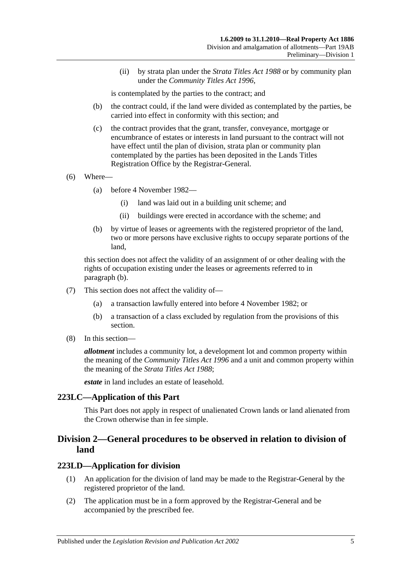(ii) by strata plan under the *[Strata Titles Act](http://www.legislation.sa.gov.au/index.aspx?action=legref&type=act&legtitle=Strata%20Titles%20Act%201988) 1988* or by community plan under the *[Community Titles Act](http://www.legislation.sa.gov.au/index.aspx?action=legref&type=act&legtitle=Community%20Titles%20Act%201996) 1996*,

is contemplated by the parties to the contract; and

- (b) the contract could, if the land were divided as contemplated by the parties, be carried into effect in conformity with this section; and
- (c) the contract provides that the grant, transfer, conveyance, mortgage or encumbrance of estates or interests in land pursuant to the contract will not have effect until the plan of division, strata plan or community plan contemplated by the parties has been deposited in the Lands Titles Registration Office by the Registrar-General.
- (6) Where—
	- (a) before 4 November 1982—
		- (i) land was laid out in a building unit scheme; and
		- (ii) buildings were erected in accordance with the scheme; and
	- (b) by virtue of leases or agreements with the registered proprietor of the land, two or more persons have exclusive rights to occupy separate portions of the land,

<span id="page-108-0"></span>this section does not affect the validity of an assignment of or other dealing with the rights of occupation existing under the leases or agreements referred to in [paragraph](#page-108-0) (b).

- (7) This section does not affect the validity of—
	- (a) a transaction lawfully entered into before 4 November 1982; or
	- (b) a transaction of a class excluded by regulation from the provisions of this section.
- (8) In this section—

*allotment* includes a community lot, a development lot and common property within the meaning of the *[Community Titles Act](http://www.legislation.sa.gov.au/index.aspx?action=legref&type=act&legtitle=Community%20Titles%20Act%201996) 1996* and a unit and common property within the meaning of the *[Strata Titles Act](http://www.legislation.sa.gov.au/index.aspx?action=legref&type=act&legtitle=Strata%20Titles%20Act%201988) 1988*;

*estate* in land includes an estate of leasehold.

#### **223LC—Application of this Part**

This Part does not apply in respect of unalienated Crown lands or land alienated from the Crown otherwise than in fee simple.

## **Division 2—General procedures to be observed in relation to division of land**

#### <span id="page-108-1"></span>**223LD—Application for division**

- (1) An application for the division of land may be made to the Registrar-General by the registered proprietor of the land.
- (2) The application must be in a form approved by the Registrar-General and be accompanied by the prescribed fee.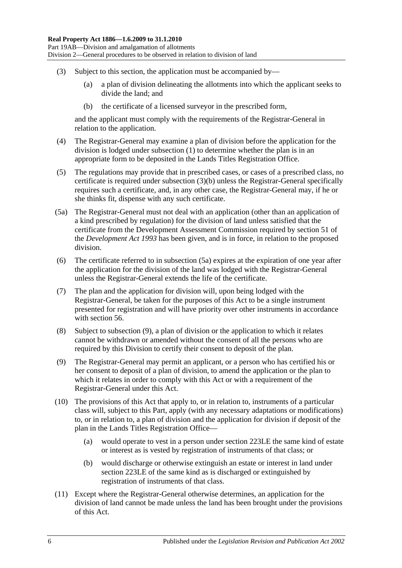- <span id="page-109-0"></span>(3) Subject to this section, the application must be accompanied by—
	- (a) a plan of division delineating the allotments into which the applicant seeks to divide the land; and
	- (b) the certificate of a licensed surveyor in the prescribed form,

and the applicant must comply with the requirements of the Registrar-General in relation to the application.

- (4) The Registrar-General may examine a plan of division before the application for the division is lodged under [subsection](#page-108-1) (1) to determine whether the plan is in an appropriate form to be deposited in the Lands Titles Registration Office.
- (5) The regulations may provide that in prescribed cases, or cases of a prescribed class, no certificate is required under [subsection](#page-109-0) (3)(b) unless the Registrar-General specifically requires such a certificate, and, in any other case, the Registrar-General may, if he or she thinks fit, dispense with any such certificate.
- <span id="page-109-1"></span>(5a) The Registrar-General must not deal with an application (other than an application of a kind prescribed by regulation) for the division of land unless satisfied that the certificate from the Development Assessment Commission required by section 51 of the *[Development Act](http://www.legislation.sa.gov.au/index.aspx?action=legref&type=act&legtitle=Development%20Act%201993) 1993* has been given, and is in force, in relation to the proposed division.
- (6) The certificate referred to in [subsection](#page-109-1) (5a) expires at the expiration of one year after the application for the division of the land was lodged with the Registrar-General unless the Registrar-General extends the life of the certificate.
- (7) The plan and the application for division will, upon being lodged with the Registrar-General, be taken for the purposes of this Act to be a single instrument presented for registration and will have priority over other instruments in accordance with [section](#page-29-0) 56.
- (8) Subject to [subsection](#page-109-2) (9), a plan of division or the application to which it relates cannot be withdrawn or amended without the consent of all the persons who are required by this Division to certify their consent to deposit of the plan.
- <span id="page-109-2"></span>(9) The Registrar-General may permit an applicant, or a person who has certified his or her consent to deposit of a plan of division, to amend the application or the plan to which it relates in order to comply with this Act or with a requirement of the Registrar-General under this Act.
- (10) The provisions of this Act that apply to, or in relation to, instruments of a particular class will, subject to this Part, apply (with any necessary adaptations or modifications) to, or in relation to, a plan of division and the application for division if deposit of the plan in the Lands Titles Registration Office—
	- (a) would operate to vest in a person under [section](#page-110-0) 223LE the same kind of estate or interest as is vested by registration of instruments of that class; or
	- (b) would discharge or otherwise extinguish an estate or interest in land under [section](#page-110-0) 223LE of the same kind as is discharged or extinguished by registration of instruments of that class.
- (11) Except where the Registrar-General otherwise determines, an application for the division of land cannot be made unless the land has been brought under the provisions of this Act.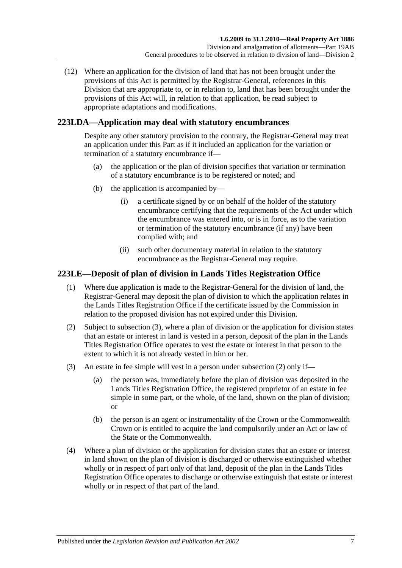(12) Where an application for the division of land that has not been brought under the provisions of this Act is permitted by the Registrar-General, references in this Division that are appropriate to, or in relation to, land that has been brought under the provisions of this Act will, in relation to that application, be read subject to appropriate adaptations and modifications.

## **223LDA—Application may deal with statutory encumbrances**

Despite any other statutory provision to the contrary, the Registrar-General may treat an application under this Part as if it included an application for the variation or termination of a statutory encumbrance if—

- (a) the application or the plan of division specifies that variation or termination of a statutory encumbrance is to be registered or noted; and
- (b) the application is accompanied by—
	- (i) a certificate signed by or on behalf of the holder of the statutory encumbrance certifying that the requirements of the Act under which the encumbrance was entered into, or is in force, as to the variation or termination of the statutory encumbrance (if any) have been complied with; and
	- (ii) such other documentary material in relation to the statutory encumbrance as the Registrar-General may require.

## <span id="page-110-0"></span>**223LE—Deposit of plan of division in Lands Titles Registration Office**

- (1) Where due application is made to the Registrar-General for the division of land, the Registrar-General may deposit the plan of division to which the application relates in the Lands Titles Registration Office if the certificate issued by the Commission in relation to the proposed division has not expired under this Division.
- <span id="page-110-2"></span>(2) Subject to [subsection](#page-110-1) (3), where a plan of division or the application for division states that an estate or interest in land is vested in a person, deposit of the plan in the Lands Titles Registration Office operates to vest the estate or interest in that person to the extent to which it is not already vested in him or her.
- <span id="page-110-1"></span>(3) An estate in fee simple will vest in a person under [subsection](#page-110-2) (2) only if—
	- (a) the person was, immediately before the plan of division was deposited in the Lands Titles Registration Office, the registered proprietor of an estate in fee simple in some part, or the whole, of the land, shown on the plan of division; or
	- (b) the person is an agent or instrumentality of the Crown or the Commonwealth Crown or is entitled to acquire the land compulsorily under an Act or law of the State or the Commonwealth.
- (4) Where a plan of division or the application for division states that an estate or interest in land shown on the plan of division is discharged or otherwise extinguished whether wholly or in respect of part only of that land, deposit of the plan in the Lands Titles Registration Office operates to discharge or otherwise extinguish that estate or interest wholly or in respect of that part of the land.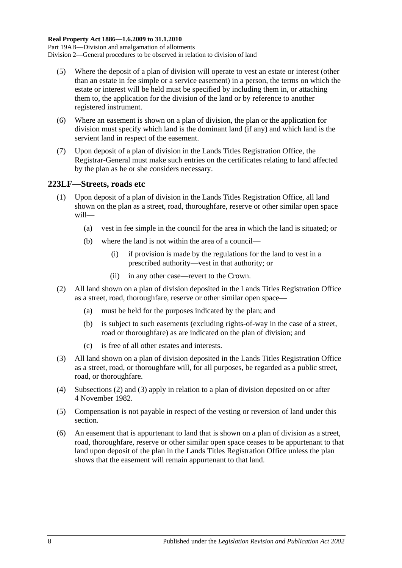- (5) Where the deposit of a plan of division will operate to vest an estate or interest (other than an estate in fee simple or a service easement) in a person, the terms on which the estate or interest will be held must be specified by including them in, or attaching them to, the application for the division of the land or by reference to another registered instrument.
- (6) Where an easement is shown on a plan of division, the plan or the application for division must specify which land is the dominant land (if any) and which land is the servient land in respect of the easement.
- (7) Upon deposit of a plan of division in the Lands Titles Registration Office, the Registrar-General must make such entries on the certificates relating to land affected by the plan as he or she considers necessary.

## <span id="page-111-2"></span>**223LF—Streets, roads etc**

- (1) Upon deposit of a plan of division in the Lands Titles Registration Office, all land shown on the plan as a street, road, thoroughfare, reserve or other similar open space will—
	- (a) vest in fee simple in the council for the area in which the land is situated; or
	- (b) where the land is not within the area of a council—
		- (i) if provision is made by the regulations for the land to vest in a prescribed authority—vest in that authority; or
		- (ii) in any other case—revert to the Crown.
- <span id="page-111-0"></span>(2) All land shown on a plan of division deposited in the Lands Titles Registration Office as a street, road, thoroughfare, reserve or other similar open space—
	- (a) must be held for the purposes indicated by the plan; and
	- (b) is subject to such easements (excluding rights-of-way in the case of a street, road or thoroughfare) as are indicated on the plan of division; and
	- (c) is free of all other estates and interests.
- <span id="page-111-1"></span>(3) All land shown on a plan of division deposited in the Lands Titles Registration Office as a street, road, or thoroughfare will, for all purposes, be regarded as a public street, road, or thoroughfare.
- (4) [Subsections](#page-111-0) (2) and [\(3\)](#page-111-1) apply in relation to a plan of division deposited on or after 4 November 1982.
- (5) Compensation is not payable in respect of the vesting or reversion of land under this section.
- (6) An easement that is appurtenant to land that is shown on a plan of division as a street, road, thoroughfare, reserve or other similar open space ceases to be appurtenant to that land upon deposit of the plan in the Lands Titles Registration Office unless the plan shows that the easement will remain appurtenant to that land.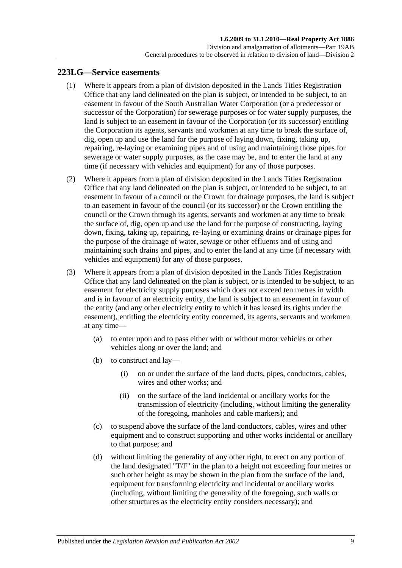### <span id="page-112-3"></span><span id="page-112-0"></span>**223LG—Service easements**

- (1) Where it appears from a plan of division deposited in the Lands Titles Registration Office that any land delineated on the plan is subject, or intended to be subject, to an easement in favour of the South Australian Water Corporation (or a predecessor or successor of the Corporation) for sewerage purposes or for water supply purposes, the land is subject to an easement in favour of the Corporation (or its successor) entitling the Corporation its agents, servants and workmen at any time to break the surface of, dig, open up and use the land for the purpose of laying down, fixing, taking up, repairing, re-laying or examining pipes and of using and maintaining those pipes for sewerage or water supply purposes, as the case may be, and to enter the land at any time (if necessary with vehicles and equipment) for any of those purposes.
- <span id="page-112-1"></span>(2) Where it appears from a plan of division deposited in the Lands Titles Registration Office that any land delineated on the plan is subject, or intended to be subject, to an easement in favour of a council or the Crown for drainage purposes, the land is subject to an easement in favour of the council (or its successor) or the Crown entitling the council or the Crown through its agents, servants and workmen at any time to break the surface of, dig, open up and use the land for the purpose of constructing, laying down, fixing, taking up, repairing, re-laying or examining drains or drainage pipes for the purpose of the drainage of water, sewage or other effluents and of using and maintaining such drains and pipes, and to enter the land at any time (if necessary with vehicles and equipment) for any of those purposes.
- <span id="page-112-2"></span>(3) Where it appears from a plan of division deposited in the Lands Titles Registration Office that any land delineated on the plan is subject, or is intended to be subject, to an easement for electricity supply purposes which does not exceed ten metres in width and is in favour of an electricity entity, the land is subject to an easement in favour of the entity (and any other electricity entity to which it has leased its rights under the easement), entitling the electricity entity concerned, its agents, servants and workmen at any time—
	- (a) to enter upon and to pass either with or without motor vehicles or other vehicles along or over the land; and
	- (b) to construct and lay—
		- (i) on or under the surface of the land ducts, pipes, conductors, cables, wires and other works; and
		- (ii) on the surface of the land incidental or ancillary works for the transmission of electricity (including, without limiting the generality of the foregoing, manholes and cable markers); and
	- (c) to suspend above the surface of the land conductors, cables, wires and other equipment and to construct supporting and other works incidental or ancillary to that purpose; and
	- (d) without limiting the generality of any other right, to erect on any portion of the land designated "T/F" in the plan to a height not exceeding four metres or such other height as may be shown in the plan from the surface of the land, equipment for transforming electricity and incidental or ancillary works (including, without limiting the generality of the foregoing, such walls or other structures as the electricity entity considers necessary); and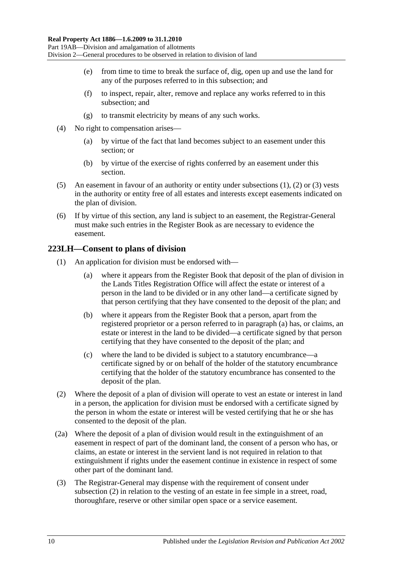- (e) from time to time to break the surface of, dig, open up and use the land for any of the purposes referred to in this subsection; and
- (f) to inspect, repair, alter, remove and replace any works referred to in this subsection; and
- (g) to transmit electricity by means of any such works.
- (4) No right to compensation arises—
	- (a) by virtue of the fact that land becomes subject to an easement under this section; or
	- (b) by virtue of the exercise of rights conferred by an easement under this section.
- (5) An easement in favour of an authority or entity under [subsections](#page-112-0) (1), [\(2\)](#page-112-1) or [\(3\)](#page-112-2) vests in the authority or entity free of all estates and interests except easements indicated on the plan of division.
- (6) If by virtue of this section, any land is subject to an easement, the Registrar-General must make such entries in the Register Book as are necessary to evidence the easement.

## **223LH—Consent to plans of division**

- <span id="page-113-0"></span>(1) An application for division must be endorsed with—
	- (a) where it appears from the Register Book that deposit of the plan of division in the Lands Titles Registration Office will affect the estate or interest of a person in the land to be divided or in any other land—a certificate signed by that person certifying that they have consented to the deposit of the plan; and
	- (b) where it appears from the Register Book that a person, apart from the registered proprietor or a person referred to in [paragraph](#page-113-0) (a) has, or claims, an estate or interest in the land to be divided—a certificate signed by that person certifying that they have consented to the deposit of the plan; and
	- (c) where the land to be divided is subject to a statutory encumbrance—a certificate signed by or on behalf of the holder of the statutory encumbrance certifying that the holder of the statutory encumbrance has consented to the deposit of the plan.
- <span id="page-113-1"></span>(2) Where the deposit of a plan of division will operate to vest an estate or interest in land in a person, the application for division must be endorsed with a certificate signed by the person in whom the estate or interest will be vested certifying that he or she has consented to the deposit of the plan.
- (2a) Where the deposit of a plan of division would result in the extinguishment of an easement in respect of part of the dominant land, the consent of a person who has, or claims, an estate or interest in the servient land is not required in relation to that extinguishment if rights under the easement continue in existence in respect of some other part of the dominant land.
- (3) The Registrar-General may dispense with the requirement of consent under [subsection](#page-113-1) (2) in relation to the vesting of an estate in fee simple in a street, road, thoroughfare, reserve or other similar open space or a service easement.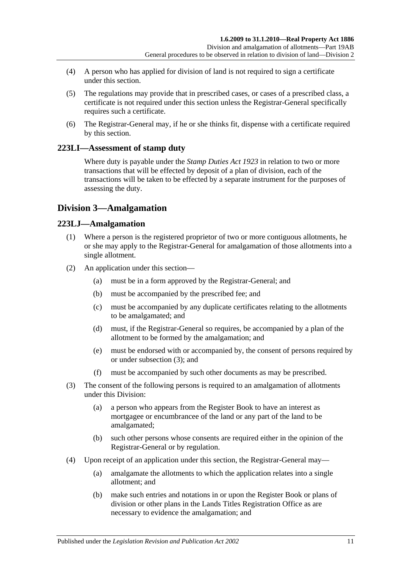- (4) A person who has applied for division of land is not required to sign a certificate under this section.
- (5) The regulations may provide that in prescribed cases, or cases of a prescribed class, a certificate is not required under this section unless the Registrar-General specifically requires such a certificate.
- (6) The Registrar-General may, if he or she thinks fit, dispense with a certificate required by this section.

## **223LI—Assessment of stamp duty**

Where duty is payable under the *[Stamp Duties Act](http://www.legislation.sa.gov.au/index.aspx?action=legref&type=act&legtitle=Stamp%20Duties%20Act%201923) 1923* in relation to two or more transactions that will be effected by deposit of a plan of division, each of the transactions will be taken to be effected by a separate instrument for the purposes of assessing the duty.

## **Division 3—Amalgamation**

## **223LJ—Amalgamation**

- (1) Where a person is the registered proprietor of two or more contiguous allotments, he or she may apply to the Registrar-General for amalgamation of those allotments into a single allotment.
- (2) An application under this section—
	- (a) must be in a form approved by the Registrar-General; and
	- (b) must be accompanied by the prescribed fee; and
	- (c) must be accompanied by any duplicate certificates relating to the allotments to be amalgamated; and
	- (d) must, if the Registrar-General so requires, be accompanied by a plan of the allotment to be formed by the amalgamation; and
	- (e) must be endorsed with or accompanied by, the consent of persons required by or under [subsection](#page-114-0) (3); and
	- (f) must be accompanied by such other documents as may be prescribed.
- <span id="page-114-0"></span>(3) The consent of the following persons is required to an amalgamation of allotments under this Division:
	- (a) a person who appears from the Register Book to have an interest as mortgagee or encumbrancee of the land or any part of the land to be amalgamated;
	- (b) such other persons whose consents are required either in the opinion of the Registrar-General or by regulation.
- (4) Upon receipt of an application under this section, the Registrar-General may—
	- (a) amalgamate the allotments to which the application relates into a single allotment; and
	- (b) make such entries and notations in or upon the Register Book or plans of division or other plans in the Lands Titles Registration Office as are necessary to evidence the amalgamation; and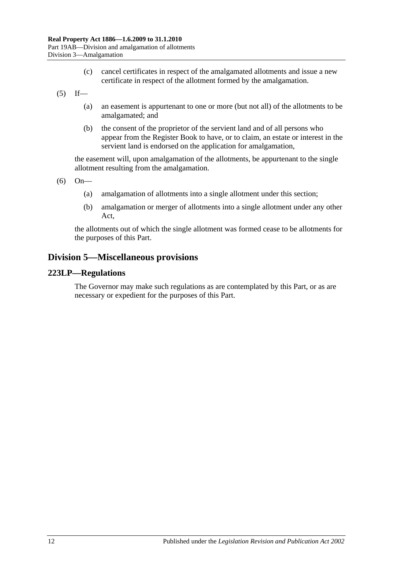- (c) cancel certificates in respect of the amalgamated allotments and issue a new certificate in respect of the allotment formed by the amalgamation.
- $(5)$  If—
	- (a) an easement is appurtenant to one or more (but not all) of the allotments to be amalgamated; and
	- (b) the consent of the proprietor of the servient land and of all persons who appear from the Register Book to have, or to claim, an estate or interest in the servient land is endorsed on the application for amalgamation,

the easement will, upon amalgamation of the allotments, be appurtenant to the single allotment resulting from the amalgamation.

(6) On—

- (a) amalgamation of allotments into a single allotment under this section;
- (b) amalgamation or merger of allotments into a single allotment under any other Act,

the allotments out of which the single allotment was formed cease to be allotments for the purposes of this Part.

## **Division 5—Miscellaneous provisions**

#### **223LP—Regulations**

The Governor may make such regulations as are contemplated by this Part, or as are necessary or expedient for the purposes of this Part.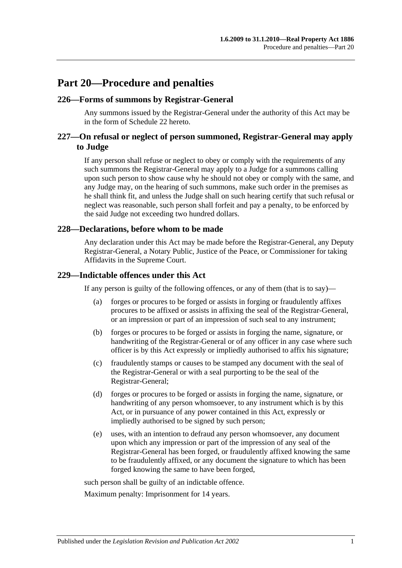## **Part 20—Procedure and penalties**

### **226—Forms of summons by Registrar-General**

Any summons issued by the Registrar-General under the authority of this Act may be in the form of [Schedule 22](#page-137-0) hereto.

## **227—On refusal or neglect of person summoned, Registrar-General may apply to Judge**

If any person shall refuse or neglect to obey or comply with the requirements of any such summons the Registrar-General may apply to a Judge for a summons calling upon such person to show cause why he should not obey or comply with the same, and any Judge may, on the hearing of such summons, make such order in the premises as he shall think fit, and unless the Judge shall on such hearing certify that such refusal or neglect was reasonable, such person shall forfeit and pay a penalty, to be enforced by the said Judge not exceeding two hundred dollars.

#### **228—Declarations, before whom to be made**

Any declaration under this Act may be made before the Registrar-General, any Deputy Registrar-General, a Notary Public, Justice of the Peace, or Commissioner for taking Affidavits in the Supreme Court.

#### **229—Indictable offences under this Act**

If any person is guilty of the following offences, or any of them (that is to say)—

- (a) forges or procures to be forged or assists in forging or fraudulently affixes procures to be affixed or assists in affixing the seal of the Registrar-General, or an impression or part of an impression of such seal to any instrument;
- (b) forges or procures to be forged or assists in forging the name, signature, or handwriting of the Registrar-General or of any officer in any case where such officer is by this Act expressly or impliedly authorised to affix his signature;
- (c) fraudulently stamps or causes to be stamped any document with the seal of the Registrar-General or with a seal purporting to be the seal of the Registrar-General;
- (d) forges or procures to be forged or assists in forging the name, signature, or handwriting of any person whomsoever, to any instrument which is by this Act, or in pursuance of any power contained in this Act, expressly or impliedly authorised to be signed by such person;
- (e) uses, with an intention to defraud any person whomsoever, any document upon which any impression or part of the impression of any seal of the Registrar-General has been forged, or fraudulently affixed knowing the same to be fraudulently affixed, or any document the signature to which has been forged knowing the same to have been forged,

such person shall be guilty of an indictable offence.

Maximum penalty: Imprisonment for 14 years.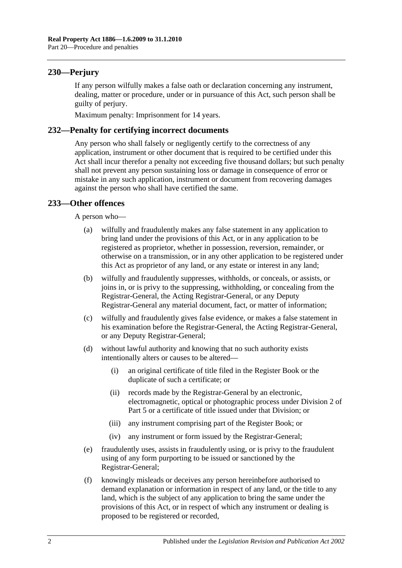## **230—Perjury**

If any person wilfully makes a false oath or declaration concerning any instrument, dealing, matter or procedure, under or in pursuance of this Act, such person shall be guilty of perjury.

Maximum penalty: Imprisonment for 14 years.

## **232—Penalty for certifying incorrect documents**

Any person who shall falsely or negligently certify to the correctness of any application, instrument or other document that is required to be certified under this Act shall incur therefor a penalty not exceeding five thousand dollars; but such penalty shall not prevent any person sustaining loss or damage in consequence of error or mistake in any such application, instrument or document from recovering damages against the person who shall have certified the same.

## **233—Other offences**

A person who—

- (a) wilfully and fraudulently makes any false statement in any application to bring land under the provisions of this Act, or in any application to be registered as proprietor, whether in possession, reversion, remainder, or otherwise on a transmission, or in any other application to be registered under this Act as proprietor of any land, or any estate or interest in any land;
- (b) wilfully and fraudulently suppresses, withholds, or conceals, or assists, or joins in, or is privy to the suppressing, withholding, or concealing from the Registrar-General, the Acting Registrar-General, or any Deputy Registrar-General any material document, fact, or matter of information;
- (c) wilfully and fraudulently gives false evidence, or makes a false statement in his examination before the Registrar-General, the Acting Registrar-General, or any Deputy Registrar-General;
- (d) without lawful authority and knowing that no such authority exists intentionally alters or causes to be altered—
	- (i) an original certificate of title filed in the Register Book or the duplicate of such a certificate; or
	- (ii) records made by the Registrar-General by an electronic, electromagnetic, optical or photographic process under [Division 2](#page-26-0) of [Part 5](#page-26-1) or a certificate of title issued under that Division; or
	- (iii) any instrument comprising part of the Register Book; or
	- (iv) any instrument or form issued by the Registrar-General;
- (e) fraudulently uses, assists in fraudulently using, or is privy to the fraudulent using of any form purporting to be issued or sanctioned by the Registrar-General;
- (f) knowingly misleads or deceives any person hereinbefore authorised to demand explanation or information in respect of any land, or the title to any land, which is the subject of any application to bring the same under the provisions of this Act, or in respect of which any instrument or dealing is proposed to be registered or recorded,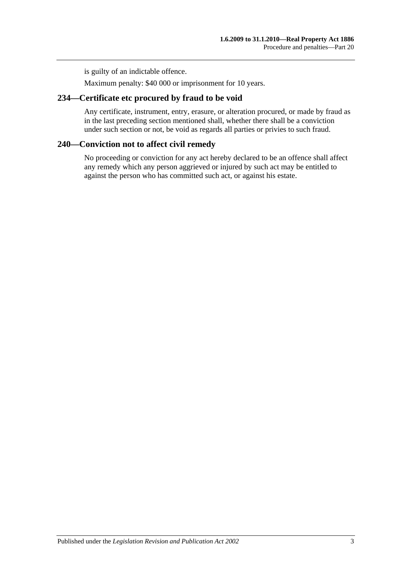is guilty of an indictable offence.

Maximum penalty: \$40 000 or imprisonment for 10 years.

## **234—Certificate etc procured by fraud to be void**

Any certificate, instrument, entry, erasure, or alteration procured, or made by fraud as in the last preceding section mentioned shall, whether there shall be a conviction under such section or not, be void as regards all parties or privies to such fraud.

## **240—Conviction not to affect civil remedy**

No proceeding or conviction for any act hereby declared to be an offence shall affect any remedy which any person aggrieved or injured by such act may be entitled to against the person who has committed such act, or against his estate.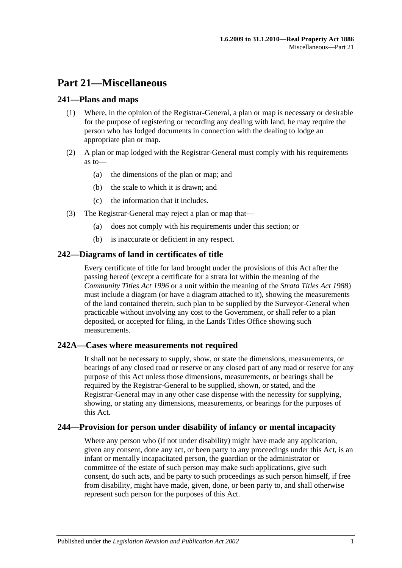# **Part 21—Miscellaneous**

## **241—Plans and maps**

- (1) Where, in the opinion of the Registrar-General, a plan or map is necessary or desirable for the purpose of registering or recording any dealing with land, he may require the person who has lodged documents in connection with the dealing to lodge an appropriate plan or map.
- (2) A plan or map lodged with the Registrar-General must comply with his requirements as to—
	- (a) the dimensions of the plan or map; and
	- (b) the scale to which it is drawn; and
	- (c) the information that it includes.
- (3) The Registrar-General may reject a plan or map that—
	- (a) does not comply with his requirements under this section; or
	- (b) is inaccurate or deficient in any respect.

## **242—Diagrams of land in certificates of title**

Every certificate of title for land brought under the provisions of this Act after the passing hereof (except a certificate for a strata lot within the meaning of the *[Community Titles Act](http://www.legislation.sa.gov.au/index.aspx?action=legref&type=act&legtitle=Community%20Titles%20Act%201996) 1996* or a unit within the meaning of the *[Strata Titles Act](http://www.legislation.sa.gov.au/index.aspx?action=legref&type=act&legtitle=Strata%20Titles%20Act%201988) 1988*) must include a diagram (or have a diagram attached to it), showing the measurements of the land contained therein, such plan to be supplied by the Surveyor-General when practicable without involving any cost to the Government, or shall refer to a plan deposited, or accepted for filing, in the Lands Titles Office showing such measurements.

## **242A—Cases where measurements not required**

It shall not be necessary to supply, show, or state the dimensions, measurements, or bearings of any closed road or reserve or any closed part of any road or reserve for any purpose of this Act unless those dimensions, measurements, or bearings shall be required by the Registrar-General to be supplied, shown, or stated, and the Registrar-General may in any other case dispense with the necessity for supplying, showing, or stating any dimensions, measurements, or bearings for the purposes of this Act.

## **244—Provision for person under disability of infancy or mental incapacity**

Where any person who (if not under disability) might have made any application, given any consent, done any act, or been party to any proceedings under this Act, is an infant or mentally incapacitated person, the guardian or the administrator or committee of the estate of such person may make such applications, give such consent, do such acts, and be party to such proceedings as such person himself, if free from disability, might have made, given, done, or been party to, and shall otherwise represent such person for the purposes of this Act.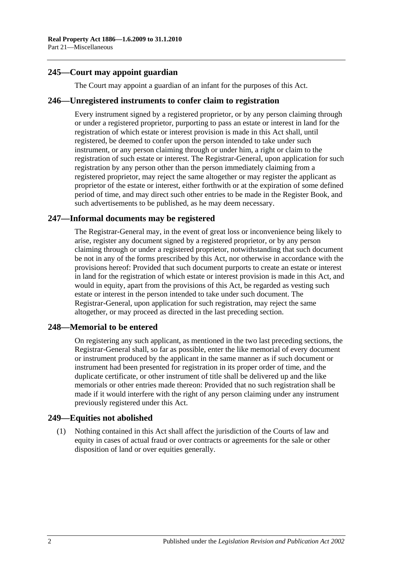## **245—Court may appoint guardian**

The Court may appoint a guardian of an infant for the purposes of this Act.

#### **246—Unregistered instruments to confer claim to registration**

Every instrument signed by a registered proprietor, or by any person claiming through or under a registered proprietor, purporting to pass an estate or interest in land for the registration of which estate or interest provision is made in this Act shall, until registered, be deemed to confer upon the person intended to take under such instrument, or any person claiming through or under him, a right or claim to the registration of such estate or interest. The Registrar-General, upon application for such registration by any person other than the person immediately claiming from a registered proprietor, may reject the same altogether or may register the applicant as proprietor of the estate or interest, either forthwith or at the expiration of some defined period of time, and may direct such other entries to be made in the Register Book, and such advertisements to be published, as he may deem necessary.

## **247—Informal documents may be registered**

The Registrar-General may, in the event of great loss or inconvenience being likely to arise, register any document signed by a registered proprietor, or by any person claiming through or under a registered proprietor, notwithstanding that such document be not in any of the forms prescribed by this Act, nor otherwise in accordance with the provisions hereof: Provided that such document purports to create an estate or interest in land for the registration of which estate or interest provision is made in this Act, and would in equity, apart from the provisions of this Act, be regarded as vesting such estate or interest in the person intended to take under such document. The Registrar-General, upon application for such registration, may reject the same altogether, or may proceed as directed in the last preceding section.

#### **248—Memorial to be entered**

On registering any such applicant, as mentioned in the two last preceding sections, the Registrar-General shall, so far as possible, enter the like memorial of every document or instrument produced by the applicant in the same manner as if such document or instrument had been presented for registration in its proper order of time, and the duplicate certificate, or other instrument of title shall be delivered up and the like memorials or other entries made thereon: Provided that no such registration shall be made if it would interfere with the right of any person claiming under any instrument previously registered under this Act.

#### **249—Equities not abolished**

(1) Nothing contained in this Act shall affect the jurisdiction of the Courts of law and equity in cases of actual fraud or over contracts or agreements for the sale or other disposition of land or over equities generally.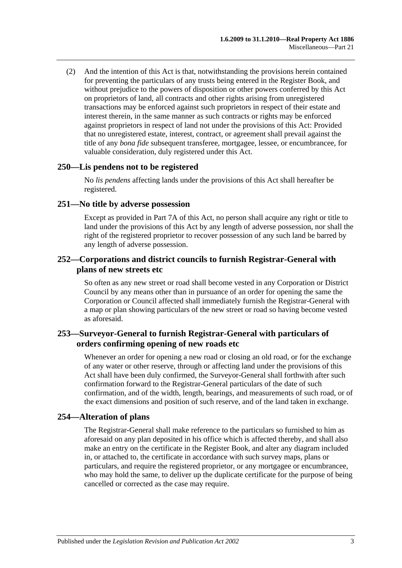(2) And the intention of this Act is that, notwithstanding the provisions herein contained for preventing the particulars of any trusts being entered in the Register Book, and without prejudice to the powers of disposition or other powers conferred by this Act on proprietors of land, all contracts and other rights arising from unregistered transactions may be enforced against such proprietors in respect of their estate and interest therein, in the same manner as such contracts or rights may be enforced against proprietors in respect of land not under the provisions of this Act: Provided that no unregistered estate, interest, contract, or agreement shall prevail against the title of any *bona fide* subsequent transferee, mortgagee, lessee, or encumbrancee, for valuable consideration, duly registered under this Act.

#### **250—Lis pendens not to be registered**

No *lis pendens* affecting lands under the provisions of this Act shall hereafter be registered.

#### **251—No title by adverse possession**

Except as provided in [Part 7A](#page-40-0) of this Act, no person shall acquire any right or title to land under the provisions of this Act by any length of adverse possession, nor shall the right of the registered proprietor to recover possession of any such land be barred by any length of adverse possession.

### **252—Corporations and district councils to furnish Registrar-General with plans of new streets etc**

So often as any new street or road shall become vested in any Corporation or District Council by any means other than in pursuance of an order for opening the same the Corporation or Council affected shall immediately furnish the Registrar-General with a map or plan showing particulars of the new street or road so having become vested as aforesaid.

## **253—Surveyor-General to furnish Registrar-General with particulars of orders confirming opening of new roads etc**

Whenever an order for opening a new road or closing an old road, or for the exchange of any water or other reserve, through or affecting land under the provisions of this Act shall have been duly confirmed, the Surveyor-General shall forthwith after such confirmation forward to the Registrar-General particulars of the date of such confirmation, and of the width, length, bearings, and measurements of such road, or of the exact dimensions and position of such reserve, and of the land taken in exchange.

## **254—Alteration of plans**

The Registrar-General shall make reference to the particulars so furnished to him as aforesaid on any plan deposited in his office which is affected thereby, and shall also make an entry on the certificate in the Register Book, and alter any diagram included in, or attached to, the certificate in accordance with such survey maps, plans or particulars, and require the registered proprietor, or any mortgagee or encumbrancee, who may hold the same, to deliver up the duplicate certificate for the purpose of being cancelled or corrected as the case may require.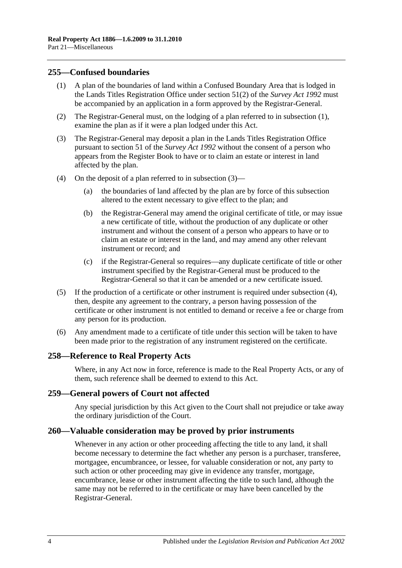### <span id="page-123-0"></span>**255—Confused boundaries**

- (1) A plan of the boundaries of land within a Confused Boundary Area that is lodged in the Lands Titles Registration Office under section 51(2) of the *[Survey Act](http://www.legislation.sa.gov.au/index.aspx?action=legref&type=act&legtitle=Survey%20Act%201992) 1992* must be accompanied by an application in a form approved by the Registrar-General.
- (2) The Registrar-General must, on the lodging of a plan referred to in [subsection](#page-123-0) (1), examine the plan as if it were a plan lodged under this Act.
- <span id="page-123-1"></span>(3) The Registrar-General may deposit a plan in the Lands Titles Registration Office pursuant to section 51 of the *[Survey Act](http://www.legislation.sa.gov.au/index.aspx?action=legref&type=act&legtitle=Survey%20Act%201992) 1992* without the consent of a person who appears from the Register Book to have or to claim an estate or interest in land affected by the plan.
- <span id="page-123-2"></span>(4) On the deposit of a plan referred to in [subsection](#page-123-1) (3)—
	- (a) the boundaries of land affected by the plan are by force of this subsection altered to the extent necessary to give effect to the plan; and
	- (b) the Registrar-General may amend the original certificate of title, or may issue a new certificate of title, without the production of any duplicate or other instrument and without the consent of a person who appears to have or to claim an estate or interest in the land, and may amend any other relevant instrument or record; and
	- (c) if the Registrar-General so requires—any duplicate certificate of title or other instrument specified by the Registrar-General must be produced to the Registrar-General so that it can be amended or a new certificate issued.
- (5) If the production of a certificate or other instrument is required under [subsection](#page-123-2) (4), then, despite any agreement to the contrary, a person having possession of the certificate or other instrument is not entitled to demand or receive a fee or charge from any person for its production.
- (6) Any amendment made to a certificate of title under this section will be taken to have been made prior to the registration of any instrument registered on the certificate.

#### **258—Reference to Real Property Acts**

Where, in any Act now in force, reference is made to the Real Property Acts, or any of them, such reference shall be deemed to extend to this Act.

#### **259—General powers of Court not affected**

Any special jurisdiction by this Act given to the Court shall not prejudice or take away the ordinary jurisdiction of the Court.

#### **260—Valuable consideration may be proved by prior instruments**

Whenever in any action or other proceeding affecting the title to any land, it shall become necessary to determine the fact whether any person is a purchaser, transferee, mortgagee, encumbrancee, or lessee, for valuable consideration or not, any party to such action or other proceeding may give in evidence any transfer, mortgage, encumbrance, lease or other instrument affecting the title to such land, although the same may not be referred to in the certificate or may have been cancelled by the Registrar-General.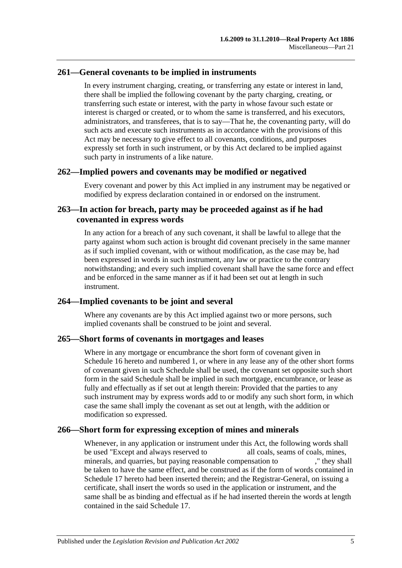## **261—General covenants to be implied in instruments**

In every instrument charging, creating, or transferring any estate or interest in land, there shall be implied the following covenant by the party charging, creating, or transferring such estate or interest, with the party in whose favour such estate or interest is charged or created, or to whom the same is transferred, and his executors, administrators, and transferees, that is to say—That he, the covenanting party, will do such acts and execute such instruments as in accordance with the provisions of this Act may be necessary to give effect to all covenants, conditions, and purposes expressly set forth in such instrument, or by this Act declared to be implied against such party in instruments of a like nature.

#### **262—Implied powers and covenants may be modified or negatived**

Every covenant and power by this Act implied in any instrument may be negatived or modified by express declaration contained in or endorsed on the instrument.

## **263—In action for breach, party may be proceeded against as if he had covenanted in express words**

In any action for a breach of any such covenant, it shall be lawful to allege that the party against whom such action is brought did covenant precisely in the same manner as if such implied covenant, with or without modification, as the case may be, had been expressed in words in such instrument, any law or practice to the contrary notwithstanding; and every such implied covenant shall have the same force and effect and be enforced in the same manner as if it had been set out at length in such instrument.

## **264—Implied covenants to be joint and several**

Where any covenants are by this Act implied against two or more persons, such implied covenants shall be construed to be joint and several.

#### **265—Short forms of covenants in mortgages and leases**

Where in any mortgage or encumbrance the short form of covenant given in [Schedule](#page-135-0) 16 hereto and numbered 1, or where in any lease any of the other short forms of covenant given in such Schedule shall be used, the covenant set opposite such short form in the said Schedule shall be implied in such mortgage, encumbrance, or lease as fully and effectually as if set out at length therein: Provided that the parties to any such instrument may by express words add to or modify any such short form, in which case the same shall imply the covenant as set out at length, with the addition or modification so expressed.

## **266—Short form for expressing exception of mines and minerals**

Whenever, in any application or instrument under this Act, the following words shall be used "Except and always reserved to all coals, seams of coals, mines, minerals, and quarries, but paying reasonable compensation to ," they shall be taken to have the same effect, and be construed as if the form of words contained in [Schedule 17](#page-137-1) hereto had been inserted therein; and the Registrar-General, on issuing a certificate, shall insert the words so used in the application or instrument, and the same shall be as binding and effectual as if he had inserted therein the words at length contained in the said [Schedule 17.](#page-137-1)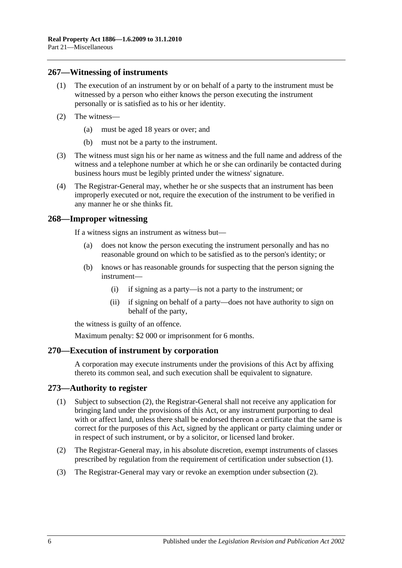#### **267—Witnessing of instruments**

- (1) The execution of an instrument by or on behalf of a party to the instrument must be witnessed by a person who either knows the person executing the instrument personally or is satisfied as to his or her identity.
- (2) The witness—
	- (a) must be aged 18 years or over; and
	- (b) must not be a party to the instrument.
- (3) The witness must sign his or her name as witness and the full name and address of the witness and a telephone number at which he or she can ordinarily be contacted during business hours must be legibly printed under the witness' signature.
- (4) The Registrar-General may, whether he or she suspects that an instrument has been improperly executed or not, require the execution of the instrument to be verified in any manner he or she thinks fit.

#### **268—Improper witnessing**

If a witness signs an instrument as witness but—

- (a) does not know the person executing the instrument personally and has no reasonable ground on which to be satisfied as to the person's identity; or
- (b) knows or has reasonable grounds for suspecting that the person signing the instrument—
	- (i) if signing as a party—is not a party to the instrument; or
	- (ii) if signing on behalf of a party—does not have authority to sign on behalf of the party,

the witness is guilty of an offence.

Maximum penalty: \$2 000 or imprisonment for 6 months.

#### **270—Execution of instrument by corporation**

A corporation may execute instruments under the provisions of this Act by affixing thereto its common seal, and such execution shall be equivalent to signature.

#### <span id="page-125-1"></span>**273—Authority to register**

- (1) Subject to [subsection](#page-125-0) (2), the Registrar-General shall not receive any application for bringing land under the provisions of this Act, or any instrument purporting to deal with or affect land, unless there shall be endorsed thereon a certificate that the same is correct for the purposes of this Act, signed by the applicant or party claiming under or in respect of such instrument, or by a solicitor, or licensed land broker.
- <span id="page-125-0"></span>(2) The Registrar-General may, in his absolute discretion, exempt instruments of classes prescribed by regulation from the requirement of certification under [subsection](#page-125-1) (1).
- (3) The Registrar-General may vary or revoke an exemption under [subsection](#page-125-0) (2).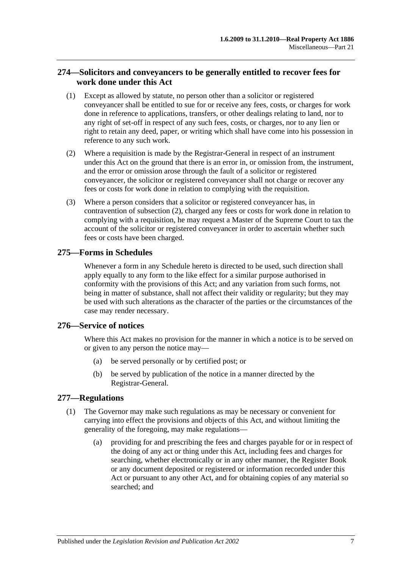## **274—Solicitors and conveyancers to be generally entitled to recover fees for work done under this Act**

- (1) Except as allowed by statute, no person other than a solicitor or registered conveyancer shall be entitled to sue for or receive any fees, costs, or charges for work done in reference to applications, transfers, or other dealings relating to land, nor to any right of set-off in respect of any such fees, costs, or charges, nor to any lien or right to retain any deed, paper, or writing which shall have come into his possession in reference to any such work.
- <span id="page-126-0"></span>(2) Where a requisition is made by the Registrar-General in respect of an instrument under this Act on the ground that there is an error in, or omission from, the instrument, and the error or omission arose through the fault of a solicitor or registered conveyancer, the solicitor or registered conveyancer shall not charge or recover any fees or costs for work done in relation to complying with the requisition.
- (3) Where a person considers that a solicitor or registered conveyancer has, in contravention of [subsection](#page-126-0) (2), charged any fees or costs for work done in relation to complying with a requisition, he may request a Master of the Supreme Court to tax the account of the solicitor or registered conveyancer in order to ascertain whether such fees or costs have been charged.

## **275—Forms in Schedules**

Whenever a form in any Schedule hereto is directed to be used, such direction shall apply equally to any form to the like effect for a similar purpose authorised in conformity with the provisions of this Act; and any variation from such forms, not being in matter of substance, shall not affect their validity or regularity; but they may be used with such alterations as the character of the parties or the circumstances of the case may render necessary.

## **276—Service of notices**

Where this Act makes no provision for the manner in which a notice is to be served on or given to any person the notice may—

- (a) be served personally or by certified post; or
- (b) be served by publication of the notice in a manner directed by the Registrar-General.

## <span id="page-126-1"></span>**277—Regulations**

- (1) The Governor may make such regulations as may be necessary or convenient for carrying into effect the provisions and objects of this Act, and without limiting the generality of the foregoing, may make regulations—
	- (a) providing for and prescribing the fees and charges payable for or in respect of the doing of any act or thing under this Act, including fees and charges for searching, whether electronically or in any other manner, the Register Book or any document deposited or registered or information recorded under this Act or pursuant to any other Act, and for obtaining copies of any material so searched; and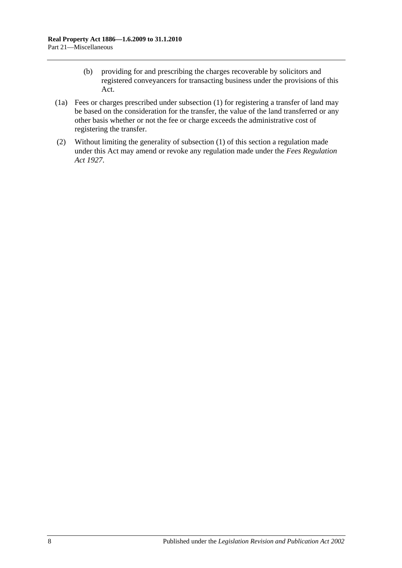- (b) providing for and prescribing the charges recoverable by solicitors and registered conveyancers for transacting business under the provisions of this Act.
- (1a) Fees or charges prescribed under [subsection](#page-126-1) (1) for registering a transfer of land may be based on the consideration for the transfer, the value of the land transferred or any other basis whether or not the fee or charge exceeds the administrative cost of registering the transfer.
- (2) Without limiting the generality of [subsection](#page-126-1) (1) of this section a regulation made under this Act may amend or revoke any regulation made under the *[Fees Regulation](http://www.legislation.sa.gov.au/index.aspx?action=legref&type=act&legtitle=Fees%20Regulation%20Act%201927)  Act [1927](http://www.legislation.sa.gov.au/index.aspx?action=legref&type=act&legtitle=Fees%20Regulation%20Act%201927)*.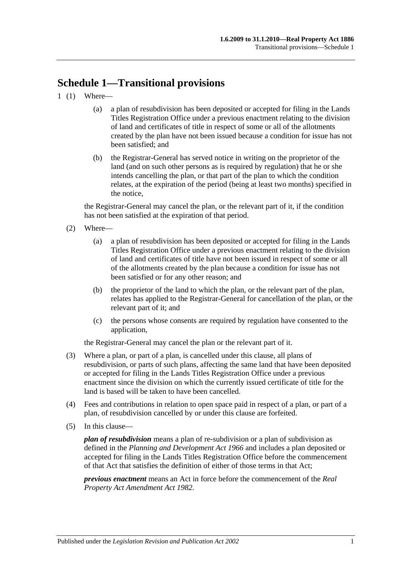# **Schedule 1—Transitional provisions**

- 1 (1) Where—
	- (a) a plan of resubdivision has been deposited or accepted for filing in the Lands Titles Registration Office under a previous enactment relating to the division of land and certificates of title in respect of some or all of the allotments created by the plan have not been issued because a condition for issue has not been satisfied; and
	- (b) the Registrar-General has served notice in writing on the proprietor of the land (and on such other persons as is required by regulation) that he or she intends cancelling the plan, or that part of the plan to which the condition relates, at the expiration of the period (being at least two months) specified in the notice,

the Registrar-General may cancel the plan, or the relevant part of it, if the condition has not been satisfied at the expiration of that period.

- (2) Where—
	- (a) a plan of resubdivision has been deposited or accepted for filing in the Lands Titles Registration Office under a previous enactment relating to the division of land and certificates of title have not been issued in respect of some or all of the allotments created by the plan because a condition for issue has not been satisfied or for any other reason; and
	- (b) the proprietor of the land to which the plan, or the relevant part of the plan, relates has applied to the Registrar-General for cancellation of the plan, or the relevant part of it; and
	- (c) the persons whose consents are required by regulation have consented to the application,

the Registrar-General may cancel the plan or the relevant part of it.

- (3) Where a plan, or part of a plan, is cancelled under this clause, all plans of resubdivision, or parts of such plans, affecting the same land that have been deposited or accepted for filing in the Lands Titles Registration Office under a previous enactment since the division on which the currently issued certificate of title for the land is based will be taken to have been cancelled.
- (4) Fees and contributions in relation to open space paid in respect of a plan, or part of a plan, of resubdivision cancelled by or under this clause are forfeited.
- (5) In this clause—

*plan of resubdivision* means a plan of re-subdivision or a plan of subdivision as defined in the *[Planning and Development Act](http://www.legislation.sa.gov.au/index.aspx?action=legref&type=act&legtitle=Planning%20and%20Development%20Act%201966) 1966* and includes a plan deposited or accepted for filing in the Lands Titles Registration Office before the commencement of that Act that satisfies the definition of either of those terms in that Act;

*previous enactment* means an Act in force before the commencement of the *[Real](http://www.legislation.sa.gov.au/index.aspx?action=legref&type=act&legtitle=Real%20Property%20Act%20Amendment%20Act%201982)  [Property Act Amendment Act](http://www.legislation.sa.gov.au/index.aspx?action=legref&type=act&legtitle=Real%20Property%20Act%20Amendment%20Act%201982) 1982*.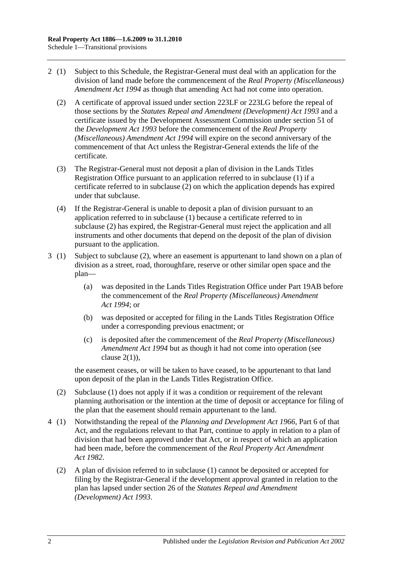- <span id="page-129-0"></span>2 (1) Subject to this Schedule, the Registrar-General must deal with an application for the division of land made before the commencement of the *[Real Property \(Miscellaneous\)](http://www.legislation.sa.gov.au/index.aspx?action=legref&type=act&legtitle=Real%20Property%20(Miscellaneous)%20Amendment%20Act%201994)  [Amendment Act](http://www.legislation.sa.gov.au/index.aspx?action=legref&type=act&legtitle=Real%20Property%20(Miscellaneous)%20Amendment%20Act%201994) 1994* as though that amending Act had not come into operation.
	- (2) A certificate of approval issued under [section](#page-111-2) 223LF or [223LG](#page-112-3) before the repeal of those sections by the *[Statutes Repeal and Amendment \(Development\) Act](http://www.legislation.sa.gov.au/index.aspx?action=legref&type=act&legtitle=Statutes%20Repeal%20and%20Amendment%20(Development)%20Act%201993) 1993* and a certificate issued by the Development Assessment Commission under section 51 of the *[Development Act](http://www.legislation.sa.gov.au/index.aspx?action=legref&type=act&legtitle=Development%20Act%201993) 1993* before the commencement of the *[Real Property](http://www.legislation.sa.gov.au/index.aspx?action=legref&type=act&legtitle=Real%20Property%20(Miscellaneous)%20Amendment%20Act%201994)  [\(Miscellaneous\) Amendment Act](http://www.legislation.sa.gov.au/index.aspx?action=legref&type=act&legtitle=Real%20Property%20(Miscellaneous)%20Amendment%20Act%201994) 1994* will expire on the second anniversary of the commencement of that Act unless the Registrar-General extends the life of the certificate.
	- (3) The Registrar-General must not deposit a plan of division in the Lands Titles Registration Office pursuant to an application referred to in subclause (1) if a certificate referred to in [subclause](#page-129-0) (2) on which the application depends has expired under that subclause.
	- (4) If the Registrar-General is unable to deposit a plan of division pursuant to an application referred to in subclause (1) because a certificate referred to in [subclause](#page-129-0) (2) has expired, the Registrar-General must reject the application and all instruments and other documents that depend on the deposit of the plan of division pursuant to the application.
- 3 (1) Subject to [subclause](#page-129-1) (2), where an easement is appurtenant to land shown on a plan of division as a street, road, thoroughfare, reserve or other similar open space and the plan—
	- (a) was deposited in the Lands Titles Registration Office under [Part 19AB](#page-104-0) before the commencement of the *[Real Property \(Miscellaneous\) Amendment](http://www.legislation.sa.gov.au/index.aspx?action=legref&type=act&legtitle=Real%20Property%20(Miscellaneous)%20Amendment%20Act%201994)  Act [1994](http://www.legislation.sa.gov.au/index.aspx?action=legref&type=act&legtitle=Real%20Property%20(Miscellaneous)%20Amendment%20Act%201994)*; or
	- (b) was deposited or accepted for filing in the Lands Titles Registration Office under a corresponding previous enactment; or
	- (c) is deposited after the commencement of the *[Real Property \(Miscellaneous\)](http://www.legislation.sa.gov.au/index.aspx?action=legref&type=act&legtitle=Real%20Property%20(Miscellaneous)%20Amendment%20Act%201994)  [Amendment Act](http://www.legislation.sa.gov.au/index.aspx?action=legref&type=act&legtitle=Real%20Property%20(Miscellaneous)%20Amendment%20Act%201994) 1994* but as though it had not come into operation (see clause  $2(1)$ ).

the easement ceases, or will be taken to have ceased, to be appurtenant to that land upon deposit of the plan in the Lands Titles Registration Office.

- <span id="page-129-1"></span>(2) Subclause (1) does not apply if it was a condition or requirement of the relevant planning authorisation or the intention at the time of deposit or acceptance for filing of the plan that the easement should remain appurtenant to the land.
- 4 (1) Notwithstanding the repeal of the *[Planning and Development Act](http://www.legislation.sa.gov.au/index.aspx?action=legref&type=act&legtitle=Planning%20and%20Development%20Act%201966) 1966*, Part 6 of that Act, and the regulations relevant to that Part, continue to apply in relation to a plan of division that had been approved under that Act, or in respect of which an application had been made, before the commencement of the *[Real Property Act Amendment](http://www.legislation.sa.gov.au/index.aspx?action=legref&type=act&legtitle=Real%20Property%20Act%20Amendment%20Act%201982)  Act [1982](http://www.legislation.sa.gov.au/index.aspx?action=legref&type=act&legtitle=Real%20Property%20Act%20Amendment%20Act%201982)*.
	- (2) A plan of division referred to in subclause (1) cannot be deposited or accepted for filing by the Registrar-General if the development approval granted in relation to the plan has lapsed under section 26 of the *[Statutes Repeal and Amendment](http://www.legislation.sa.gov.au/index.aspx?action=legref&type=act&legtitle=Statutes%20Repeal%20and%20Amendment%20(Development)%20Act%201993)  [\(Development\) Act](http://www.legislation.sa.gov.au/index.aspx?action=legref&type=act&legtitle=Statutes%20Repeal%20and%20Amendment%20(Development)%20Act%201993) 1993*.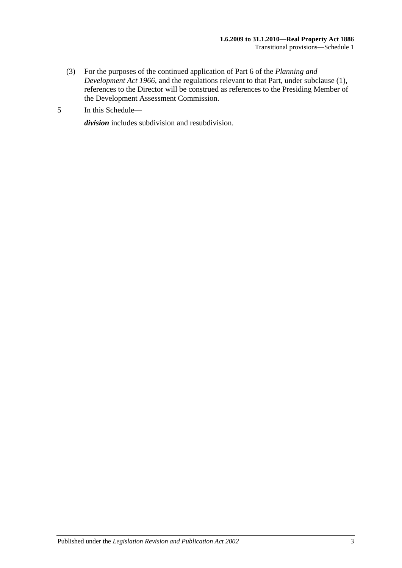- (3) For the purposes of the continued application of Part 6 of the *[Planning and](http://www.legislation.sa.gov.au/index.aspx?action=legref&type=act&legtitle=Planning%20and%20Development%20Act%201966)  [Development Act](http://www.legislation.sa.gov.au/index.aspx?action=legref&type=act&legtitle=Planning%20and%20Development%20Act%201966) 1966*, and the regulations relevant to that Part, under subclause (1), references to the Director will be construed as references to the Presiding Member of the Development Assessment Commission.
- 5 In this Schedule—

*division* includes subdivision and resubdivision.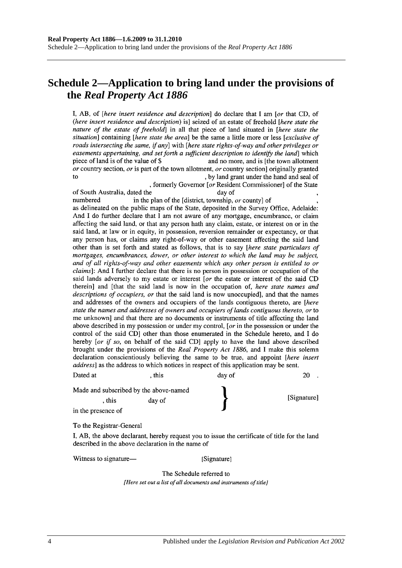## **Schedule 2—Application to bring land under the provisions of the** *Real Property Act 1886*

I, AB, of *[here insert residence and description*] do declare that I am *[or that CD, of* (here insert residence and description) is] seized of an estate of freehold [here state the nature of the estate of freehold] in all that piece of land situated in [here state the situation] containing [here state the area] be the same a little more or less [exclusive of roads intersecting the same, if any] with [here state rights-of-way and other privileges or easements appertaining, and set forth a sufficient description to identify the land which piece of land is of the value of \$ and no more, and is [the town allotment] or country section, or is part of the town allotment, or country section originally granted  $f<sub>O</sub>$ , by land grant under the hand and seal of

, formerly Governor [or Resident Commissioner] of the State of South Australia, dated the day of numbered in the plan of the [district, township, or county] of as delineated on the public maps of the State, deposited in the Survey Office, Adelaide: And I do further declare that I am not aware of any mortgage, encumbrance, or claim affecting the said land, or that any person hath any claim, estate, or interest on or in the said land, at law or in equity, in possession, reversion remainder or expectancy, or that any person has, or claims any right-of-way or other easement affecting the said land other than is set forth and stated as follows, that is to say [here state particulars of mortgages, encumbrances, dower, or other interest to which the land may be subject, and of all rights-of-way and other easements which any other person is entitled to or

*claims*]: And I further declare that there is no person in possession or occupation of the said lands adversely to my estate or interest [or the estate or interest of the said CD therein] and [that the said land is now in the occupation of, here state names and descriptions of occupiers, or that the said land is now unoccupied], and that the names and addresses of the owners and occupiers of the lands contiguous thereto, are [here state the names and addresses of owners and occupiers of lands contiguous thereto, or to me unknown and that there are no documents or instruments of title affecting the land above described in my possession or under my control, [ $or$  in the possession or under the control of the said CD] other than those enumerated in the Schedule hereto, and I do hereby [or if so, on behalf of the said CD] apply to have the land above described brought under the provisions of the Real Property Act 1886, and I make this solemn declaration conscientiously believing the same to be true, and appoint [here insert address] as the address to which notices in respect of this application may be sent.

| Made and subscribed by the above-named |        |             |
|----------------------------------------|--------|-------------|
| . this                                 | day of | [Signature] |
| in the presence of                     |        |             |

, this

To the Registrar-General

Dated at

I, AB, the above declarant, hereby request you to issue the certificate of title for the land described in the above declaration in the name of

Witness to signature—

[Signature]

day of

 $20$ .

The Schedule referred to [Here set out a list of all documents and instruments of title]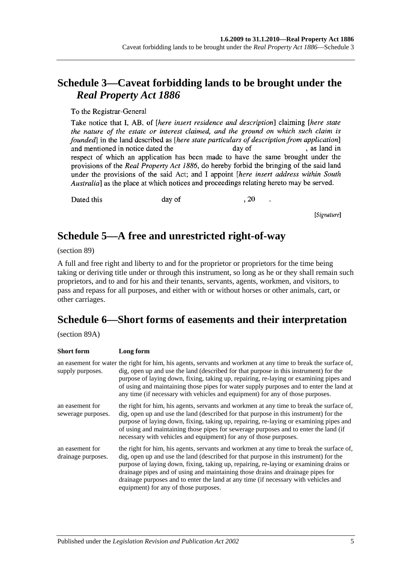## **Schedule 3—Caveat forbidding lands to be brought under the**  *Real Property Act 1886*

To the Registrar-General

Take notice that I, AB, of *[here insert residence and description*] claiming *[here state* the nature of the estate or interest claimed, and the ground on which such claim is founded in the land described as *[here state particulars of description from application*] , as land in and mentioned in notice dated the day of respect of which an application has been made to have the same brought under the provisions of the Real Property Act 1886, do hereby forbid the bringing of the said land under the provisions of the said Act; and I appoint *[here insert address within South* Australia] as the place at which notices and proceedings relating hereto may be served.

Dated this

day of

, 20

[Signature]

## **Schedule 5—A free and unrestricted right-of-way**

(section 89)

A full and free right and liberty to and for the proprietor or proprietors for the time being taking or deriving title under or through this instrument, so long as he or they shall remain such proprietors, and to and for his and their tenants, servants, agents, workmen, and visitors, to pass and repass for all purposes, and either with or without horses or other animals, cart, or other carriages.

# **Schedule 6—Short forms of easements and their interpretation**

(section 89A)

| <b>Short form</b>                     | Long form                                                                                                                                                                                                                                                                                                                                                                                                                                                                                      |
|---------------------------------------|------------------------------------------------------------------------------------------------------------------------------------------------------------------------------------------------------------------------------------------------------------------------------------------------------------------------------------------------------------------------------------------------------------------------------------------------------------------------------------------------|
| supply purposes.                      | an easement for water the right for him, his agents, servants and workmen at any time to break the surface of,<br>dig, open up and use the land (described for that purpose in this instrument) for the<br>purpose of laying down, fixing, taking up, repairing, re-laying or examining pipes and<br>of using and maintaining those pipes for water supply purposes and to enter the land at<br>any time (if necessary with vehicles and equipment) for any of those purposes.                 |
| an easement for<br>sewerage purposes. | the right for him, his agents, servants and workmen at any time to break the surface of,<br>dig, open up and use the land (described for that purpose in this instrument) for the<br>purpose of laying down, fixing, taking up, repairing, re-laying or examining pipes and<br>of using and maintaining those pipes for sewerage purposes and to enter the land (if<br>necessary with vehicles and equipment) for any of those purposes.                                                       |
| an easement for<br>drainage purposes. | the right for him, his agents, servants and workmen at any time to break the surface of,<br>dig, open up and use the land (described for that purpose in this instrument) for the<br>purpose of laying down, fixing, taking up, repairing, re-laying or examining drains or<br>drainage pipes and of using and maintaining those drains and drainage pipes for<br>drainage purposes and to enter the land at any time (if necessary with vehicles and<br>equipment) for any of those purposes. |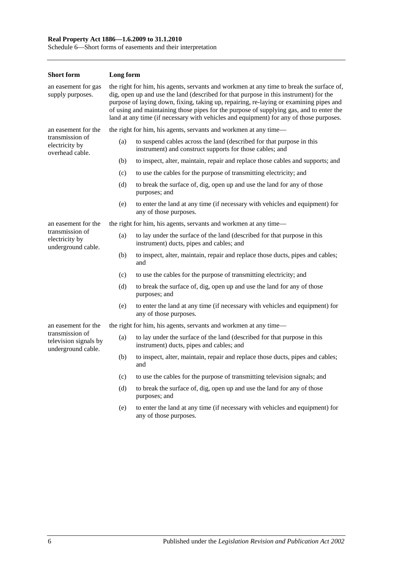#### **Real Property Act 1886—1.6.2009 to 31.1.2010**

Schedule 6—Short forms of easements and their interpretation

| <b>Short form</b>                                              | Long form                                                                                                                                                                                                                                                                                                                                                                                                                                                        |                                                                                                                                   |  |
|----------------------------------------------------------------|------------------------------------------------------------------------------------------------------------------------------------------------------------------------------------------------------------------------------------------------------------------------------------------------------------------------------------------------------------------------------------------------------------------------------------------------------------------|-----------------------------------------------------------------------------------------------------------------------------------|--|
| an easement for gas<br>supply purposes.                        | the right for him, his agents, servants and workmen at any time to break the surface of,<br>dig, open up and use the land (described for that purpose in this instrument) for the<br>purpose of laying down, fixing, taking up, repairing, re-laying or examining pipes and<br>of using and maintaining those pipes for the purpose of supplying gas, and to enter the<br>land at any time (if necessary with vehicles and equipment) for any of those purposes. |                                                                                                                                   |  |
| an easement for the                                            |                                                                                                                                                                                                                                                                                                                                                                                                                                                                  | the right for him, his agents, servants and workmen at any time—                                                                  |  |
| transmission of<br>electricity by<br>overhead cable.           | (a)                                                                                                                                                                                                                                                                                                                                                                                                                                                              | to suspend cables across the land (described for that purpose in this<br>instrument) and construct supports for those cables; and |  |
|                                                                | (b)                                                                                                                                                                                                                                                                                                                                                                                                                                                              | to inspect, alter, maintain, repair and replace those cables and supports; and                                                    |  |
|                                                                | (c)                                                                                                                                                                                                                                                                                                                                                                                                                                                              | to use the cables for the purpose of transmitting electricity; and                                                                |  |
|                                                                | (d)                                                                                                                                                                                                                                                                                                                                                                                                                                                              | to break the surface of, dig, open up and use the land for any of those<br>purposes; and                                          |  |
|                                                                | (e)                                                                                                                                                                                                                                                                                                                                                                                                                                                              | to enter the land at any time (if necessary with vehicles and equipment) for<br>any of those purposes.                            |  |
| an easement for the                                            |                                                                                                                                                                                                                                                                                                                                                                                                                                                                  | the right for him, his agents, servants and workmen at any time—                                                                  |  |
| transmission of<br>electricity by<br>underground cable.        | (a)                                                                                                                                                                                                                                                                                                                                                                                                                                                              | to lay under the surface of the land (described for that purpose in this<br>instrument) ducts, pipes and cables; and              |  |
|                                                                | (b)                                                                                                                                                                                                                                                                                                                                                                                                                                                              | to inspect, alter, maintain, repair and replace those ducts, pipes and cables;<br>and                                             |  |
|                                                                | (c)                                                                                                                                                                                                                                                                                                                                                                                                                                                              | to use the cables for the purpose of transmitting electricity; and                                                                |  |
|                                                                | (d)                                                                                                                                                                                                                                                                                                                                                                                                                                                              | to break the surface of, dig, open up and use the land for any of those<br>purposes; and                                          |  |
|                                                                | (e)                                                                                                                                                                                                                                                                                                                                                                                                                                                              | to enter the land at any time (if necessary with vehicles and equipment) for<br>any of those purposes.                            |  |
| an easement for the                                            |                                                                                                                                                                                                                                                                                                                                                                                                                                                                  | the right for him, his agents, servants and workmen at any time—                                                                  |  |
| transmission of<br>television signals by<br>underground cable. | (a)                                                                                                                                                                                                                                                                                                                                                                                                                                                              | to lay under the surface of the land (described for that purpose in this<br>instrument) ducts, pipes and cables; and              |  |
|                                                                | (b)                                                                                                                                                                                                                                                                                                                                                                                                                                                              | to inspect, alter, maintain, repair and replace those ducts, pipes and cables;<br>and                                             |  |
|                                                                | (c)                                                                                                                                                                                                                                                                                                                                                                                                                                                              | to use the cables for the purpose of transmitting television signals; and                                                         |  |
|                                                                | (d)                                                                                                                                                                                                                                                                                                                                                                                                                                                              | to break the surface of, dig, open up and use the land for any of those<br>purposes; and                                          |  |
|                                                                | (e)                                                                                                                                                                                                                                                                                                                                                                                                                                                              | to enter the land at any time (if necessary with vehicles and equipment) for<br>any of those purposes.                            |  |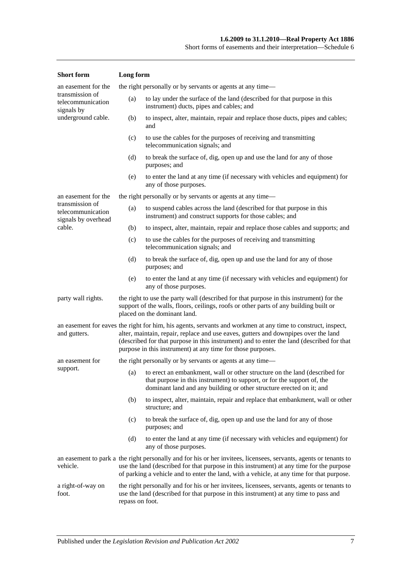| <b>Short</b> form                                                                                                                     | Long form |                                                                                                                                                                                                                                                                                                                                                                 |  |
|---------------------------------------------------------------------------------------------------------------------------------------|-----------|-----------------------------------------------------------------------------------------------------------------------------------------------------------------------------------------------------------------------------------------------------------------------------------------------------------------------------------------------------------------|--|
| an easement for the                                                                                                                   |           | the right personally or by servants or agents at any time—                                                                                                                                                                                                                                                                                                      |  |
| transmission of<br>telecommunication<br>signals by                                                                                    | (a)       | to lay under the surface of the land (described for that purpose in this<br>instrument) ducts, pipes and cables; and                                                                                                                                                                                                                                            |  |
| underground cable.                                                                                                                    | (b)       | to inspect, alter, maintain, repair and replace those ducts, pipes and cables;<br>and                                                                                                                                                                                                                                                                           |  |
|                                                                                                                                       | (c)       | to use the cables for the purposes of receiving and transmitting<br>telecommunication signals; and                                                                                                                                                                                                                                                              |  |
|                                                                                                                                       | (d)       | to break the surface of, dig, open up and use the land for any of those<br>purposes; and                                                                                                                                                                                                                                                                        |  |
|                                                                                                                                       | (e)       | to enter the land at any time (if necessary with vehicles and equipment) for<br>any of those purposes.                                                                                                                                                                                                                                                          |  |
| an easement for the                                                                                                                   |           | the right personally or by servants or agents at any time—                                                                                                                                                                                                                                                                                                      |  |
| transmission of<br>telecommunication<br>signals by overhead                                                                           | (a)       | to suspend cables across the land (described for that purpose in this<br>instrument) and construct supports for those cables; and                                                                                                                                                                                                                               |  |
| cable.                                                                                                                                | (b)       | to inspect, alter, maintain, repair and replace those cables and supports; and                                                                                                                                                                                                                                                                                  |  |
|                                                                                                                                       | (c)       | to use the cables for the purposes of receiving and transmitting<br>telecommunication signals; and                                                                                                                                                                                                                                                              |  |
|                                                                                                                                       | (d)       | to break the surface of, dig, open up and use the land for any of those<br>purposes; and                                                                                                                                                                                                                                                                        |  |
|                                                                                                                                       | (e)       | to enter the land at any time (if necessary with vehicles and equipment) for<br>any of those purposes.                                                                                                                                                                                                                                                          |  |
| party wall rights.                                                                                                                    |           | the right to use the party wall (described for that purpose in this instrument) for the<br>support of the walls, floors, ceilings, roofs or other parts of any building built or<br>placed on the dominant land.                                                                                                                                                |  |
| and gutters.                                                                                                                          |           | an easement for eaves the right for him, his agents, servants and workmen at any time to construct, inspect,<br>alter, maintain, repair, replace and use eaves, gutters and downpipes over the land<br>(described for that purpose in this instrument) and to enter the land (described for that<br>purpose in this instrument) at any time for those purposes. |  |
| an easement for                                                                                                                       |           | the right personally or by servants or agents at any time—                                                                                                                                                                                                                                                                                                      |  |
| support.                                                                                                                              |           | (a) to erect an embankment, wall or other structure on the land (described for<br>that purpose in this instrument) to support, or for the support of, the<br>dominant land and any building or other structure erected on it; and                                                                                                                               |  |
|                                                                                                                                       | (b)       | to inspect, alter, maintain, repair and replace that embankment, wall or other<br>structure; and                                                                                                                                                                                                                                                                |  |
|                                                                                                                                       | (c)       | to break the surface of, dig, open up and use the land for any of those<br>purposes; and                                                                                                                                                                                                                                                                        |  |
|                                                                                                                                       | (d)       | to enter the land at any time (if necessary with vehicles and equipment) for<br>any of those purposes.                                                                                                                                                                                                                                                          |  |
| vehicle.                                                                                                                              |           | an easement to park a the right personally and for his or her invitees, licensees, servants, agents or tenants to<br>use the land (described for that purpose in this instrument) at any time for the purpose<br>of parking a vehicle and to enter the land, with a vehicle, at any time for that purpose.                                                      |  |
| a right-of-way on<br>use the land (described for that purpose in this instrument) at any time to pass and<br>foot.<br>repass on foot. |           | the right personally and for his or her invitees, licensees, servants, agents or tenants to                                                                                                                                                                                                                                                                     |  |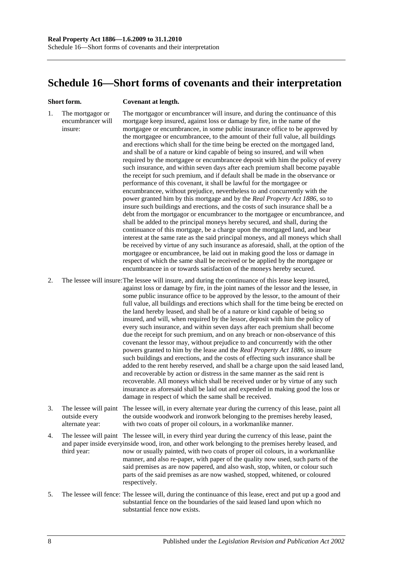## <span id="page-135-0"></span>**Schedule 16—Short forms of covenants and their interpretation**

#### **Short form. Covenant at length.**

1. The mortgagor or encumbrancer will insure: The mortgagor or encumbrancer will insure, and during the continuance of this mortgage keep insured, against loss or damage by fire, in the name of the mortgagee or encumbrancee, in some public insurance office to be approved by the mortgagee or encumbrancee, to the amount of their full value, all buildings and erections which shall for the time being be erected on the mortgaged land, and shall be of a nature or kind capable of being so insured, and will when required by the mortgagee or encumbrancee deposit with him the policy of every such insurance, and within seven days after each premium shall become payable the receipt for such premium, and if default shall be made in the observance or performance of this covenant, it shall be lawful for the mortgagee or encumbrancee, without prejudice, nevertheless to and concurrently with the power granted him by this mortgage and by the *[Real Property Act](http://www.legislation.sa.gov.au/index.aspx?action=legref&type=act&legtitle=Real%20Property%20Act%201886) 1886*, so to insure such buildings and erections, and the costs of such insurance shall be a debt from the mortgagor or encumbrancer to the mortgagee or encumbrancee, and shall be added to the principal moneys hereby secured, and shall, during the continuance of this mortgage, be a charge upon the mortgaged land, and bear interest at the same rate as the said principal moneys, and all moneys which shall be received by virtue of any such insurance as aforesaid, shall, at the option of the mortgagee or encumbrancee, be laid out in making good the loss or damage in respect of which the same shall be received or be applied by the mortgagee or encumbrancee in or towards satisfaction of the moneys hereby secured.

2. The lessee will insure:The lessee will insure, and during the continuance of this lease keep insured, against loss or damage by fire, in the joint names of the lessor and the lessee, in some public insurance office to be approved by the lessor, to the amount of their full value, all buildings and erections which shall for the time being be erected on the land hereby leased, and shall be of a nature or kind capable of being so insured, and will, when required by the lessor, deposit with him the policy of every such insurance, and within seven days after each premium shall become due the receipt for such premium, and on any breach or non-observance of this covenant the lessor may, without prejudice to and concurrently with the other powers granted to him by the lease and the *[Real Property Act](http://www.legislation.sa.gov.au/index.aspx?action=legref&type=act&legtitle=Real%20Property%20Act%201886) 1886*, so insure such buildings and erections, and the costs of effecting such insurance shall be added to the rent hereby reserved, and shall be a charge upon the said leased land, and recoverable by action or distress in the same manner as the said rent is recoverable. All moneys which shall be received under or by virtue of any such insurance as aforesaid shall be laid out and expended in making good the loss or damage in respect of which the same shall be received.

- 3. The lessee will paint The lessee will, in every alternate year during the currency of this lease, paint all outside every alternate year: the outside woodwork and ironwork belonging to the premises hereby leased, with two coats of proper oil colours, in a workmanlike manner.
- 4. The lessee will paint The lessee will, in every third year during the currency of this lease, paint the and paper inside everyinside wood, iron, and other work belonging to the premises hereby leased, and third year: now or usually painted, with two coats of proper oil colours, in a workmanlike manner, and also re-paper, with paper of the quality now used, such parts of the said premises as are now papered, and also wash, stop, whiten, or colour such parts of the said premises as are now washed, stopped, whitened, or coloured respectively.
- 5. The lessee will fence: The lessee will, during the continuance of this lease, erect and put up a good and substantial fence on the boundaries of the said leased land upon which no substantial fence now exists.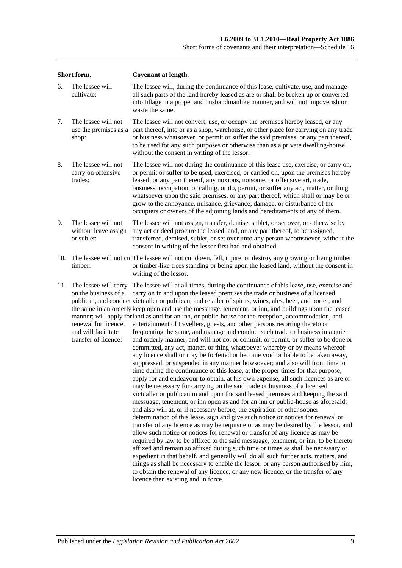| Short form. |                                                                                                                      | <b>Covenant at length.</b>                                                                                                                                                                                                                                                                                                                                                                                                                                                                                                                                                                                                                                                                                                                                                                                                                                                                                                                                                                                                                                                                                                                                                                                                                                                                                                                                                                                                                                                                                                                                                                                                                                                                                                                                                                                                                                                                                                                                                                                                                                                                                                                                                                                                                                              |  |  |  |
|-------------|----------------------------------------------------------------------------------------------------------------------|-------------------------------------------------------------------------------------------------------------------------------------------------------------------------------------------------------------------------------------------------------------------------------------------------------------------------------------------------------------------------------------------------------------------------------------------------------------------------------------------------------------------------------------------------------------------------------------------------------------------------------------------------------------------------------------------------------------------------------------------------------------------------------------------------------------------------------------------------------------------------------------------------------------------------------------------------------------------------------------------------------------------------------------------------------------------------------------------------------------------------------------------------------------------------------------------------------------------------------------------------------------------------------------------------------------------------------------------------------------------------------------------------------------------------------------------------------------------------------------------------------------------------------------------------------------------------------------------------------------------------------------------------------------------------------------------------------------------------------------------------------------------------------------------------------------------------------------------------------------------------------------------------------------------------------------------------------------------------------------------------------------------------------------------------------------------------------------------------------------------------------------------------------------------------------------------------------------------------------------------------------------------------|--|--|--|
| 6.          | The lessee will<br>cultivate:                                                                                        | The lessee will, during the continuance of this lease, cultivate, use, and manage<br>all such parts of the land hereby leased as are or shall be broken up or converted<br>into tillage in a proper and husbandmanlike manner, and will not impoverish or<br>waste the same.                                                                                                                                                                                                                                                                                                                                                                                                                                                                                                                                                                                                                                                                                                                                                                                                                                                                                                                                                                                                                                                                                                                                                                                                                                                                                                                                                                                                                                                                                                                                                                                                                                                                                                                                                                                                                                                                                                                                                                                            |  |  |  |
| 7.          | The lessee will not<br>use the premises as a<br>shop:                                                                | The lessee will not convert, use, or occupy the premises hereby leased, or any<br>part thereof, into or as a shop, warehouse, or other place for carrying on any trade<br>or business whatsoever, or permit or suffer the said premises, or any part thereof,<br>to be used for any such purposes or otherwise than as a private dwelling-house,<br>without the consent in writing of the lessor.                                                                                                                                                                                                                                                                                                                                                                                                                                                                                                                                                                                                                                                                                                                                                                                                                                                                                                                                                                                                                                                                                                                                                                                                                                                                                                                                                                                                                                                                                                                                                                                                                                                                                                                                                                                                                                                                       |  |  |  |
| 8.          | The lessee will not<br>carry on offensive<br>trades:                                                                 | The lessee will not during the continuance of this lease use, exercise, or carry on,<br>or permit or suffer to be used, exercised, or carried on, upon the premises hereby<br>leased, or any part thereof, any noxious, noisome, or offensive art, trade,<br>business, occupation, or calling, or do, permit, or suffer any act, matter, or thing<br>whatsoever upon the said premises, or any part thereof, which shall or may be or<br>grow to the annoyance, nuisance, grievance, damage, or disturbance of the<br>occupiers or owners of the adjoining lands and hereditaments of any of them.                                                                                                                                                                                                                                                                                                                                                                                                                                                                                                                                                                                                                                                                                                                                                                                                                                                                                                                                                                                                                                                                                                                                                                                                                                                                                                                                                                                                                                                                                                                                                                                                                                                                      |  |  |  |
| 9.          | The lessee will not<br>without leave assign<br>or sublet:                                                            | The lessee will not assign, transfer, demise, sublet, or set over, or otherwise by<br>any act or deed procure the leased land, or any part thereof, to be assigned,<br>transferred, demised, sublet, or set over unto any person whomsoever, without the<br>consent in writing of the lessor first had and obtained.                                                                                                                                                                                                                                                                                                                                                                                                                                                                                                                                                                                                                                                                                                                                                                                                                                                                                                                                                                                                                                                                                                                                                                                                                                                                                                                                                                                                                                                                                                                                                                                                                                                                                                                                                                                                                                                                                                                                                    |  |  |  |
| 10.         | timber:                                                                                                              | The lessee will not cut The lessee will not cut down, fell, injure, or destroy any growing or living timber<br>or timber-like trees standing or being upon the leased land, without the consent in<br>writing of the lessor.                                                                                                                                                                                                                                                                                                                                                                                                                                                                                                                                                                                                                                                                                                                                                                                                                                                                                                                                                                                                                                                                                                                                                                                                                                                                                                                                                                                                                                                                                                                                                                                                                                                                                                                                                                                                                                                                                                                                                                                                                                            |  |  |  |
| 11.         | The lessee will carry<br>on the business of a<br>renewal for licence,<br>and will facilitate<br>transfer of licence: | The lessee will at all times, during the continuance of this lease, use, exercise and<br>carry on in and upon the leased premises the trade or business of a licensed<br>publican, and conduct victualler or publican, and retailer of spirits, wines, ales, beer, and porter, and<br>the same in an orderly keep open and use the messuage, tenement, or inn, and buildings upon the leased<br>manner; will apply forland as and for an inn, or public-house for the reception, accommodation, and<br>entertainment of travellers, guests, and other persons resorting thereto or<br>frequenting the same, and manage and conduct such trade or business in a quiet<br>and orderly manner, and will not do, or commit, or permit, or suffer to be done or<br>committed, any act, matter, or thing whatsoever whereby or by means whereof<br>any licence shall or may be forfeited or become void or liable to be taken away,<br>suppressed, or suspended in any manner howsoever; and also will from time to<br>time during the continuance of this lease, at the proper times for that purpose,<br>apply for and endeavour to obtain, at his own expense, all such licences as are or<br>may be necessary for carrying on the said trade or business of a licensed<br>victualler or publican in and upon the said leased premises and keeping the said<br>messuage, tenement, or inn open as and for an inn or public-house as aforesaid;<br>and also will at, or if necessary before, the expiration or other sooner<br>determination of this lease, sign and give such notice or notices for renewal or<br>transfer of any licence as may be requisite or as may be desired by the lessor, and<br>allow such notice or notices for renewal or transfer of any licence as may be<br>required by law to be affixed to the said messuage, tenement, or inn, to be thereto<br>affixed and remain so affixed during such time or times as shall be necessary or<br>expedient in that behalf, and generally will do all such further acts, matters, and<br>things as shall be necessary to enable the lessor, or any person authorised by him,<br>to obtain the renewal of any licence, or any new licence, or the transfer of any<br>licence then existing and in force. |  |  |  |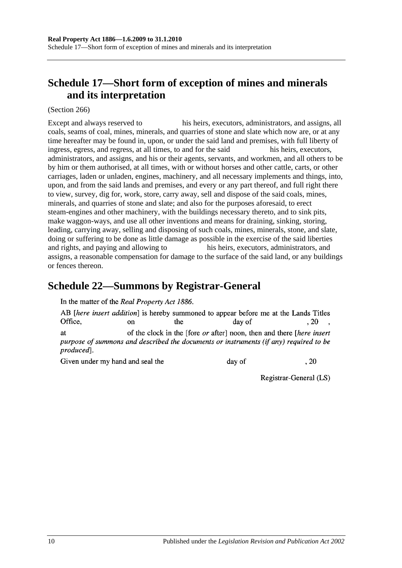# <span id="page-137-1"></span>**Schedule 17—Short form of exception of mines and minerals and its interpretation**

(Section 266)

Except and always reserved to his heirs, executors, administrators, and assigns, all coals, seams of coal, mines, minerals, and quarries of stone and slate which now are, or at any time hereafter may be found in, upon, or under the said land and premises, with full liberty of ingress, egress, and regress, at all times, to and for the said his heirs, executors, administrators, and assigns, and his or their agents, servants, and workmen, and all others to be by him or them authorised, at all times, with or without horses and other cattle, carts, or other carriages, laden or unladen, engines, machinery, and all necessary implements and things, into, upon, and from the said lands and premises, and every or any part thereof, and full right there to view, survey, dig for, work, store, carry away, sell and dispose of the said coals, mines, minerals, and quarries of stone and slate; and also for the purposes aforesaid, to erect steam-engines and other machinery, with the buildings necessary thereto, and to sink pits, make waggon-ways, and use all other inventions and means for draining, sinking, storing, leading, carrying away, selling and disposing of such coals, mines, minerals, stone, and slate, doing or suffering to be done as little damage as possible in the exercise of the said liberties and rights, and paying and allowing to his heirs, executors, administrators, and assigns, a reasonable compensation for damage to the surface of the said land, or any buildings or fences thereon.

## <span id="page-137-0"></span>**Schedule 22—Summons by Registrar-General**

In the matter of the Real Property Act 1886.

AB *[here insert addition]* is hereby summoned to appear before me at the Lands Titles Office. the  $.20$  $\alpha$ n day of of the clock in the [fore *or* after] noon, then and there [*here insert* **at** purpose of summons and described the documents or instruments (if any) required to be produced].

Given under my hand and seal the

day of

Registrar-General (LS)

 $.20$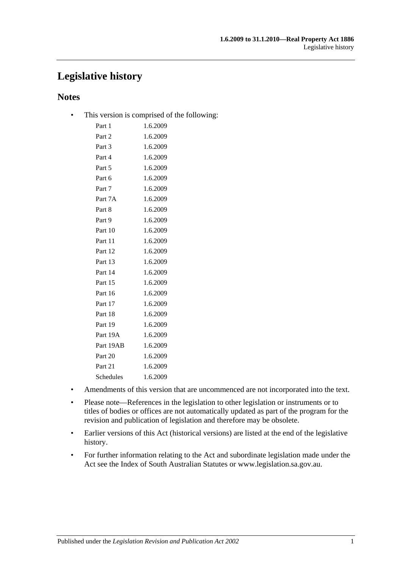## **Legislative history**

## **Notes**

• This version is comprised of the following:

| Part 1    | 1.6.2009 |
|-----------|----------|
| Part 2    | 1.6.2009 |
| Part 3    | 1.6.2009 |
| Part 4    | 1.6.2009 |
| Part 5    | 1.6.2009 |
| Part 6    | 1.6.2009 |
| Part 7    | 1.6.2009 |
| Part 7A   | 1.6.2009 |
| Part 8    | 1.6.2009 |
| Part 9    | 1.6.2009 |
| Part 10   | 1.6.2009 |
| Part 11   | 1.6.2009 |
| Part 12   | 1.6.2009 |
| Part 13   | 1.6.2009 |
| Part 14   | 1.6.2009 |
| Part 15   | 1.6.2009 |
| Part 16   | 1.6.2009 |
| Part 17   | 1.6.2009 |
| Part 18   | 1.6.2009 |
| Part 19   | 1.6.2009 |
| Part 19A  | 1.6.2009 |
| Part 19AB | 1.6.2009 |
| Part 20   | 1.6.2009 |
| Part 21   | 1.6.2009 |
| Schedules | 1.6.2009 |
|           |          |

- Amendments of this version that are uncommenced are not incorporated into the text.
- Please note—References in the legislation to other legislation or instruments or to titles of bodies or offices are not automatically updated as part of the program for the revision and publication of legislation and therefore may be obsolete.
- Earlier versions of this Act (historical versions) are listed at the end of the legislative history.
- For further information relating to the Act and subordinate legislation made under the Act see the Index of South Australian Statutes or www.legislation.sa.gov.au.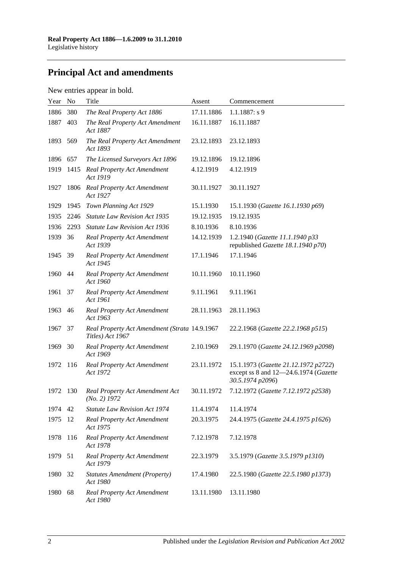# **Principal Act and amendments**

## New entries appear in bold.

| Year | N <sub>o</sub> | Title                                                             | Assent     | Commencement                                                                                      |
|------|----------------|-------------------------------------------------------------------|------------|---------------------------------------------------------------------------------------------------|
| 1886 | 380            | The Real Property Act 1886                                        | 17.11.1886 | $1.1.1887: s$ 9                                                                                   |
| 1887 | 403            | The Real Property Act Amendment<br>Act 1887                       | 16.11.1887 | 16.11.1887                                                                                        |
| 1893 | 569            | The Real Property Act Amendment<br>Act 1893                       | 23.12.1893 | 23.12.1893                                                                                        |
| 1896 | 657            | The Licensed Surveyors Act 1896                                   | 19.12.1896 | 19.12.1896                                                                                        |
| 1919 | 1415           | Real Property Act Amendment<br>Act 1919                           | 4.12.1919  | 4.12.1919                                                                                         |
| 1927 | 1806           | <b>Real Property Act Amendment</b><br>Act 1927                    | 30.11.1927 | 30.11.1927                                                                                        |
| 1929 | 1945           | Town Planning Act 1929                                            | 15.1.1930  | 15.1.1930 (Gazette 16.1.1930 p69)                                                                 |
| 1935 | 2246           | <b>Statute Law Revision Act 1935</b>                              | 19.12.1935 | 19.12.1935                                                                                        |
| 1936 | 2293           | <b>Statute Law Revision Act 1936</b>                              | 8.10.1936  | 8.10.1936                                                                                         |
| 1939 | 36             | <b>Real Property Act Amendment</b><br>Act 1939                    | 14.12.1939 | 1.2.1940 (Gazette 11.1.1940 p33<br>republished Gazette 18.1.1940 p70)                             |
| 1945 | 39             | <b>Real Property Act Amendment</b><br>Act 1945                    | 17.1.1946  | 17.1.1946                                                                                         |
| 1960 | 44             | <b>Real Property Act Amendment</b><br>Act 1960                    | 10.11.1960 | 10.11.1960                                                                                        |
| 1961 | 37             | Real Property Act Amendment<br>Act 1961                           | 9.11.1961  | 9.11.1961                                                                                         |
| 1963 | 46             | Real Property Act Amendment<br>Act 1963                           | 28.11.1963 | 28.11.1963                                                                                        |
| 1967 | 37             | Real Property Act Amendment (Strata 14.9.1967<br>Titles) Act 1967 |            | 22.2.1968 (Gazette 22.2.1968 p515)                                                                |
| 1969 | 30             | <b>Real Property Act Amendment</b><br>Act 1969                    | 2.10.1969  | 29.1.1970 (Gazette 24.12.1969 p2098)                                                              |
| 1972 | 116            | <b>Real Property Act Amendment</b><br>Act 1972                    | 23.11.1972 | 15.1.1973 (Gazette 21.12.1972 p2722)<br>except ss 8 and 12-24.6.1974 (Gazette<br>30.5.1974 p2096) |
| 1972 | 130            | Real Property Act Amendment Act<br>$(No, 2)$ 1972                 | 30.11.1972 | 7.12.1972 (Gazette 7.12.1972 p2538)                                                               |
| 1974 | 42             | <b>Statute Law Revision Act 1974</b>                              | 11.4.1974  | 11.4.1974                                                                                         |
| 1975 | 12             | <b>Real Property Act Amendment</b><br>Act 1975                    | 20.3.1975  | 24.4.1975 (Gazette 24.4.1975 p1626)                                                               |
| 1978 | 116            | <b>Real Property Act Amendment</b><br>Act 1978                    | 7.12.1978  | 7.12.1978                                                                                         |
| 1979 | 51             | <b>Real Property Act Amendment</b><br>Act 1979                    | 22.3.1979  | 3.5.1979 (Gazette 3.5.1979 p1310)                                                                 |
| 1980 | 32             | <b>Statutes Amendment (Property)</b><br>Act 1980                  | 17.4.1980  | 22.5.1980 (Gazette 22.5.1980 p1373)                                                               |
| 1980 | 68             | <b>Real Property Act Amendment</b><br>Act 1980                    | 13.11.1980 | 13.11.1980                                                                                        |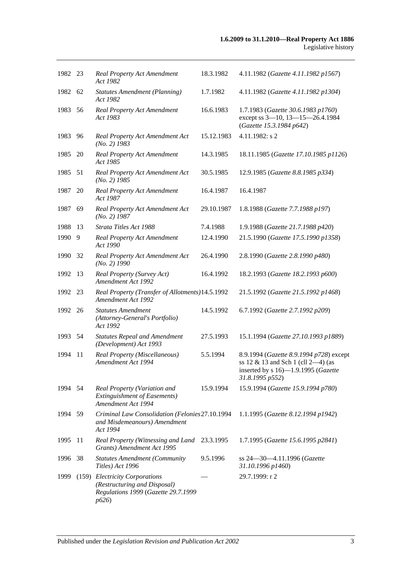| 1982 23 |      | <b>Real Property Act Amendment</b><br>Act 1982                                                                | 18.3.1982  | 4.11.1982 (Gazette 4.11.1982 p1567)                                                                                                                  |
|---------|------|---------------------------------------------------------------------------------------------------------------|------------|------------------------------------------------------------------------------------------------------------------------------------------------------|
| 1982 62 |      | <b>Statutes Amendment (Planning)</b><br>Act 1982                                                              | 1.7.1982   | 4.11.1982 (Gazette 4.11.1982 p1304)                                                                                                                  |
| 1983    | 56   | Real Property Act Amendment<br>Act 1983                                                                       | 16.6.1983  | 1.7.1983 (Gazette 30.6.1983 p1760)<br>except ss 3-10, 13-15-26.4.1984<br>(Gazette 15.3.1984 p642)                                                    |
| 1983    | 96   | Real Property Act Amendment Act<br>$(No. 2)$ 1983                                                             | 15.12.1983 | 4.11.1982: s 2                                                                                                                                       |
| 1985    | 20   | <b>Real Property Act Amendment</b><br>Act 1985                                                                | 14.3.1985  | 18.11.1985 (Gazette 17.10.1985 p1126)                                                                                                                |
| 1985    | - 51 | Real Property Act Amendment Act<br>$(No. 2)$ 1985                                                             | 30.5.1985  | 12.9.1985 (Gazette 8.8.1985 p334)                                                                                                                    |
| 1987    | 20   | <b>Real Property Act Amendment</b><br>Act 1987                                                                | 16.4.1987  | 16.4.1987                                                                                                                                            |
| 1987    | 69   | Real Property Act Amendment Act<br>$(No. 2)$ 1987                                                             | 29.10.1987 | 1.8.1988 (Gazette 7.7.1988 p197)                                                                                                                     |
| 1988    | 13   | Strata Titles Act 1988                                                                                        | 7.4.1988   | 1.9.1988 (Gazette 21.7.1988 p420)                                                                                                                    |
| 1990    | 9    | <b>Real Property Act Amendment</b><br>Act 1990                                                                | 12.4.1990  | 21.5.1990 (Gazette 17.5.1990 p1358)                                                                                                                  |
| 1990    | 32   | Real Property Act Amendment Act<br>$(No. 2)$ 1990                                                             | 26.4.1990  | 2.8.1990 (Gazette 2.8.1990 p480)                                                                                                                     |
| 1992    | 13   | Real Property (Survey Act)<br>Amendment Act 1992                                                              | 16.4.1992  | 18.2.1993 (Gazette 18.2.1993 p600)                                                                                                                   |
| 1992    | 23   | Real Property (Transfer of Allotments) 14.5.1992<br>Amendment Act 1992                                        |            | 21.5.1992 (Gazette 21.5.1992 p1468)                                                                                                                  |
| 1992 26 |      | <b>Statutes Amendment</b><br>(Attorney-General's Portfolio)<br>Act 1992                                       | 14.5.1992  | 6.7.1992 (Gazette 2.7.1992 p209)                                                                                                                     |
| 1993 54 |      | <b>Statutes Repeal and Amendment</b><br>(Development) Act 1993                                                | 27.5.1993  | 15.1.1994 (Gazette 27.10.1993 p1889)                                                                                                                 |
| 1994    | 11   | Real Property (Miscellaneous)<br>Amendment Act 1994                                                           | 5.5.1994   | 8.9.1994 (Gazette 8.9.1994 p728) except<br>ss 12 $\&$ 13 and Sch 1 (cll 2-4) (as<br>inserted by $s 16$ —1.9.1995 ( <i>Gazette</i><br>31.8.1995 p552) |
| 1994    | 54   | Real Property (Variation and<br><b>Extinguishment of Easements)</b><br>Amendment Act 1994                     | 15.9.1994  | 15.9.1994 (Gazette 15.9.1994 p780)                                                                                                                   |
| 1994 59 |      | Criminal Law Consolidation (Felonies 27.10.1994<br>and Misdemeanours) Amendment<br>Act 1994                   |            | 1.1.1995 (Gazette 8.12.1994 p1942)                                                                                                                   |
| 1995    | 11   | Real Property (Witnessing and Land<br>Grants) Amendment Act 1995                                              | 23.3.1995  | 1.7.1995 (Gazette 15.6.1995 p2841)                                                                                                                   |
| 1996    | 38   | <b>Statutes Amendment (Community</b><br>Titles) Act 1996                                                      | 9.5.1996   | ss 24-30-4.11.1996 (Gazette<br>31.10.1996 p1460)                                                                                                     |
| 1999    |      | (159) Electricity Corporations<br>(Restructuring and Disposal)<br>Regulations 1999 (Gazette 29.7.1999<br>p626 |            | 29.7.1999: r 2                                                                                                                                       |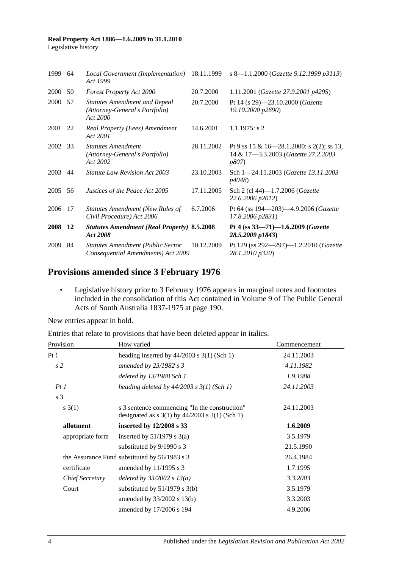#### **Real Property Act 1886—1.6.2009 to 31.1.2010** Legislative history

| 1999        | 64  | Local Government (Implementation)<br>Act 1999                                      | 18.11.1999 | s 8—1.1.2000 (Gazette 9.12.1999 p3113)                                                            |
|-------------|-----|------------------------------------------------------------------------------------|------------|---------------------------------------------------------------------------------------------------|
| <b>2000</b> | 50  | <b>Forest Property Act 2000</b>                                                    | 20.7.2000  | 1.11.2001 (Gazette 27.9.2001 p4295)                                                               |
| 2000        | 57  | <b>Statutes Amendment and Repeal</b><br>(Attorney-General's Portfolio)<br>Act 2000 | 20.7.2000  | Pt 14 (s 29)-23.10.2000 (Gazette<br>19.10.2000 p2690)                                             |
| 2001 22     |     | Real Property (Fees) Amendment<br>Act 2001                                         | 14.6.2001  | $1.1.1975$ : s 2                                                                                  |
| 2002        | -33 | <b>Statutes Amendment</b><br>(Attorney-General's Portfolio)<br>Act 2002            | 28.11.2002 | Pt 9 ss 15 & 16–28.1.2000: s 2(2); ss 13,<br>14 & 17-3.3.2003 (Gazette 27.2.2003<br><i>p807</i> ) |
| 2003        | 44  | <i>Statute Law Revision Act 2003</i>                                               | 23.10.2003 | Sch 1-24.11.2003 (Gazette 13.11.2003)<br><i>p4048</i> )                                           |
| 2005        | 56  | Justices of the Peace Act 2005                                                     | 17.11.2005 | Sch 2 (cl 44)-1.7.2006 (Gazette<br>22.6.2006 p2012)                                               |
| 2006        | 17  | <b>Statutes Amendment (New Rules of</b><br>Civil Procedure) Act 2006               | 6.7.2006   | Pt 64 (ss 194—203)—4.9.2006 (Gazette<br>17.8.2006 p2831)                                          |
| 2008 12     |     | <b>Statutes Amendment (Real Property) 8.5.2008</b><br>Act 2008                     |            | Pt 4 (ss 33-71)-1.6.2009 (Gazette<br>28.5.2009 p1843)                                             |
| 2009        | 84  | <b>Statutes Amendment (Public Sector</b><br>Consequential Amendments) Act 2009     | 10.12.2009 | Pt 129 (ss 292-297)-1.2.2010 (Gazette<br>28.1.2010 p320)                                          |

## **Provisions amended since 3 February 1976**

• Legislative history prior to 3 February 1976 appears in marginal notes and footnotes included in the consolidation of this Act contained in Volume 9 of The Public General Acts of South Australia 1837-1975 at page 190.

New entries appear in bold.

|  |  | Entries that relate to provisions that have been deleted appear in italics. |  |
|--|--|-----------------------------------------------------------------------------|--|
|--|--|-----------------------------------------------------------------------------|--|

| Provision        | How varied                                                                                                                           | Commencement |
|------------------|--------------------------------------------------------------------------------------------------------------------------------------|--------------|
| Pt1              | heading inserted by $44/2003$ s 3(1) (Sch 1)                                                                                         | 24.11.2003   |
| s <sub>2</sub>   | amended by 23/1982 s 3                                                                                                               | 4.11.1982    |
|                  | deleted by 13/1988 Sch 1                                                                                                             | 1.9.1988     |
| PtI              | heading deleted by $44/2003$ s $3(1)$ (Sch 1)                                                                                        | 24.11.2003   |
| s <sub>3</sub>   |                                                                                                                                      |              |
| s(3(1))          | s 3 sentence commencing "In the construction"<br>designated as $s \frac{3(1)}{y} \frac{44}{2003} \frac{s \frac{3(1)}{5}}{h}$ (Sch 1) | 24.11.2003   |
| allotment        | inserted by 12/2008 s 33                                                                                                             | 1.6.2009     |
| appropriate form | inserted by $51/1979$ s $3(a)$                                                                                                       | 3.5.1979     |
|                  | substituted by 9/1990 s 3                                                                                                            | 21.5.1990    |
|                  | the Assurance Fund substituted by 56/1983 s 3                                                                                        | 26.4.1984    |
| certificate      | amended by 11/1995 s 3                                                                                                               | 1.7.1995     |
| Chief Secretary  | deleted by $33/2002 s 13(a)$                                                                                                         | 3.3.2003     |
| Court            | substituted by $51/1979$ s $3(b)$                                                                                                    | 3.5.1979     |
|                  | amended by $33/2002$ s $13(b)$                                                                                                       | 3.3.2003     |
|                  | amended by 17/2006 s 194                                                                                                             | 4.9.2006     |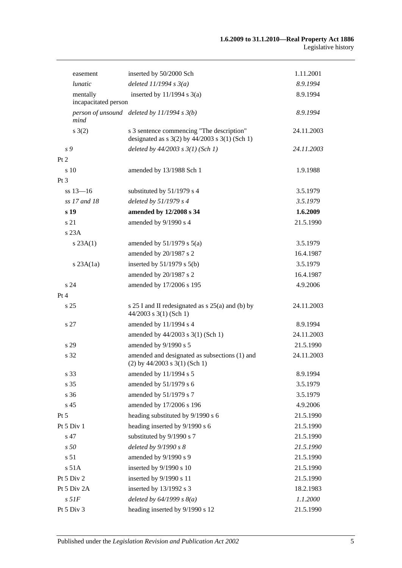| easement                         | inserted by 50/2000 Sch                                                                         | 1.11.2001  |
|----------------------------------|-------------------------------------------------------------------------------------------------|------------|
| <i>lunatic</i>                   | deleted $11/1994 s3(a)$                                                                         | 8.9.1994   |
| mentally<br>incapacitated person | inserted by $11/1994$ s $3(a)$                                                                  | 8.9.1994   |
| mind                             | person of unsound deleted by $11/1994 s 3(b)$                                                   | 8.9.1994   |
| s(2)                             | s 3 sentence commencing "The description"<br>designated as $s$ 3(2) by 44/2003 $s$ 3(1) (Sch 1) | 24.11.2003 |
| s 9                              | deleted by $44/2003$ s $3(1)$ (Sch 1)                                                           | 24.11.2003 |
| Pt 2                             |                                                                                                 |            |
| s <sub>10</sub>                  | amended by 13/1988 Sch 1                                                                        | 1.9.1988   |
| Pt 3                             |                                                                                                 |            |
| $ss 13 - 16$                     | substituted by 51/1979 s 4                                                                      | 3.5.1979   |
| ss 17 and 18                     | deleted by $51/1979 s 4$                                                                        | 3.5.1979   |
| s 19                             | amended by 12/2008 s 34                                                                         | 1.6.2009   |
| s 21                             | amended by 9/1990 s 4                                                                           | 21.5.1990  |
| s 23A                            |                                                                                                 |            |
| s 23A(1)                         | amended by $51/1979$ s $5(a)$                                                                   | 3.5.1979   |
|                                  | amended by 20/1987 s 2                                                                          | 16.4.1987  |
| $s$ 23A $(1a)$                   | inserted by $51/1979$ s $5(b)$                                                                  | 3.5.1979   |
|                                  | amended by 20/1987 s 2                                                                          | 16.4.1987  |
| s 24                             | amended by 17/2006 s 195                                                                        | 4.9.2006   |
| Pt 4                             |                                                                                                 |            |
| s <sub>25</sub>                  | s 25 I and II redesignated as s 25(a) and (b) by<br>$44/2003$ s 3(1) (Sch 1)                    | 24.11.2003 |
| s 27                             | amended by 11/1994 s 4                                                                          | 8.9.1994   |
|                                  | amended by 44/2003 s 3(1) (Sch 1)                                                               | 24.11.2003 |
| s 29                             | amended by 9/1990 s 5                                                                           | 21.5.1990  |
| s 32                             | amended and designated as subsections (1) and<br>$(2)$ by 44/2003 s 3(1) (Sch 1)                | 24.11.2003 |
| s 33                             | amended by 11/1994 s 5                                                                          | 8.9.1994   |
| s 35                             | amended by 51/1979 s 6                                                                          | 3.5.1979   |
| s 36                             | amended by 51/1979 s 7                                                                          | 3.5.1979   |
| s 45                             | amended by 17/2006 s 196                                                                        | 4.9.2006   |
| $Pt\,5$                          | heading substituted by 9/1990 s 6                                                               | 21.5.1990  |
| Pt 5 Div 1                       | heading inserted by 9/1990 s 6                                                                  | 21.5.1990  |
| s 47                             | substituted by 9/1990 s 7                                                                       | 21.5.1990  |
| s <sub>50</sub>                  | deleted by 9/1990 s 8                                                                           | 21.5.1990  |
| s 51                             | amended by 9/1990 s 9                                                                           | 21.5.1990  |
| s 51A                            | inserted by 9/1990 s 10                                                                         | 21.5.1990  |
| Pt 5 Div 2                       | inserted by 9/1990 s 11                                                                         | 21.5.1990  |
| Pt 5 Div 2A                      | inserted by 13/1992 s 3                                                                         | 18.2.1983  |
| $s$ 51 $F$                       | deleted by $64/1999 s 8(a)$                                                                     | 1.1.2000   |
| Pt 5 Div 3                       | heading inserted by 9/1990 s 12                                                                 | 21.5.1990  |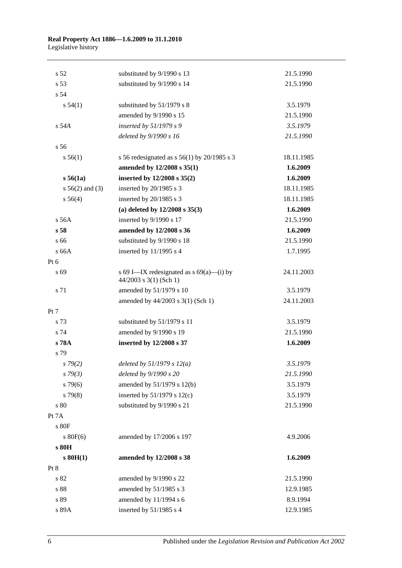#### **Real Property Act 1886—1.6.2009 to 31.1.2010** Legislative history

| s <sub>52</sub>    | substituted by 9/1990 s 13                                           | 21.5.1990  |
|--------------------|----------------------------------------------------------------------|------------|
| s 53               | substituted by 9/1990 s 14                                           | 21.5.1990  |
| s 54               |                                                                      |            |
| s 54(1)            | substituted by 51/1979 s 8                                           | 3.5.1979   |
|                    | amended by 9/1990 s 15                                               | 21.5.1990  |
| $s$ 54 $A$         | inserted by 51/1979 s 9                                              | 3.5.1979   |
|                    | deleted by 9/1990 s 16                                               | 21.5.1990  |
| s <sub>56</sub>    |                                                                      |            |
| s 56(1)            | s 56 redesignated as s $56(1)$ by 20/1985 s 3                        | 18.11.1985 |
|                    | amended by 12/2008 s 35(1)                                           | 1.6.2009   |
| s 56(1a)           | inserted by 12/2008 s 35(2)                                          | 1.6.2009   |
| $s\,56(2)$ and (3) | inserted by 20/1985 s 3                                              | 18.11.1985 |
| s 56(4)            | inserted by 20/1985 s 3                                              | 18.11.1985 |
|                    | (a) deleted by $12/2008$ s $35(3)$                                   | 1.6.2009   |
| s 56A              | inserted by 9/1990 s 17                                              | 21.5.1990  |
| s <sub>58</sub>    | amended by 12/2008 s 36                                              | 1.6.2009   |
| s 66               | substituted by 9/1990 s 18                                           | 21.5.1990  |
| s 66A              | inserted by $11/1995$ s 4                                            | 1.7.1995   |
| Pt $6$             |                                                                      |            |
| s 69               | s 69 I—IX redesignated as $s$ 69(a)—(i) by<br>44/2003 s 3(1) (Sch 1) | 24.11.2003 |
| s 71               | amended by 51/1979 s 10                                              | 3.5.1979   |
|                    | amended by 44/2003 s 3(1) (Sch 1)                                    | 24.11.2003 |
| Pt 7               |                                                                      |            |
| s 73               | substituted by 51/1979 s 11                                          | 3.5.1979   |
| s 74               | amended by 9/1990 s 19                                               | 21.5.1990  |
| s 78A              | inserted by 12/2008 s 37                                             | 1.6.2009   |
| s 79               |                                                                      |            |
| s79(2)             | deleted by $51/1979 s 12(a)$                                         | 3.5.1979   |
| $s \, 79(3)$       | deleted by 9/1990 s 20                                               | 21.5.1990  |
| $s\,79(6)$         | amended by 51/1979 s 12(b)                                           | 3.5.1979   |
| $s\,79(8)$         | inserted by $51/1979$ s $12(c)$                                      | 3.5.1979   |
| s 80               | substituted by 9/1990 s 21                                           | 21.5.1990  |
| Pt 7A              |                                                                      |            |
| s 80F              |                                                                      |            |
| $s$ 80 $F(6)$      | amended by 17/2006 s 197                                             | 4.9.2006   |
| s 80H              |                                                                      |            |
| $s$ 80H(1)         | amended by 12/2008 s 38                                              | 1.6.2009   |
| Pt 8               |                                                                      |            |
| s 82               | amended by 9/1990 s 22                                               | 21.5.1990  |
| s 88               | amended by 51/1985 s 3                                               | 12.9.1985  |
| s 89               | amended by 11/1994 s 6                                               | 8.9.1994   |
| s 89A              | inserted by 51/1985 s 4                                              | 12.9.1985  |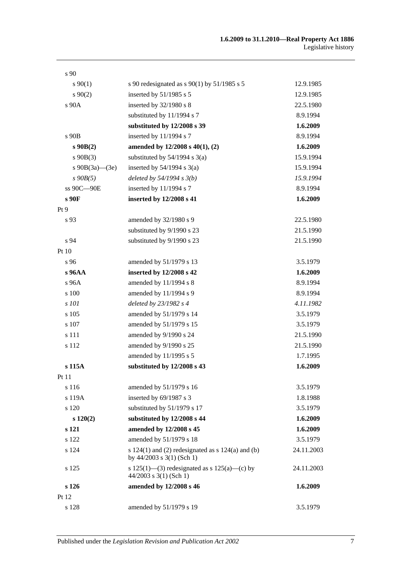| s <sub>90</sub>      |                                                                                      |            |
|----------------------|--------------------------------------------------------------------------------------|------------|
| $s\,90(1)$           | s 90 redesignated as s 90(1) by 51/1985 s 5                                          | 12.9.1985  |
| $s\,90(2)$           | inserted by 51/1985 s 5                                                              | 12.9.1985  |
| s 90A                | inserted by 32/1980 s 8                                                              | 22.5.1980  |
|                      | substituted by 11/1994 s 7                                                           | 8.9.1994   |
|                      | substituted by 12/2008 s 39                                                          | 1.6.2009   |
| s 90B                | inserted by 11/1994 s 7                                                              | 8.9.1994   |
| $s\,90B(2)$          | amended by $12/2008$ s $40(1)$ , (2)                                                 | 1.6.2009   |
| $s\ 90B(3)$          | substituted by $54/1994$ s $3(a)$                                                    | 15.9.1994  |
| s $90B(3a)$ — $(3e)$ | inserted by $54/1994$ s $3(a)$                                                       | 15.9.1994  |
| $s$ 90 $B(5)$        | deleted by $54/1994 s 3(b)$                                                          | 15.9.1994  |
| ss 90C-90E           | inserted by 11/1994 s 7                                                              | 8.9.1994   |
| s 90F                | inserted by 12/2008 s 41                                                             | 1.6.2009   |
| Pt <sub>9</sub>      |                                                                                      |            |
| s 93                 | amended by 32/1980 s 9                                                               | 22.5.1980  |
|                      | substituted by 9/1990 s 23                                                           | 21.5.1990  |
| s 94                 | substituted by 9/1990 s 23                                                           | 21.5.1990  |
| Pt 10                |                                                                                      |            |
| s 96                 | amended by 51/1979 s 13                                                              | 3.5.1979   |
| s 96AA               | inserted by 12/2008 s 42                                                             | 1.6.2009   |
| $s\,96A$             | amended by 11/1994 s 8                                                               | 8.9.1994   |
| s 100                | amended by 11/1994 s 9                                                               | 8.9.1994   |
| s 101                | deleted by 23/1982 s 4                                                               | 4.11.1982  |
| s 105                | amended by 51/1979 s 14                                                              | 3.5.1979   |
| s 107                | amended by 51/1979 s 15                                                              | 3.5.1979   |
| s 111                | amended by 9/1990 s 24                                                               | 21.5.1990  |
| s 112                | amended by 9/1990 s 25                                                               | 21.5.1990  |
|                      | amended by 11/1995 s 5                                                               | 1.7.1995   |
| s 115A               | substituted by 12/2008 s 43                                                          | 1.6.2009   |
| Pt 11                |                                                                                      |            |
| s 116                | amended by 51/1979 s 16                                                              | 3.5.1979   |
| s 119A               | inserted by 69/1987 s 3                                                              | 1.8.1988   |
| s 120                | substituted by 51/1979 s 17                                                          | 3.5.1979   |
| $s\ 120(2)$          | substituted by 12/2008 s 44                                                          | 1.6.2009   |
| s 121                | amended by 12/2008 s 45                                                              | 1.6.2009   |
| s 122                | amended by 51/1979 s 18                                                              | 3.5.1979   |
| s 124                | s $124(1)$ and (2) redesignated as s $124(a)$ and (b)<br>by $44/2003$ s 3(1) (Sch 1) | 24.11.2003 |
| s 125                | s 125(1)—(3) redesignated as s 125(a)—(c) by<br>$44/2003$ s 3(1) (Sch 1)             | 24.11.2003 |
| s 126                | amended by 12/2008 s 46                                                              | 1.6.2009   |
| Pt 12                |                                                                                      |            |
| s 128                | amended by 51/1979 s 19                                                              | 3.5.1979   |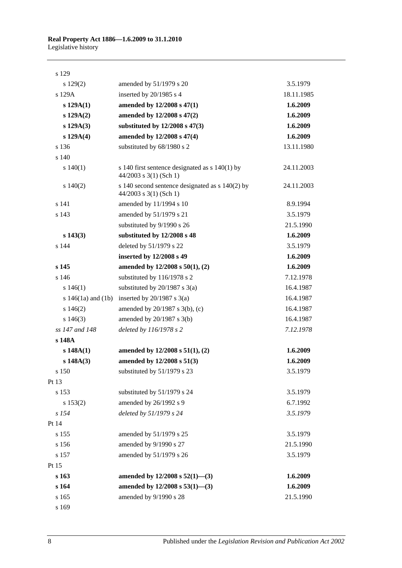## **Real Property Act 1886—1.6.2009 to 31.1.2010** Legislative history

| s 129                  |                                                                               |            |
|------------------------|-------------------------------------------------------------------------------|------------|
| $s\ 129(2)$            | amended by 51/1979 s 20                                                       | 3.5.1979   |
| s 129A                 | inserted by 20/1985 s 4                                                       | 18.11.1985 |
| s 129A(1)              | amended by 12/2008 s 47(1)                                                    | 1.6.2009   |
| s 129A(2)              | amended by 12/2008 s 47(2)                                                    | 1.6.2009   |
| $s\ 129A(3)$           | substituted by 12/2008 s 47(3)                                                | 1.6.2009   |
| s 129A(4)              | amended by 12/2008 s 47(4)                                                    | 1.6.2009   |
| s 136                  | substituted by 68/1980 s 2                                                    | 13.11.1980 |
| s <sub>140</sub>       |                                                                               |            |
| s 140(1)               | s 140 first sentence designated as $s$ 140(1) by<br>44/2003 s 3(1) (Sch 1)    | 24.11.2003 |
| 140(2)                 | s 140 second sentence designated as $s$ 140(2) by<br>$44/2003$ s 3(1) (Sch 1) | 24.11.2003 |
| s 141                  | amended by 11/1994 s 10                                                       | 8.9.1994   |
| s 143                  | amended by 51/1979 s 21                                                       | 3.5.1979   |
|                        | substituted by 9/1990 s 26                                                    | 21.5.1990  |
| $s\ 143(3)$            | substituted by 12/2008 s 48                                                   | 1.6.2009   |
| s 144                  | deleted by 51/1979 s 22                                                       | 3.5.1979   |
|                        | inserted by 12/2008 s 49                                                      | 1.6.2009   |
| s 145                  | amended by $12/2008$ s $50(1)$ , (2)                                          | 1.6.2009   |
| s 146                  | substituted by 116/1978 s 2                                                   | 7.12.1978  |
| s 146(1)               | substituted by $20/1987$ s $3(a)$                                             | 16.4.1987  |
| s $146(1a)$ and $(1b)$ | inserted by $20/1987$ s $3(a)$                                                | 16.4.1987  |
| $s\,146(2)$            | amended by 20/1987 s 3(b), (c)                                                | 16.4.1987  |
| $s\ 146(3)$            | amended by 20/1987 s 3(b)                                                     | 16.4.1987  |
| ss 147 and 148         | deleted by 116/1978 s 2                                                       | 7.12.1978  |
| s 148A                 |                                                                               |            |
| s 148A(1)              | amended by $12/2008$ s $51(1)$ , (2)                                          | 1.6.2009   |
| s 148A(3)              | amended by 12/2008 s 51(3)                                                    | 1.6.2009   |
| s 150                  | substituted by 51/1979 s 23                                                   | 3.5.1979   |
| Pt 13                  |                                                                               |            |
| s 153                  | substituted by 51/1979 s 24                                                   | 3.5.1979   |
| s 153(2)               | amended by 26/1992 s 9                                                        | 6.7.1992   |
| s 154                  | deleted by 51/1979 s 24                                                       | 3.5.1979   |
| Pt 14                  |                                                                               |            |
| s 155                  | amended by 51/1979 s 25                                                       | 3.5.1979   |
| s 156                  | amended by 9/1990 s 27                                                        | 21.5.1990  |
| s 157                  | amended by 51/1979 s 26                                                       | 3.5.1979   |
| Pt 15                  |                                                                               |            |
| s 163                  | amended by $12/2008$ s $52(1)$ —(3)                                           | 1.6.2009   |
| s 164                  | amended by $12/2008$ s $53(1)$ —(3)                                           | 1.6.2009   |
| s 165                  | amended by 9/1990 s 28                                                        | 21.5.1990  |
| s 169                  |                                                                               |            |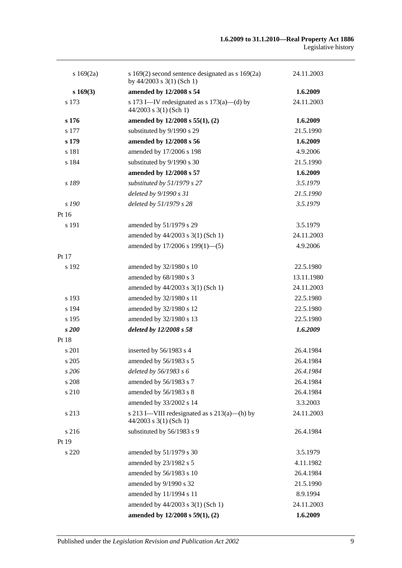| s 169(2a)   | s $169(2)$ second sentence designated as s $169(2a)$<br>by $44/2003$ s $3(1)$ (Sch 1) | 24.11.2003 |
|-------------|---------------------------------------------------------------------------------------|------------|
| $s\,169(3)$ | amended by 12/2008 s 54                                                               | 1.6.2009   |
| s 173       | s 173 I—IV redesignated as s $173(a)$ —(d) by<br>$44/2003$ s 3(1) (Sch 1)             | 24.11.2003 |
| s 176       | amended by $12/2008$ s $55(1)$ , (2)                                                  | 1.6.2009   |
| s 177       | substituted by 9/1990 s 29                                                            | 21.5.1990  |
| s 179       | amended by 12/2008 s 56                                                               | 1.6.2009   |
| s 181       | amended by 17/2006 s 198                                                              | 4.9.2006   |
| s 184       | substituted by 9/1990 s 30                                                            | 21.5.1990  |
|             | amended by 12/2008 s 57                                                               | 1.6.2009   |
| s 189       | substituted by 51/1979 s 27                                                           | 3.5.1979   |
|             | deleted by 9/1990 s 31                                                                | 21.5.1990  |
| s 190       | deleted by 51/1979 s 28                                                               | 3.5.1979   |
| Pt 16       |                                                                                       |            |
| s 191       | amended by 51/1979 s 29                                                               | 3.5.1979   |
|             | amended by 44/2003 s 3(1) (Sch 1)                                                     | 24.11.2003 |
|             | amended by $17/2006$ s $199(1)$ —(5)                                                  | 4.9.2006   |
| Pt 17       |                                                                                       |            |
| s 192       | amended by 32/1980 s 10                                                               | 22.5.1980  |
|             | amended by 68/1980 s 3                                                                | 13.11.1980 |
|             | amended by 44/2003 s 3(1) (Sch 1)                                                     | 24.11.2003 |
| s 193       | amended by 32/1980 s 11                                                               | 22.5.1980  |
| s 194       | amended by 32/1980 s 12                                                               | 22.5.1980  |
| s 195       | amended by 32/1980 s 13                                                               | 22.5.1980  |
| s 200       | deleted by 12/2008 s 58                                                               | 1.6.2009   |
| Pt 18       |                                                                                       |            |
| s 201       | inserted by 56/1983 s 4                                                               | 26.4.1984  |
| s 205       | amended by 56/1983 s 5                                                                | 26.4.1984  |
| s 206       | deleted by 56/1983 s 6                                                                | 26.4.1984  |
| s 208       | amended by 56/1983 s 7                                                                | 26.4.1984  |
| s 210       | amended by 56/1983 s 8                                                                | 26.4.1984  |
|             | amended by 33/2002 s 14                                                               | 3.3.2003   |
| s 213       | s 213 I—VIII redesignated as $s$ 213(a)—(h) by<br>$44/2003$ s 3(1) (Sch 1)            | 24.11.2003 |
| s 216       | substituted by 56/1983 s 9                                                            | 26.4.1984  |
| Pt 19       |                                                                                       |            |
| s 220       | amended by 51/1979 s 30                                                               | 3.5.1979   |
|             | amended by 23/1982 s 5                                                                | 4.11.1982  |
|             | amended by 56/1983 s 10                                                               | 26.4.1984  |
|             | amended by 9/1990 s 32                                                                | 21.5.1990  |
|             | amended by 11/1994 s 11                                                               | 8.9.1994   |
|             | amended by 44/2003 s 3(1) (Sch 1)                                                     | 24.11.2003 |
|             | amended by 12/2008 s 59(1), (2)                                                       | 1.6.2009   |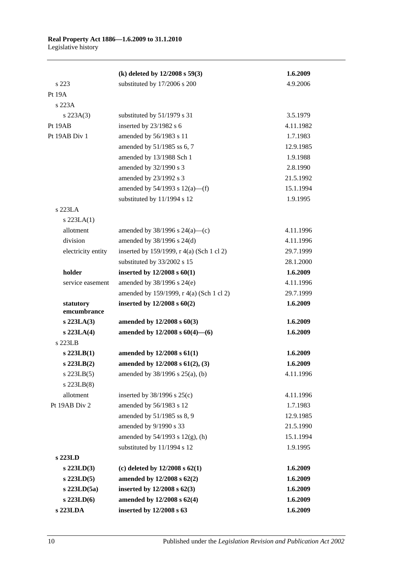|                          | (k) deleted by $12/2008$ s $59(3)$        | 1.6.2009  |
|--------------------------|-------------------------------------------|-----------|
| s 223                    | substituted by 17/2006 s 200              | 4.9.2006  |
| Pt 19A                   |                                           |           |
| s 223A                   |                                           |           |
| $s$ 223A(3)              | substituted by 51/1979 s 31               | 3.5.1979  |
| Pt 19AB                  | inserted by 23/1982 s 6                   | 4.11.1982 |
| Pt 19AB Div 1            | amended by 56/1983 s 11                   | 1.7.1983  |
|                          | amended by 51/1985 ss 6, 7                | 12.9.1985 |
|                          | amended by 13/1988 Sch 1                  | 1.9.1988  |
|                          | amended by 32/1990 s 3                    | 2.8.1990  |
|                          | amended by 23/1992 s 3                    | 21.5.1992 |
|                          | amended by $54/1993$ s $12(a)$ —(f)       | 15.1.1994 |
|                          | substituted by 11/1994 s 12               | 1.9.1995  |
| s 223LA                  |                                           |           |
| $s$ 223LA $(1)$          |                                           |           |
| allotment                | amended by $38/1996$ s $24(a)$ —(c)       | 4.11.1996 |
| division                 | amended by 38/1996 s 24(d)                | 4.11.1996 |
| electricity entity       | inserted by 159/1999, r 4(a) (Sch 1 cl 2) | 29.7.1999 |
|                          | substituted by 33/2002 s 15               | 28.1.2000 |
| holder                   | inserted by $12/2008$ s $60(1)$           | 1.6.2009  |
| service easement         | amended by 38/1996 s 24(e)                | 4.11.1996 |
|                          | amended by 159/1999, r 4(a) (Sch 1 cl 2)  | 29.7.1999 |
| statutory<br>emcumbrance | inserted by $12/2008$ s $60(2)$           | 1.6.2009  |
| $s$ 223LA $(3)$          | amended by $12/2008 s 60(3)$              | 1.6.2009  |
| $s$ 223LA $(4)$          | amended by $12/2008$ s $60(4)$ —(6)       | 1.6.2009  |
| s 223LB                  |                                           |           |
| $s$ 223LB $(1)$          | amended by $12/2008$ s $61(1)$            | 1.6.2009  |
| $s$ 223LB $(2)$          | amended by 12/2008 s 61(2), (3)           | 1.6.2009  |
| $s$ 223LB $(5)$          | amended by 38/1996 s 25(a), (b)           | 4.11.1996 |
| $s$ 223LB $(8)$          |                                           |           |
| allotment                | inserted by $38/1996$ s $25(c)$           | 4.11.1996 |
| Pt 19AB Div 2            | amended by 56/1983 s 12                   | 1.7.1983  |
|                          | amended by 51/1985 ss 8, 9                | 12.9.1985 |
|                          | amended by 9/1990 s 33                    | 21.5.1990 |
|                          | amended by $54/1993$ s $12(g)$ , (h)      | 15.1.1994 |
|                          | substituted by 11/1994 s 12               | 1.9.1995  |
| s 223LD                  |                                           |           |
| $s$ 223LD(3)             | (c) deleted by $12/2008$ s $62(1)$        | 1.6.2009  |
| s 223LD(5)               | amended by 12/2008 s 62(2)                | 1.6.2009  |
| $s$ 223LD $(5a)$         | inserted by $12/2008$ s $62(3)$           | 1.6.2009  |
| $s$ 223LD(6)             | amended by 12/2008 s 62(4)                | 1.6.2009  |
| s 223LDA                 | inserted by 12/2008 s 63                  | 1.6.2009  |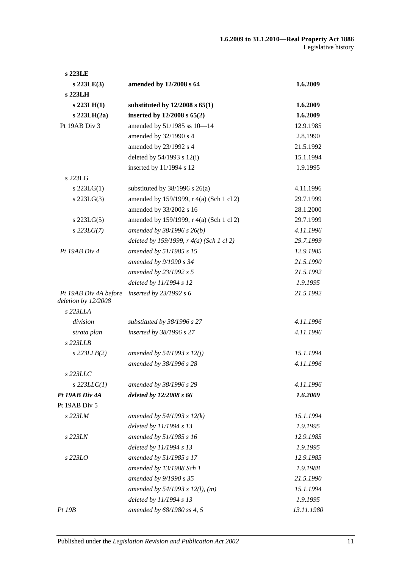| s 223LE                                      |                                                   |            |
|----------------------------------------------|---------------------------------------------------|------------|
| $s$ 223LE(3)                                 | amended by 12/2008 s 64                           | 1.6.2009   |
| s 223LH                                      |                                                   |            |
| $s$ 223LH $(1)$                              | substituted by $12/2008$ s $65(1)$                | 1.6.2009   |
| $s$ 223LH $(2a)$                             | inserted by $12/2008$ s $65(2)$                   | 1.6.2009   |
| Pt 19AB Div 3                                | amended by 51/1985 ss 10-14                       | 12.9.1985  |
|                                              | amended by 32/1990 s 4                            | 2.8.1990   |
|                                              | amended by 23/1992 s 4                            | 21.5.1992  |
|                                              | deleted by 54/1993 s 12(i)                        | 15.1.1994  |
|                                              | inserted by 11/1994 s 12                          | 1.9.1995   |
| s 223LG                                      |                                                   |            |
| $s$ 223LG(1)                                 | substituted by $38/1996$ s $26(a)$                | 4.11.1996  |
| s $223LG(3)$                                 | amended by 159/1999, r 4(a) (Sch 1 cl 2)          | 29.7.1999  |
|                                              | amended by 33/2002 s 16                           | 28.1.2000  |
| $s$ 223LG(5)                                 | amended by 159/1999, r 4(a) (Sch 1 cl 2)          | 29.7.1999  |
| $s$ 223LG(7)                                 | amended by $38/1996 s 26(b)$                      | 4.11.1996  |
|                                              | deleted by 159/1999, $r \frac{4}{a}$ (Sch 1 cl 2) | 29.7.1999  |
| $Pt$ 19AB Div 4                              | amended by 51/1985 s 15                           | 12.9.1985  |
|                                              | amended by 9/1990 s 34                            | 21.5.1990  |
|                                              | amended by 23/1992 s 5                            | 21.5.1992  |
|                                              | deleted by 11/1994 s 12                           | 1.9.1995   |
| Pt 19AB Div 4A before<br>deletion by 12/2008 | inserted by $23/1992 s 6$                         | 21.5.1992  |
| s 223LLA                                     |                                                   |            |
| division                                     | substituted by $38/1996$ s 27                     | 4.11.1996  |
| strata plan                                  | inserted by 38/1996 s 27                          | 4.11.1996  |
| $s$ 223LLB                                   |                                                   |            |
| $s$ 223LLB $(2)$                             | amended by 54/1993 s 12(j)                        | 15.1.1994  |
|                                              | amended by 38/1996 s 28                           | 4.11.1996  |
| s 223LLC                                     |                                                   |            |
| $s$ 223LLC(1)                                | amended by 38/1996 s 29                           | 4.11.1996  |
| Pt 19AB Div 4A                               | deleted by 12/2008 s 66                           | 1.6.2009   |
| Pt 19AB Div 5                                |                                                   |            |
| s 223LM                                      | amended by $54/1993 s 12(k)$                      | 15.1.1994  |
|                                              | deleted by 11/1994 s 13                           | 1.9.1995   |
| s 223LN                                      | amended by 51/1985 s 16                           | 12.9.1985  |
|                                              | deleted by 11/1994 s 13                           | 1.9.1995   |
| s 223LO                                      | amended by 51/1985 s 17                           | 12.9.1985  |
|                                              | amended by 13/1988 Sch 1                          | 1.9.1988   |
|                                              | amended by 9/1990 s 35                            | 21.5.1990  |
|                                              | amended by $54/1993$ s $12(l)$ , (m)              | 15.1.1994  |
|                                              | deleted by 11/1994 s 13                           | 1.9.1995   |
| Pt 19B                                       | amended by 68/1980 ss 4, 5                        | 13.11.1980 |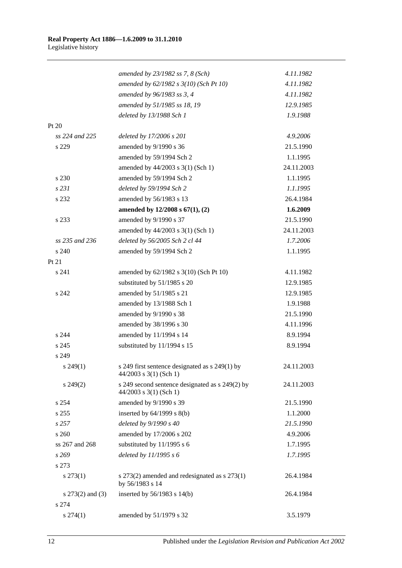|                      | amended by $23/1982$ ss 7, 8 (Sch)                                         | 4.11.1982  |
|----------------------|----------------------------------------------------------------------------|------------|
|                      | amended by 62/1982 s 3(10) (Sch Pt 10)                                     | 4.11.1982  |
|                      | amended by 96/1983 ss 3, 4                                                 | 4.11.1982  |
|                      | amended by 51/1985 ss 18, 19                                               | 12.9.1985  |
|                      | deleted by 13/1988 Sch 1                                                   | 1.9.1988   |
| Pt 20                |                                                                            |            |
| ss 224 and 225       | deleted by 17/2006 s 201                                                   | 4.9.2006   |
| s 229                | amended by 9/1990 s 36                                                     | 21.5.1990  |
|                      | amended by 59/1994 Sch 2                                                   | 1.1.1995   |
|                      | amended by 44/2003 s 3(1) (Sch 1)                                          | 24.11.2003 |
| s 230                | amended by 59/1994 Sch 2                                                   | 1.1.1995   |
| s 231                | deleted by 59/1994 Sch 2                                                   | 1.1.1995   |
| s 232                | amended by 56/1983 s 13                                                    | 26.4.1984  |
|                      | amended by 12/2008 s 67(1), (2)                                            | 1.6.2009   |
| s 233                | amended by 9/1990 s 37                                                     | 21.5.1990  |
|                      | amended by 44/2003 s 3(1) (Sch 1)                                          | 24.11.2003 |
| ss 235 and 236       | deleted by 56/2005 Sch 2 cl 44                                             | 1.7.2006   |
| s 240                | amended by 59/1994 Sch 2                                                   | 1.1.1995   |
| Pt 21                |                                                                            |            |
| s 241                | amended by 62/1982 s 3(10) (Sch Pt 10)                                     | 4.11.1982  |
|                      | substituted by 51/1985 s 20                                                | 12.9.1985  |
| s 242                | amended by 51/1985 s 21                                                    | 12.9.1985  |
|                      | amended by 13/1988 Sch 1                                                   | 1.9.1988   |
|                      | amended by 9/1990 s 38                                                     | 21.5.1990  |
|                      | amended by 38/1996 s 30                                                    | 4.11.1996  |
| s 244                | amended by 11/1994 s 14                                                    | 8.9.1994   |
| s 245                | substituted by 11/1994 s 15                                                | 8.9.1994   |
| s 249                |                                                                            |            |
| s 249(1)             | s 249 first sentence designated as s 249(1) by<br>$44/2003$ s 3(1) (Sch 1) | 24.11.2003 |
| $s\,249(2)$          | s 249 second sentence designated as s 249(2) by<br>44/2003 s 3(1) (Sch 1)  | 24.11.2003 |
| s 254                | amended by 9/1990 s 39                                                     | 21.5.1990  |
| s 255                | inserted by $64/1999$ s $8(b)$                                             | 1.1.2000   |
| s 257                | deleted by 9/1990 s 40                                                     | 21.5.1990  |
| s 260                | amended by 17/2006 s 202                                                   | 4.9.2006   |
| ss 267 and 268       | substituted by 11/1995 s 6                                                 | 1.7.1995   |
| s269                 | deleted by $11/1995 s 6$                                                   | 1.7.1995   |
| s 273                |                                                                            |            |
| $s\,273(1)$          | s $273(2)$ amended and redesignated as s $273(1)$<br>by 56/1983 s 14       | 26.4.1984  |
| s $273(2)$ and $(3)$ | inserted by 56/1983 s 14(b)                                                | 26.4.1984  |
| s 274                |                                                                            |            |
| $s\,274(1)$          | amended by 51/1979 s 32                                                    | 3.5.1979   |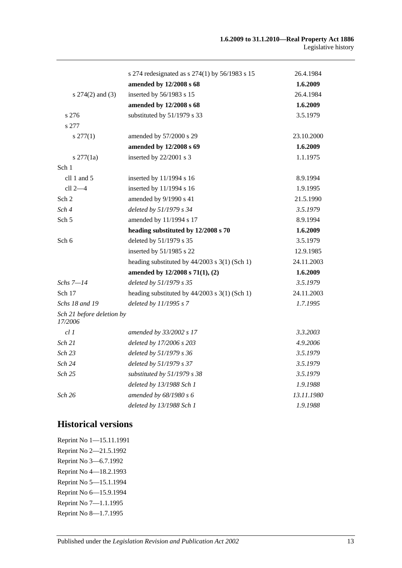|                                      | s 274 redesignated as s $274(1)$ by 56/1983 s 15 | 26.4.1984  |
|--------------------------------------|--------------------------------------------------|------------|
|                                      | amended by 12/2008 s 68                          | 1.6.2009   |
| s $274(2)$ and $(3)$                 | inserted by 56/1983 s 15                         | 26.4.1984  |
|                                      | amended by 12/2008 s 68                          | 1.6.2009   |
| s 276                                | substituted by 51/1979 s 33                      | 3.5.1979   |
| s 277                                |                                                  |            |
| $s \, 277(1)$                        | amended by 57/2000 s 29                          | 23.10.2000 |
|                                      | amended by 12/2008 s 69                          | 1.6.2009   |
| $s \frac{277}{1a}$                   | inserted by 22/2001 s 3                          | 1.1.1975   |
| Sch 1                                |                                                  |            |
| cll 1 and $5$                        | inserted by 11/1994 s 16                         | 8.9.1994   |
| cll 2-4                              | inserted by 11/1994 s 16                         | 1.9.1995   |
| Sch 2                                | amended by 9/1990 s 41                           | 21.5.1990  |
| Sch 4                                | deleted by 51/1979 s 34                          | 3.5.1979   |
| Sch <sub>5</sub>                     | amended by 11/1994 s 17                          | 8.9.1994   |
|                                      | heading substituted by 12/2008 s 70              | 1.6.2009   |
| Sch 6                                | deleted by 51/1979 s 35                          | 3.5.1979   |
|                                      | inserted by 51/1985 s 22                         | 12.9.1985  |
|                                      | heading substituted by $44/2003$ s 3(1) (Sch 1)  | 24.11.2003 |
|                                      | amended by 12/2008 s 71(1), (2)                  | 1.6.2009   |
| Schs 7–14                            | deleted by 51/1979 s 35                          | 3.5.1979   |
| Sch 17                               | heading substituted by $44/2003$ s 3(1) (Sch 1)  | 24.11.2003 |
| Schs 18 and 19                       | deleted by 11/1995 s 7                           | 1.7.1995   |
| Sch 21 before deletion by<br>17/2006 |                                                  |            |
| cl1                                  | amended by 33/2002 s 17                          | 3.3.2003   |
| Sch 21                               | deleted by 17/2006 s 203                         | 4.9.2006   |
| Sch 23                               | deleted by 51/1979 s 36                          | 3.5.1979   |
| Sch 24                               | deleted by 51/1979 s 37                          | 3.5.1979   |
| Sch 25                               | substituted by 51/1979 s 38                      | 3.5.1979   |
|                                      | deleted by 13/1988 Sch 1                         | 1.9.1988   |
| Sch 26                               | amended by 68/1980 s 6                           | 13.11.1980 |
|                                      | deleted by 13/1988 Sch 1                         | 1.9.1988   |

## **Historical versions**

Reprint No 1—15.11.1991 Reprint No 2—21.5.1992 Reprint No 3—6.7.1992 Reprint No 4—18.2.1993 Reprint No 5—15.1.1994 Reprint No 6—15.9.1994 Reprint No 7—1.1.1995 Reprint No 8—1.7.1995